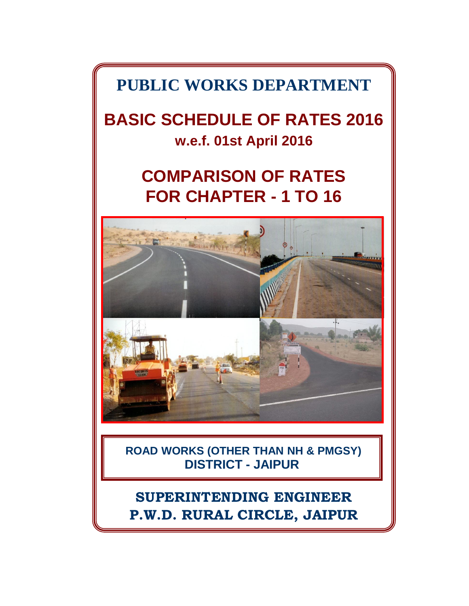**PUBLIC WORKS DEPARTMENT**

**BASIC SCHEDULE OF RATES 2016 w.e.f. 01st April 2016**

# **COMPARISON OF RATES FOR CHAPTER - 1 TO 16**



**ROAD WORKS (OTHER THAN NH & PMGSY) DISTRICT - JAIPUR**

# **SUPERINTENDING ENGINEER P.W.D. RURAL CIRCLE, JAIPUR**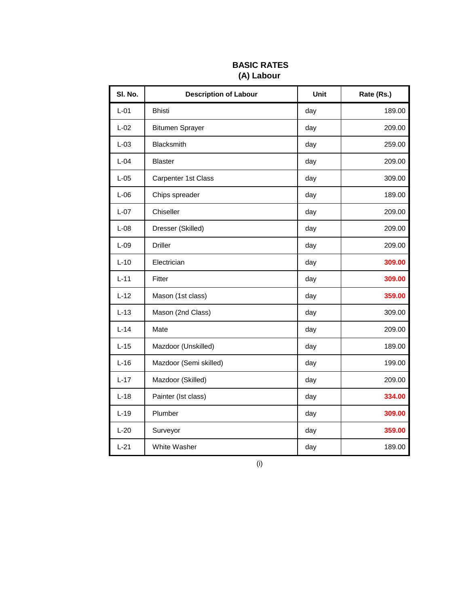| SI. No. | <b>Description of Labour</b> | Unit | Rate (Rs.) |
|---------|------------------------------|------|------------|
| $L-01$  | <b>Bhisti</b>                | day  | 189.00     |
| $L-02$  | <b>Bitumen Sprayer</b>       | day  | 209.00     |
| $L-03$  | Blacksmith                   | day  | 259.00     |
| $L-04$  | <b>Blaster</b>               | day  | 209.00     |
| $L-05$  | Carpenter 1st Class          | day  | 309.00     |
| $L-06$  | Chips spreader               | day  | 189.00     |
| $L-07$  | Chiseller                    | day  | 209.00     |
| $L-08$  | Dresser (Skilled)            | day  | 209.00     |
| $L-09$  | <b>Driller</b>               | day  | 209.00     |
| $L-10$  | Electrician                  | day  | 309.00     |
| $L-11$  | Fitter                       | day  | 309.00     |
| $L-12$  | Mason (1st class)            | day  | 359.00     |
| $L-13$  | Mason (2nd Class)            | day  | 309.00     |
| $L-14$  | Mate                         | day  | 209.00     |
| $L-15$  | Mazdoor (Unskilled)          | day  | 189.00     |
| $L-16$  | Mazdoor (Semi skilled)       | day  | 199.00     |
| $L-17$  | Mazdoor (Skilled)            | day  | 209.00     |
| $L-18$  | Painter (Ist class)          | day  | 334.00     |
| $L-19$  | Plumber                      | day  | 309.00     |
| $L-20$  | Surveyor                     | day  | 359.00     |
| $L-21$  | White Washer                 | day  | 189.00     |

## **BASIC RATES (A) Labour**

(i)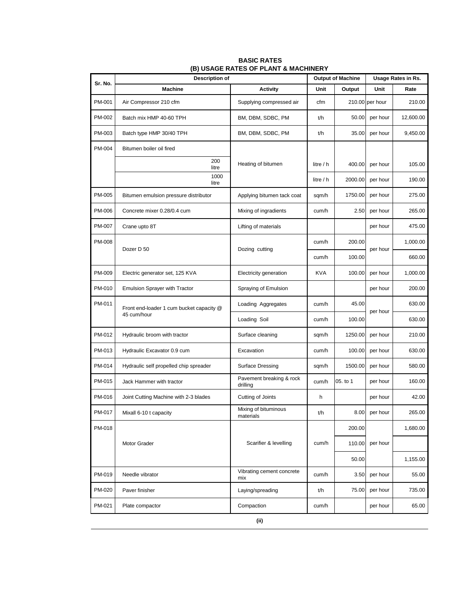| Sr. No. | <b>Description of</b>                                   |                                      |            | <b>Output of Machine</b> |                 | Usage Rates in Rs. |
|---------|---------------------------------------------------------|--------------------------------------|------------|--------------------------|-----------------|--------------------|
|         | <b>Machine</b>                                          | <b>Activity</b>                      | Unit       | Output                   | Unit            | Rate               |
| PM-001  | Air Compressor 210 cfm                                  | Supplying compressed air             | cfm        |                          | 210.00 per hour | 210.00             |
| PM-002  | Batch mix HMP 40-60 TPH                                 | BM, DBM, SDBC, PM                    | t/h        | 50.00                    | per hour        | 12,600.00          |
| PM-003  | Batch type HMP 30/40 TPH                                | BM, DBM, SDBC, PM                    | t/h        | 35.00                    | per hour        | 9,450.00           |
| PM-004  | Bitumen boiler oil fired                                |                                      |            |                          |                 |                    |
|         | 200<br>litre                                            | Heating of bitumen                   | litre / h  | 400.00                   | per hour        | 105.00             |
|         | 1000<br>litre                                           |                                      | litre / h  | 2000.00                  | per hour        | 190.00             |
| PM-005  | Bitumen emulsion pressure distributor                   | Applying bitumen tack coat           | sqm/h      | 1750.00                  | per hour        | 275.00             |
| PM-006  | Concrete mixer 0.28/0.4 cum                             | Mixing of ingradients                | cum/h      | 2.50                     | per hour        | 265.00             |
| PM-007  | Crane upto 8T                                           | Lifting of materials                 |            |                          | per hour        | 475.00             |
| PM-008  | Dozer D 50                                              | Dozing cutting                       | cum/h      | 200.00                   | per hour        | 1,000.00           |
|         |                                                         |                                      | cum/h      | 100.00                   |                 | 660.00             |
| PM-009  | Electric generator set, 125 KVA                         | Electricity generation               | <b>KVA</b> | 100.00                   | per hour        | 1,000.00           |
| PM-010  | <b>Emulsion Sprayer with Tractor</b>                    | Spraying of Emulsion                 |            |                          | per hour        | 200.00             |
| PM-011  | Front end-loader 1 cum bucket capacity @<br>45 cum/hour | Loading Aggregates                   | cum/h      | 45.00                    | per hour        | 630.00             |
|         |                                                         | Loading Soil                         | cum/h      | 100.00                   |                 | 630.00             |
| PM-012  | Hydraulic broom with tractor                            | Surface cleaning                     | sqm/h      | 1250.00                  | per hour        | 210.00             |
| PM-013  | Hydraulic Excavator 0.9 cum                             | Excavation                           | cum/h      | 100.00                   | per hour        | 630.00             |
| PM-014  | Hydraulic self propelled chip spreader                  | <b>Surface Dressing</b>              | sqm/h      | 1500.00                  | per hour        | 580.00             |
| PM-015  | Jack Hammer with tractor                                | Pavement breaking & rock<br>drilling | cum/h      | 05. to 1                 | per hour        | 160.00             |
| PM-016  | Joint Cutting Machine with 2-3 blades                   | Cutting of Joints                    | h          |                          | per hour        | 42.00              |
| PM-017  | Mixall 6-10 t capacity                                  | Mixing of bituminous<br>materials    | t/h        |                          | 8.00 per hour   | 265.00             |
| PM-018  |                                                         |                                      |            | 200.00                   |                 | 1,680.00           |
|         | Motor Grader                                            | Scarifier & levelling                | cum/h      | 110.00                   | per hour        |                    |
|         |                                                         |                                      |            | 50.00                    |                 | 1,155.00           |
| PM-019  | Needle vibrator                                         | Vibrating cement concrete<br>mix     | cum/h      | 3.50                     | per hour        | 55.00              |
| PM-020  | Paver finisher                                          | Laying/spreading                     | t/h        | 75.00                    | per hour        | 735.00             |
| PM-021  | Plate compactor                                         | Compaction                           | cum/h      |                          | per hour        | 65.00              |

#### **BASIC RATES (B) USAGE RATES OF PLANT & MACHINERY**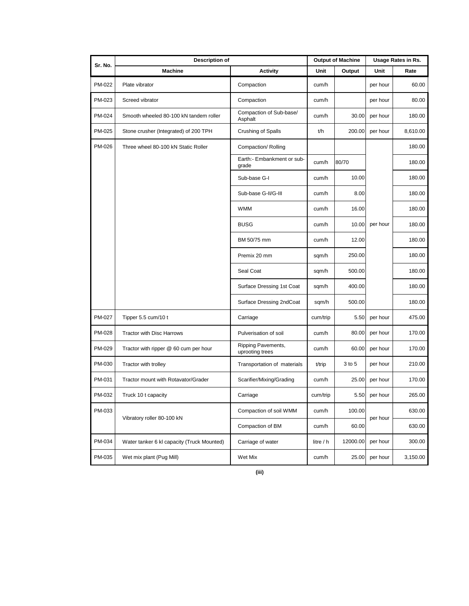| Sr. No. | <b>Description of</b>                      |                                       | <b>Output of Machine</b> |          | Usage Rates in Rs. |          |
|---------|--------------------------------------------|---------------------------------------|--------------------------|----------|--------------------|----------|
|         | <b>Machine</b>                             | <b>Activity</b>                       | Unit                     | Output   | Unit               | Rate     |
| PM-022  | Plate vibrator                             | Compaction                            | cum/h                    |          | per hour           | 60.00    |
| PM-023  | Screed vibrator                            | Compaction                            | cum/h                    |          | per hour           | 80.00    |
| PM-024  | Smooth wheeled 80-100 kN tandem roller     | Compaction of Sub-base/<br>Asphalt    | cum/h                    | 30.00    | per hour           | 180.00   |
| PM-025  | Stone crusher (Integrated) of 200 TPH      | Crushing of Spalls                    | t/h                      | 200.00   | per hour           | 8,610.00 |
| PM-026  | Three wheel 80-100 kN Static Roller        | Compaction/ Rolling                   |                          |          |                    | 180.00   |
|         |                                            | Earth:- Embankment or sub-<br>grade   | cum/h                    | 80/70    |                    | 180.00   |
|         |                                            | Sub-base G-I                          | cum/h                    | 10.00    |                    | 180.00   |
|         |                                            | Sub-base G-II/G-III                   | cum/h                    | 8.00     |                    | 180.00   |
|         |                                            | <b>WMM</b>                            | cum/h                    | 16.00    |                    | 180.00   |
|         |                                            | <b>BUSG</b>                           | cum/h                    | 10.00    | per hour           | 180.00   |
|         |                                            | BM 50/75 mm                           | cum/h                    | 12.00    |                    | 180.00   |
|         |                                            | Premix 20 mm                          | sqm/h                    | 250.00   |                    | 180.00   |
|         |                                            | Seal Coat                             | sqm/h                    | 500.00   |                    | 180.00   |
|         |                                            | Surface Dressing 1st Coat             | sqm/h                    | 400.00   |                    | 180.00   |
|         |                                            | Surface Dressing 2ndCoat              | sqm/h                    | 500.00   |                    | 180.00   |
| PM-027  | Tipper 5.5 cum/10 t                        | Carriage                              | cum/trip                 | 5.50     | per hour           | 475.00   |
| PM-028  | <b>Tractor with Disc Harrows</b>           | Pulverisation of soil                 | cum/h                    | 80.00    | per hour           | 170.00   |
| PM-029  | Tractor with ripper @ 60 cum per hour      | Ripping Pavements,<br>uprooting trees | cum/h                    | 60.00    | per hour           | 170.00   |
| PM-030  | Tractor with trolley                       | Transportation of materials           | t/trip                   | 3 to 5   | per hour           | 210.00   |
| PM-031  | Tractor mount with Rotavator/Grader        | Scarifier/Mixing/Grading              | cum/h                    | 25.00    | per hour           | 170.00   |
| PM-032  | Truck 10 t capacity                        | Carriage                              | cum/trip                 |          | 5.50 per hour      | 265.00   |
| PM-033  |                                            | Compaction of soil WMM                | cum/h                    | 100.00   |                    | 630.00   |
|         | Vibratory roller 80-100 kN                 | Compaction of BM                      | cum/h                    | 60.00    | per hour           | 630.00   |
| PM-034  | Water tanker 6 kl capacity (Truck Mounted) | Carriage of water                     | litre / h                | 12000.00 | per hour           | 300.00   |
| PM-035  | Wet mix plant (Pug Mill)                   | Wet Mix                               | cum/h                    | 25.00    | per hour           | 3,150.00 |

**(iii)**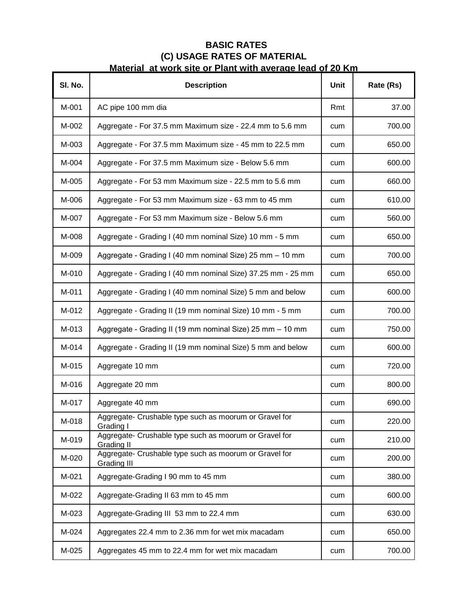# **BASIC RATES (C) USAGE RATES OF MATERIAL Material at work site or Plant with average lead of 20 Km**

| SI. No. | <b>Description</b>                                                           | Unit | Rate (Rs) |
|---------|------------------------------------------------------------------------------|------|-----------|
| M-001   | AC pipe 100 mm dia                                                           | Rmt  | 37.00     |
| M-002   | Aggregate - For 37.5 mm Maximum size - 22.4 mm to 5.6 mm                     | cum  | 700.00    |
| M-003   | Aggregate - For 37.5 mm Maximum size - 45 mm to 22.5 mm                      | cum  | 650.00    |
| M-004   | Aggregate - For 37.5 mm Maximum size - Below 5.6 mm                          | cum  | 600.00    |
| M-005   | Aggregate - For 53 mm Maximum size - 22.5 mm to 5.6 mm                       | cum  | 660.00    |
| M-006   | Aggregate - For 53 mm Maximum size - 63 mm to 45 mm                          | cum  | 610.00    |
| M-007   | Aggregate - For 53 mm Maximum size - Below 5.6 mm                            | cum  | 560.00    |
| M-008   | Aggregate - Grading I (40 mm nominal Size) 10 mm - 5 mm                      | cum  | 650.00    |
| M-009   | Aggregate - Grading I (40 mm nominal Size) 25 mm - 10 mm                     | cum  | 700.00    |
| M-010   | Aggregate - Grading I (40 mm nominal Size) 37.25 mm - 25 mm                  | cum  | 650.00    |
| M-011   | Aggregate - Grading I (40 mm nominal Size) 5 mm and below                    | cum  | 600.00    |
| M-012   | Aggregate - Grading II (19 mm nominal Size) 10 mm - 5 mm                     | cum  | 700.00    |
| M-013   | Aggregate - Grading II (19 mm nominal Size) 25 mm - 10 mm                    | cum  | 750.00    |
| M-014   | Aggregate - Grading II (19 mm nominal Size) 5 mm and below                   | cum  | 600.00    |
| M-015   | Aggregate 10 mm                                                              | cum  | 720.00    |
| M-016   | Aggregate 20 mm                                                              | cum  | 800.00    |
| M-017   | Aggregate 40 mm                                                              | cum  | 690.00    |
| M-018   | Aggregate- Crushable type such as moorum or Gravel for<br>Grading I          | cum  | 220.00    |
| M-019   | Aggregate- Crushable type such as moorum or Gravel for<br>Grading II         | cum  | 210.00    |
| M-020   | Aggregate- Crushable type such as moorum or Gravel for<br><b>Grading III</b> | cum  | 200.00    |
| M-021   | Aggregate-Grading I 90 mm to 45 mm                                           | cum  | 380.00    |
| M-022   | Aggregate-Grading II 63 mm to 45 mm                                          | cum  | 600.00    |
| M-023   | Aggregate-Grading III 53 mm to 22.4 mm                                       | cum  | 630.00    |
| M-024   | Aggregates 22.4 mm to 2.36 mm for wet mix macadam                            | cum  | 650.00    |
| M-025   | Aggregates 45 mm to 22.4 mm for wet mix macadam                              | cum  | 700.00    |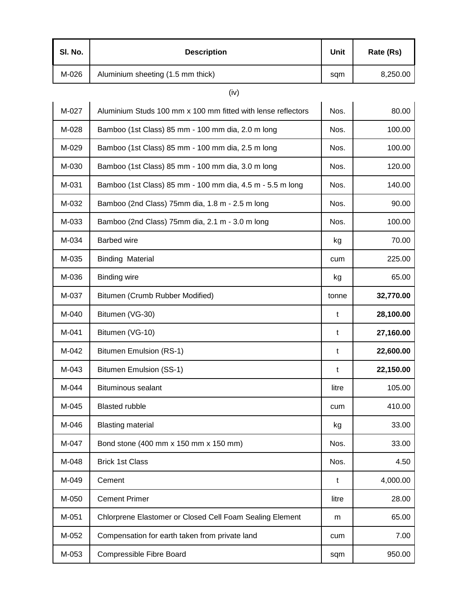| SI. No. | <b>Description</b>                | Unit | Rate (Rs) |
|---------|-----------------------------------|------|-----------|
| M-026   | Aluminium sheeting (1.5 mm thick) | sqm  | 8,250.00  |

# (iv)

| M-027 | Aluminium Studs 100 mm x 100 mm fitted with lense reflectors | Nos.  | 80.00     |
|-------|--------------------------------------------------------------|-------|-----------|
| M-028 | Bamboo (1st Class) 85 mm - 100 mm dia, 2.0 m long            | Nos.  | 100.00    |
| M-029 | Bamboo (1st Class) 85 mm - 100 mm dia, 2.5 m long            | Nos.  | 100.00    |
| M-030 | Bamboo (1st Class) 85 mm - 100 mm dia, 3.0 m long            | Nos.  | 120.00    |
| M-031 | Bamboo (1st Class) 85 mm - 100 mm dia, 4.5 m - 5.5 m long    | Nos.  | 140.00    |
| M-032 | Bamboo (2nd Class) 75mm dia, 1.8 m - 2.5 m long              | Nos.  | 90.00     |
| M-033 | Bamboo (2nd Class) 75mm dia, 2.1 m - 3.0 m long              | Nos.  | 100.00    |
| M-034 | <b>Barbed wire</b>                                           | kg    | 70.00     |
| M-035 | <b>Binding Material</b>                                      | cum   | 225.00    |
| M-036 | <b>Binding wire</b>                                          | kg    | 65.00     |
| M-037 | Bitumen (Crumb Rubber Modified)                              | tonne | 32,770.00 |
| M-040 | Bitumen (VG-30)                                              | t     | 28,100.00 |
| M-041 | Bitumen (VG-10)                                              | t     | 27,160.00 |
| M-042 | Bitumen Emulsion (RS-1)                                      | t     | 22,600.00 |
| M-043 | Bitumen Emulsion (SS-1)                                      | t     | 22,150.00 |
| M-044 | <b>Bituminous sealant</b>                                    | litre | 105.00    |
| M-045 | <b>Blasted rubble</b>                                        | cum   | 410.00    |
| M-046 | <b>Blasting material</b>                                     | kg    | 33.00     |
| M-047 | Bond stone (400 mm x 150 mm x 150 mm)                        | Nos.  | 33.00     |
| M-048 | <b>Brick 1st Class</b>                                       | Nos.  | 4.50      |
| M-049 | Cement                                                       | t     | 4,000.00  |
| M-050 | <b>Cement Primer</b>                                         | litre | 28.00     |
| M-051 | Chlorprene Elastomer or Closed Cell Foam Sealing Element     | m     | 65.00     |
| M-052 | Compensation for earth taken from private land               | cum   | 7.00      |
| M-053 | Compressible Fibre Board                                     | sqm   | 950.00    |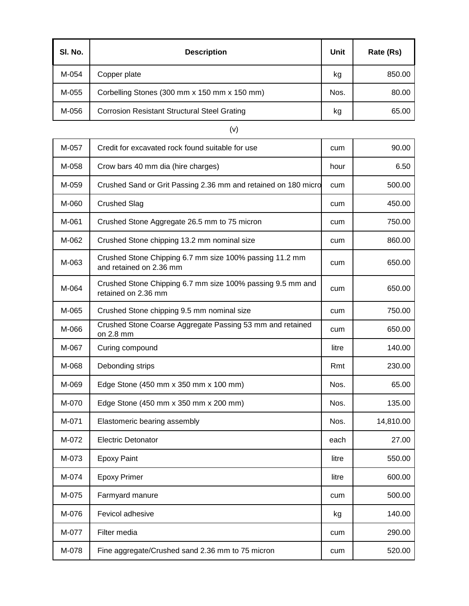| SI. No. | <b>Description</b>                                  | Unit | Rate (Rs) |
|---------|-----------------------------------------------------|------|-----------|
| M-054   | Copper plate                                        | kg   | 850.00    |
| M-055   | Corbelling Stones (300 mm x 150 mm x 150 mm)        | Nos. | 80.00     |
| M-056   | <b>Corrosion Resistant Structural Steel Grating</b> | kg   | 65.00     |

 $\mathbf{r}$ 

┱

| M-057 | Credit for excavated rock found suitable for use                                   | cum   | 90.00     |
|-------|------------------------------------------------------------------------------------|-------|-----------|
| M-058 | Crow bars 40 mm dia (hire charges)                                                 | hour  | 6.50      |
| M-059 | Crushed Sand or Grit Passing 2.36 mm and retained on 180 micro                     | cum   | 500.00    |
| M-060 | <b>Crushed Slag</b>                                                                | cum   | 450.00    |
| M-061 | Crushed Stone Aggregate 26.5 mm to 75 micron                                       | cum   | 750.00    |
| M-062 | Crushed Stone chipping 13.2 mm nominal size                                        | cum   | 860.00    |
| M-063 | Crushed Stone Chipping 6.7 mm size 100% passing 11.2 mm<br>and retained on 2.36 mm | cum   | 650.00    |
| M-064 | Crushed Stone Chipping 6.7 mm size 100% passing 9.5 mm and<br>retained on 2.36 mm  | cum   | 650.00    |
| M-065 | Crushed Stone chipping 9.5 mm nominal size                                         | cum   | 750.00    |
| M-066 | Crushed Stone Coarse Aggregate Passing 53 mm and retained<br>on 2.8 mm             | cum   | 650.00    |
| M-067 | Curing compound                                                                    | litre | 140.00    |
| M-068 | Debonding strips                                                                   | Rmt   | 230.00    |
| M-069 | Edge Stone (450 mm x 350 mm x 100 mm)                                              | Nos.  | 65.00     |
| M-070 | Edge Stone (450 mm x 350 mm x 200 mm)                                              | Nos.  | 135.00    |
| M-071 | Elastomeric bearing assembly                                                       | Nos.  | 14,810.00 |
| M-072 | <b>Electric Detonator</b>                                                          | each  | 27.00     |
| M-073 | <b>Epoxy Paint</b>                                                                 | litre | 550.00    |
| M-074 | <b>Epoxy Primer</b>                                                                | litre | 600.00    |
| M-075 | Farmyard manure                                                                    | cum   | 500.00    |
| M-076 | Fevicol adhesive                                                                   | kg    | 140.00    |
| M-077 | Filter media                                                                       | cum   | 290.00    |
| M-078 | Fine aggregate/Crushed sand 2.36 mm to 75 micron                                   | cum   | 520.00    |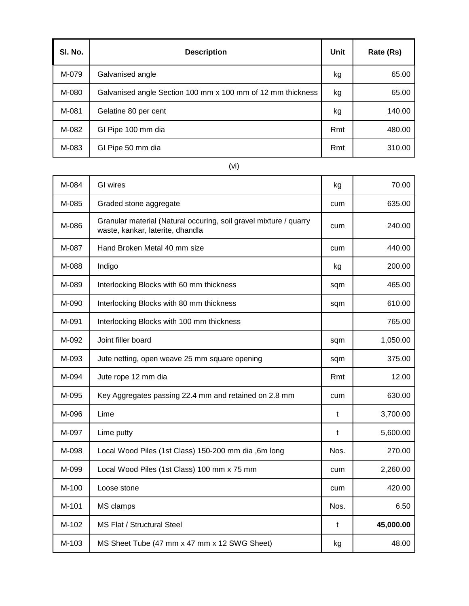| SI. No. | <b>Description</b>                                          | Unit | Rate (Rs) |
|---------|-------------------------------------------------------------|------|-----------|
| M-079   | Galvanised angle                                            | kg   | 65.00     |
| M-080   | Galvanised angle Section 100 mm x 100 mm of 12 mm thickness | kg   | 65.00     |
| M-081   | Gelatine 80 per cent                                        | kg   | 140.00    |
| M-082   | GI Pipe 100 mm dia                                          | Rmt  | 480.00    |
| M-083   | GI Pipe 50 mm dia                                           | Rmt  | 310.00    |

(vi)

٦

Т

Г

Т

| M-084 | <b>GI</b> wires                                                                                       | kg   | 70.00     |
|-------|-------------------------------------------------------------------------------------------------------|------|-----------|
| M-085 | Graded stone aggregate                                                                                | cum  | 635.00    |
| M-086 | Granular material (Natural occuring, soil gravel mixture / quarry<br>waste, kankar, laterite, dhandla | cum  | 240.00    |
| M-087 | Hand Broken Metal 40 mm size                                                                          | cum  | 440.00    |
| M-088 | Indigo                                                                                                | kg   | 200.00    |
| M-089 | Interlocking Blocks with 60 mm thickness                                                              | sqm  | 465.00    |
| M-090 | Interlocking Blocks with 80 mm thickness                                                              | sqm  | 610.00    |
| M-091 | Interlocking Blocks with 100 mm thickness                                                             |      | 765.00    |
| M-092 | Joint filler board                                                                                    | sqm  | 1,050.00  |
| M-093 | Jute netting, open weave 25 mm square opening                                                         | sqm  | 375.00    |
| M-094 | Jute rope 12 mm dia                                                                                   | Rmt  | 12.00     |
| M-095 | Key Aggregates passing 22.4 mm and retained on 2.8 mm                                                 | cum  | 630.00    |
| M-096 | Lime                                                                                                  | t    | 3,700.00  |
| M-097 | Lime putty                                                                                            | t    | 5,600.00  |
| M-098 | Local Wood Piles (1st Class) 150-200 mm dia ,6m long                                                  | Nos. | 270.00    |
| M-099 | Local Wood Piles (1st Class) 100 mm x 75 mm                                                           | cum  | 2,260.00  |
| M-100 | Loose stone                                                                                           | cum  | 420.00    |
| M-101 | MS clamps                                                                                             | Nos. | 6.50      |
| M-102 | <b>MS Flat / Structural Steel</b>                                                                     | t    | 45,000.00 |
| M-103 | MS Sheet Tube (47 mm x 47 mm x 12 SWG Sheet)                                                          | kg   | 48.00     |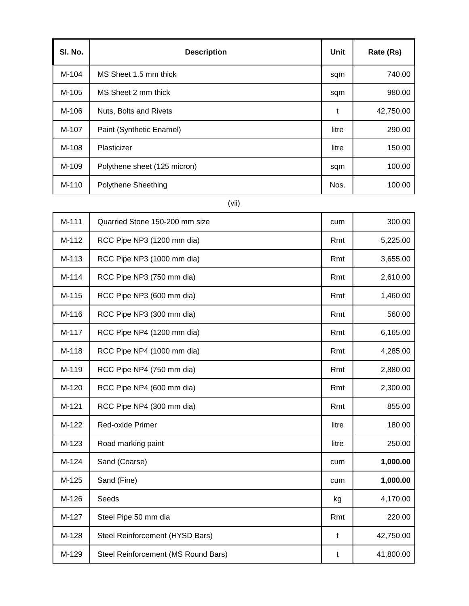| SI. No. | <b>Description</b>           | Unit  | Rate (Rs) |
|---------|------------------------------|-------|-----------|
| M-104   | MS Sheet 1.5 mm thick        | sqm   | 740.00    |
| M-105   | MS Sheet 2 mm thick          | sqm   | 980.00    |
| M-106   | Nuts, Bolts and Rivets       | t     | 42,750.00 |
| M-107   | Paint (Synthetic Enamel)     | litre | 290.00    |
| M-108   | Plasticizer                  | litre | 150.00    |
| M-109   | Polythene sheet (125 micron) | sqm   | 100.00    |
| M-110   | Polythene Sheething          | Nos.  | 100.00    |

(vii)

| M-111 | Quarried Stone 150-200 mm size      | cum   | 300.00    |
|-------|-------------------------------------|-------|-----------|
| M-112 | RCC Pipe NP3 (1200 mm dia)          | Rmt   | 5,225.00  |
| M-113 | RCC Pipe NP3 (1000 mm dia)          | Rmt   | 3,655.00  |
| M-114 | RCC Pipe NP3 (750 mm dia)           | Rmt   | 2,610.00  |
| M-115 | RCC Pipe NP3 (600 mm dia)           | Rmt   | 1,460.00  |
| M-116 | RCC Pipe NP3 (300 mm dia)           | Rmt   | 560.00    |
| M-117 | RCC Pipe NP4 (1200 mm dia)          | Rmt   | 6,165.00  |
| M-118 | RCC Pipe NP4 (1000 mm dia)          | Rmt   | 4,285.00  |
| M-119 | RCC Pipe NP4 (750 mm dia)           | Rmt   | 2,880.00  |
| M-120 | RCC Pipe NP4 (600 mm dia)           | Rmt   | 2,300.00  |
| M-121 | RCC Pipe NP4 (300 mm dia)           | Rmt   | 855.00    |
| M-122 | Red-oxide Primer                    | litre | 180.00    |
| M-123 | Road marking paint                  | litre | 250.00    |
| M-124 | Sand (Coarse)                       | cum   | 1,000.00  |
| M-125 | Sand (Fine)                         | cum   | 1,000.00  |
| M-126 | Seeds                               | kg    | 4,170.00  |
| M-127 | Steel Pipe 50 mm dia                | Rmt   | 220.00    |
| M-128 | Steel Reinforcement (HYSD Bars)     | t     | 42,750.00 |
| M-129 | Steel Reinforcement (MS Round Bars) | t     | 41,800.00 |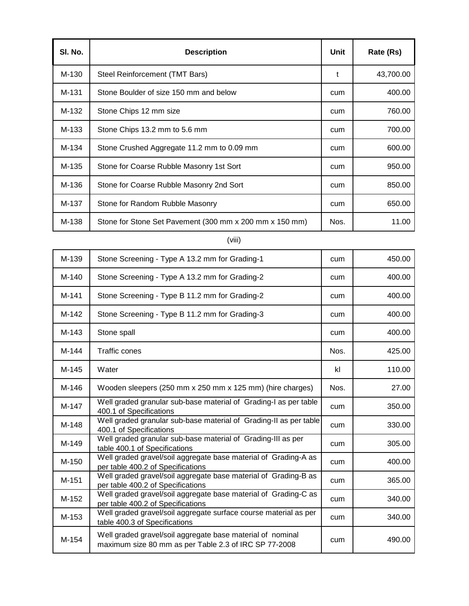| SI. No. | <b>Description</b>                                      | Unit | Rate (Rs) |
|---------|---------------------------------------------------------|------|-----------|
| M-130   | Steel Reinforcement (TMT Bars)                          | t    | 43,700.00 |
| M-131   | Stone Boulder of size 150 mm and below                  | cum  | 400.00    |
| M-132   | Stone Chips 12 mm size                                  | cum  | 760.00    |
| M-133   | Stone Chips 13.2 mm to 5.6 mm                           | cum  | 700.00    |
| M-134   | Stone Crushed Aggregate 11.2 mm to 0.09 mm              | cum  | 600.00    |
| M-135   | Stone for Coarse Rubble Masonry 1st Sort                | cum  | 950.00    |
| M-136   | Stone for Coarse Rubble Masonry 2nd Sort                | cum  | 850.00    |
| M-137   | Stone for Random Rubble Masonry                         | cum  | 650.00    |
| M-138   | Stone for Stone Set Pavement (300 mm x 200 mm x 150 mm) | Nos. | 11.00     |

### (viii)

| M-139 | Stone Screening - Type A 13.2 mm for Grading-1                                                                      | cum  | 450.00 |
|-------|---------------------------------------------------------------------------------------------------------------------|------|--------|
| M-140 | Stone Screening - Type A 13.2 mm for Grading-2                                                                      | cum  | 400.00 |
| M-141 | Stone Screening - Type B 11.2 mm for Grading-2                                                                      | cum  | 400.00 |
| M-142 | Stone Screening - Type B 11.2 mm for Grading-3                                                                      | cum  | 400.00 |
| M-143 | Stone spall                                                                                                         | cum  | 400.00 |
| M-144 | <b>Traffic cones</b>                                                                                                | Nos. | 425.00 |
| M-145 | Water                                                                                                               | kl   | 110.00 |
| M-146 | Wooden sleepers (250 mm x 250 mm x 125 mm) (hire charges)                                                           | Nos. | 27.00  |
| M-147 | Well graded granular sub-base material of Grading-I as per table<br>400.1 of Specifications                         | cum  | 350.00 |
| M-148 | Well graded granular sub-base material of Grading-II as per table<br>400.1 of Specifications                        | cum  | 330.00 |
| M-149 | Well graded granular sub-base material of Grading-III as per<br>table 400.1 of Specifications                       | cum  | 305.00 |
| M-150 | Well graded gravel/soil aggregate base material of Grading-A as<br>per table 400.2 of Specifications                | cum  | 400.00 |
| M-151 | Well graded gravel/soil aggregate base material of Grading-B as<br>per table 400.2 of Specifications                | cum  | 365.00 |
| M-152 | Well graded gravel/soil aggregate base material of Grading-C as<br>per table 400.2 of Specifications                | cum  | 340.00 |
| M-153 | Well graded gravel/soil aggregate surface course material as per<br>table 400.3 of Specifications                   | cum  | 340.00 |
| M-154 | Well graded gravel/soil aggregate base material of nominal<br>maximum size 80 mm as per Table 2.3 of IRC SP 77-2008 | cum  | 490.00 |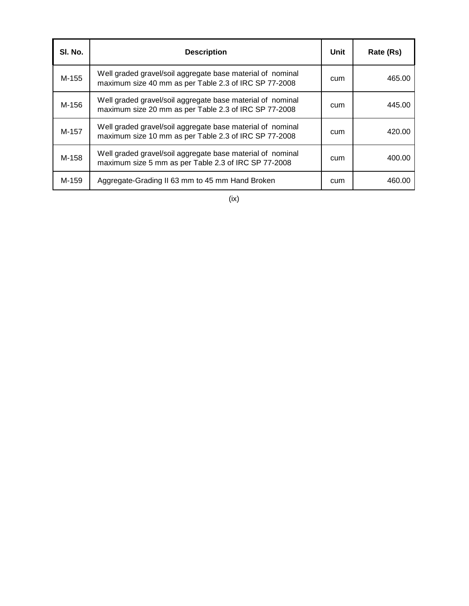| SI. No. | <b>Description</b>                                                                                                  | Unit | Rate (Rs) |
|---------|---------------------------------------------------------------------------------------------------------------------|------|-----------|
| M-155   | Well graded gravel/soil aggregate base material of nominal<br>maximum size 40 mm as per Table 2.3 of IRC SP 77-2008 | cum  | 465.00    |
| M-156   | Well graded gravel/soil aggregate base material of nominal<br>maximum size 20 mm as per Table 2.3 of IRC SP 77-2008 | cum  | 445.00    |
| M-157   | Well graded gravel/soil aggregate base material of nominal<br>maximum size 10 mm as per Table 2.3 of IRC SP 77-2008 | cum  | 420.00    |
| M-158   | Well graded gravel/soil aggregate base material of nominal<br>maximum size 5 mm as per Table 2.3 of IRC SP 77-2008  | cum  | 400.00    |
| M-159   | Aggregate-Grading II 63 mm to 45 mm Hand Broken                                                                     | cum  | 460.00    |

(ix)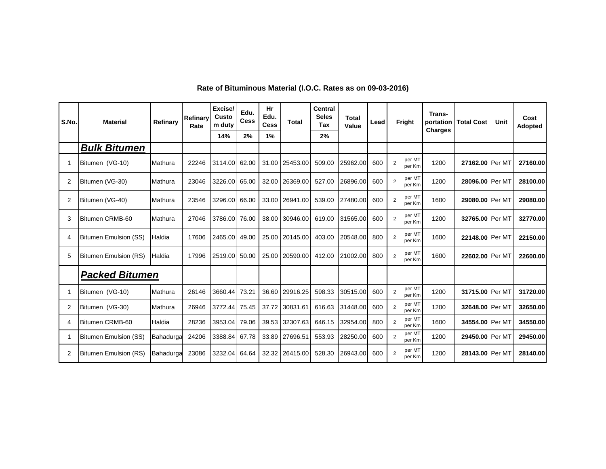| S.No.          | <b>Material</b>              | Refinary  | Refinary<br>Rate | Excise/<br>Custo<br>m duty | Edu.<br><b>Cess</b> | Hr<br>Edu.<br><b>Cess</b> | <b>Total</b> | <b>Central</b><br><b>Seles</b><br>Tax | <b>Total</b><br>Value | Lead | Fright                             | Trans-<br>portation<br><b>Charges</b> | <b>Total Cost</b> | <b>Unit</b> | Cost<br>Adopted |
|----------------|------------------------------|-----------|------------------|----------------------------|---------------------|---------------------------|--------------|---------------------------------------|-----------------------|------|------------------------------------|---------------------------------------|-------------------|-------------|-----------------|
|                |                              |           |                  | 14%                        | 2%                  | 1%                        |              | 2%                                    |                       |      |                                    |                                       |                   |             |                 |
|                | <b>Bulk Bitumen</b>          |           |                  |                            |                     |                           |              |                                       |                       |      |                                    |                                       |                   |             |                 |
|                | Bitumen (VG-10)              | Mathura   | 22246            | 3114.00                    | 62.00               | 31.00                     | 25453.00     | 509.00                                | 25962.00              | 600  | per MT<br>$\overline{2}$<br>per Km | 1200                                  | 27162.00 Per MT   |             | 27160.00        |
| 2              | Bitumen (VG-30)              | Mathura   | 23046            | 3226.00                    | 65.00               | 32.00                     | 26369.00     | 527.00                                | 26896.00              | 600  | per MT<br>2<br>per Km              | 1200                                  | 28096.00 Per MT   |             | 28100.00        |
| $\overline{2}$ | Bitumen (VG-40)              | Mathura   | 23546            | 3296.00                    | 66.00               | 33.00                     | 26941.00     | 539.00                                | 27480.00              | 600  | per MT<br>$\overline{2}$<br>per Km | 1600                                  | 29080.00 Per MT   |             | 29080.00        |
| 3              | Bitumen CRMB-60              | Mathura   | 27046            | 3786.00                    | 76.00               | 38.00                     | 30946.00     | 619.00                                | 31565.00              | 600  | per MT<br>$\overline{2}$<br>per Km | 1200                                  | 32765.00 Per MT   |             | 32770.00        |
| $\overline{4}$ | <b>Bitumen Emulsion (SS)</b> | Haldia    | 17606            | 2465.00                    | 49.00               | 25.00                     | 20145.00     | 403.00                                | 20548.00              | 800  | per MT<br>2<br>per Km              | 1600                                  | 22148.00 Per MT   |             | 22150.00        |
| 5              | <b>Bitumen Emulsion (RS)</b> | Haldia    | 17996            | 2519.00                    | 50.00               | 25.00                     | 20590.00     | 412.00                                | 21002.00              | 800  | per MT<br>$\overline{2}$<br>per Km | 1600                                  | 22602.00 Per MT   |             | 22600.00        |
|                | <b>Packed Bitumen</b>        |           |                  |                            |                     |                           |              |                                       |                       |      |                                    |                                       |                   |             |                 |
|                | Bitumen (VG-10)              | Mathura   | 26146            | 3660.44                    | 73.21               | 36.60                     | 29916.25     | 598.33                                | 30515.00              | 600  | per MT<br>$\overline{2}$<br>per Km | 1200                                  | 31715.00 Per MT   |             | 31720.00        |
| 2              | Bitumen (VG-30)              | Mathura   | 26946            | 3772.44                    | 75.45               | 37.72                     | 30831.61     | 616.63                                | 31448.00              | 600  | per MT<br>$\overline{2}$<br>per Km | 1200                                  | 32648.00 Per MT   |             | 32650.00        |
| 4              | Bitumen CRMB-60              | Haldia    | 28236            | 3953.04                    | 79.06               | 39.53                     | 32307.63     | 646.15                                | 32954.00              | 800  | per MT<br>2<br>per Km              | 1600                                  | 34554.00 Per MT   |             | 34550.00        |
|                | <b>Bitumen Emulsion (SS)</b> | Bahadurga | 24206            | 3388.84                    | 67.78               | 33.89                     | 27696.51     | 553.93                                | 28250.00              | 600  | per MT<br>$\overline{2}$<br>per Km | 1200                                  | 29450.00 Per MT   |             | 29450.00        |
| $\overline{2}$ | <b>Bitumen Emulsion (RS)</b> | Bahadurga | 23086            | 3232.04                    | 64.64               | 32.32                     | 26415.00     | 528.30                                | 26943.00              | 600  | per MT<br>$\overline{2}$<br>per Km | 1200                                  | 28143.00 Per MT   |             | 28140.00        |

### **Rate of Bituminous Material (I.O.C. Rates as on 09-03-2016)**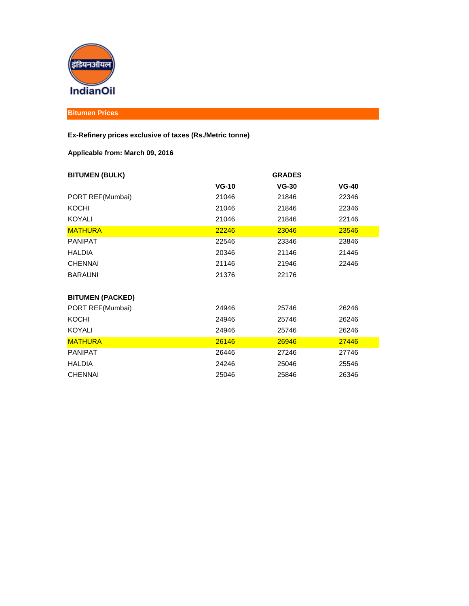

### **Bitumen Prices**

#### **Ex-Refinery prices exclusive of taxes (Rs./Metric tonne)**

### **Applicable from: March 09, 2016**

| <b>BITUMEN (BULK)</b>   |         | <b>GRADES</b> |         |
|-------------------------|---------|---------------|---------|
|                         | $VG-10$ | $VG-30$       | $VG-40$ |
| PORT REF(Mumbai)        | 21046   | 21846         | 22346   |
| <b>KOCHI</b>            | 21046   | 21846         | 22346   |
| <b>KOYALI</b>           | 21046   | 21846         | 22146   |
| <b>MATHURA</b>          | 22246   | 23046         | 23546   |
| <b>PANIPAT</b>          | 22546   | 23346         | 23846   |
| <b>HALDIA</b>           | 20346   | 21146         | 21446   |
| <b>CHENNAI</b>          | 21146   | 21946         | 22446   |
| <b>BARAUNI</b>          | 21376   | 22176         |         |
|                         |         |               |         |
| <b>BITUMEN (PACKED)</b> |         |               |         |
| PORT REF(Mumbai)        | 24946   | 25746         | 26246   |
| <b>KOCHI</b>            | 24946   | 25746         | 26246   |
| <b>KOYALI</b>           | 24946   | 25746         | 26246   |
| <b>MATHURA</b>          | 26146   | 26946         | 27446   |
| <b>PANIPAT</b>          | 26446   | 27246         | 27746   |
| <b>HALDIA</b>           | 24246   | 25046         | 25546   |
| <b>CHENNAI</b>          | 25046   | 25846         | 26346   |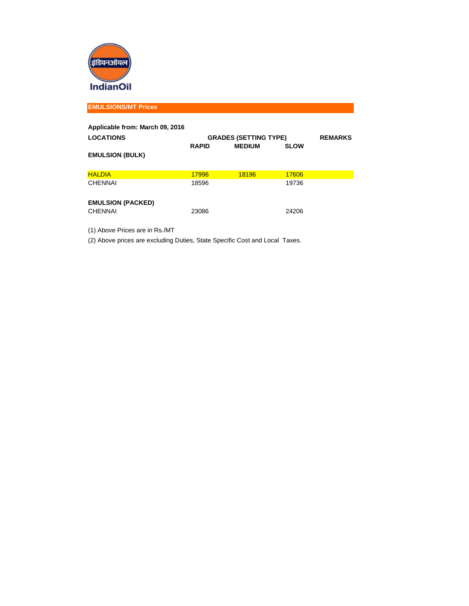

**EMULSIONS/MT Prices**

| Applicable from: March 09, 2016 |              |                              |             |  |  |  |
|---------------------------------|--------------|------------------------------|-------------|--|--|--|
| <b>LOCATIONS</b>                |              | <b>GRADES (SETTING TYPE)</b> |             |  |  |  |
|                                 | <b>RAPID</b> | <b>MEDIUM</b>                | <b>SLOW</b> |  |  |  |
| <b>EMULSION (BULK)</b>          |              |                              |             |  |  |  |
|                                 |              |                              |             |  |  |  |
| <b>HALDIA</b>                   | 17996        | 18196                        | 17606       |  |  |  |
| CHENNAI                         | 18596        |                              | 19736       |  |  |  |
| <b>EMULSION (PACKED)</b>        |              |                              |             |  |  |  |
| CHENNAI                         | 23086        |                              | 24206       |  |  |  |

(1) Above Prices are in Rs./MT

(2) Above prices are excluding Duties, State Specific Cost and Local Taxes.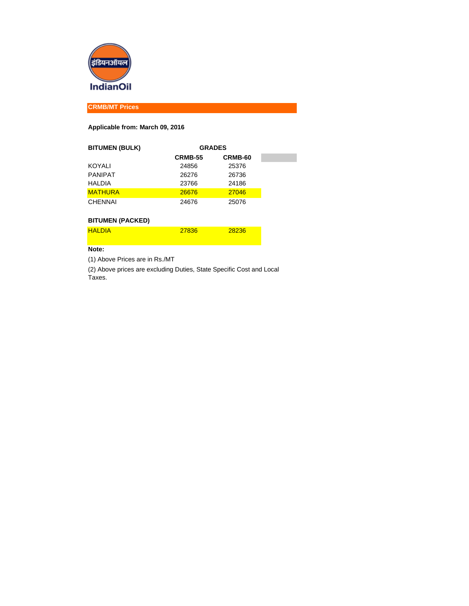

**CRMB/MT Prices**

#### **Applicable from: March 09, 2016**

| <b>BITUMEN (BULK)</b> | <b>GRADES</b>  |         |  |
|-----------------------|----------------|---------|--|
|                       | <b>CRMB-55</b> | CRMB-60 |  |
| KOYALI                | 24856          | 25376   |  |
| <b>PANIPAT</b>        | 26276          | 26736   |  |
| <b>HALDIA</b>         | 23766          | 24186   |  |
| <b>MATHURA</b>        | 26676          | 27046   |  |
| <b>CHENNAI</b>        | 24676          | 25076   |  |

#### **BITUMEN (PACKED)**

| <b>HAI DIA</b> | 27836 | 28236 |
|----------------|-------|-------|
|                |       |       |

#### **Note:**

(1) Above Prices are in Rs./MT

(2) Above prices are excluding Duties, State Specific Cost and Local Taxes.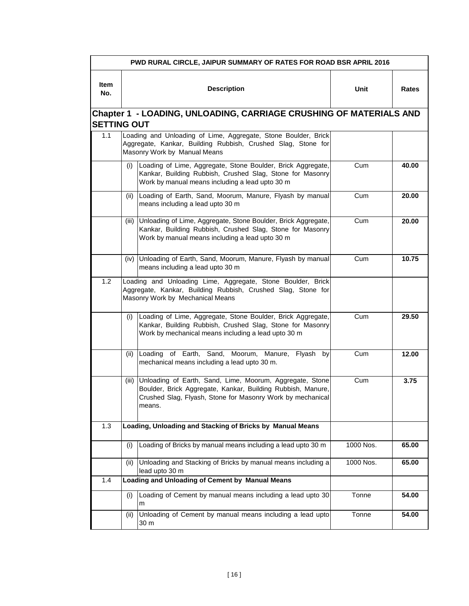|             | PWD RURAL CIRCLE, JAIPUR SUMMARY OF RATES FOR ROAD BSR APRIL 2016                               |                                                                                                                                                                                                 |           |       |  |  |  |  |  |  |
|-------------|-------------------------------------------------------------------------------------------------|-------------------------------------------------------------------------------------------------------------------------------------------------------------------------------------------------|-----------|-------|--|--|--|--|--|--|
| ltem<br>No. |                                                                                                 | <b>Description</b>                                                                                                                                                                              | Unit      | Rates |  |  |  |  |  |  |
|             | <b>Chapter 1 - LOADING, UNLOADING, CARRIAGE CRUSHING OF MATERIALS AND</b><br><b>SETTING OUT</b> |                                                                                                                                                                                                 |           |       |  |  |  |  |  |  |
| 1.1         |                                                                                                 | Loading and Unloading of Lime, Aggregate, Stone Boulder, Brick<br>Aggregate, Kankar, Building Rubbish, Crushed Slag, Stone for<br>Masonry Work by Manual Means                                  |           |       |  |  |  |  |  |  |
|             | (i)                                                                                             | Loading of Lime, Aggregate, Stone Boulder, Brick Aggregate,<br>Kankar, Building Rubbish, Crushed Slag, Stone for Masonry<br>Work by manual means including a lead upto 30 m                     | Cum       | 40.00 |  |  |  |  |  |  |
|             | (ii)                                                                                            | Loading of Earth, Sand, Moorum, Manure, Flyash by manual<br>means including a lead upto 30 m                                                                                                    | Cum       | 20.00 |  |  |  |  |  |  |
|             | (iii)                                                                                           | Unloading of Lime, Aggregate, Stone Boulder, Brick Aggregate,<br>Kankar, Building Rubbish, Crushed Slag, Stone for Masonry<br>Work by manual means including a lead upto 30 m                   | Cum       | 20.00 |  |  |  |  |  |  |
|             |                                                                                                 | (iv) Unloading of Earth, Sand, Moorum, Manure, Flyash by manual<br>means including a lead upto 30 m                                                                                             | Cum       | 10.75 |  |  |  |  |  |  |
| 1.2         |                                                                                                 | Loading and Unloading Lime, Aggregate, Stone Boulder, Brick<br>Aggregate, Kankar, Building Rubbish, Crushed Slag, Stone for<br>Masonry Work by Mechanical Means                                 |           |       |  |  |  |  |  |  |
|             | (i)                                                                                             | Loading of Lime, Aggregate, Stone Boulder, Brick Aggregate,<br>Kankar, Building Rubbish, Crushed Slag, Stone for Masonry<br>Work by mechanical means including a lead upto 30 m                 | Cum       | 29.50 |  |  |  |  |  |  |
|             | (ii)                                                                                            | Loading of Earth, Sand, Moorum, Manure, Flyash by<br>mechanical means including a lead upto 30 m.                                                                                               | Cum       | 12.00 |  |  |  |  |  |  |
|             | (iii)                                                                                           | Unloading of Earth, Sand, Lime, Moorum, Aggregate, Stone<br>Boulder, Brick Aggregate, Kankar, Building Rubbish, Manure,<br>Crushed Slag, Flyash, Stone for Masonry Work by mechanical<br>means. | Cum       | 3.75  |  |  |  |  |  |  |
| 1.3         |                                                                                                 | Loading, Unloading and Stacking of Bricks by Manual Means                                                                                                                                       |           |       |  |  |  |  |  |  |
|             | (i)                                                                                             | Loading of Bricks by manual means including a lead upto 30 m                                                                                                                                    | 1000 Nos. | 65.00 |  |  |  |  |  |  |
|             | (ii)                                                                                            | Unloading and Stacking of Bricks by manual means including a<br>lead upto 30 m                                                                                                                  | 1000 Nos. | 65.00 |  |  |  |  |  |  |
| 1.4         |                                                                                                 | Loading and Unloading of Cement by Manual Means                                                                                                                                                 |           |       |  |  |  |  |  |  |
|             | (i)                                                                                             | Loading of Cement by manual means including a lead upto 30<br>m                                                                                                                                 | Tonne     | 54.00 |  |  |  |  |  |  |
|             | (ii)                                                                                            | Unloading of Cement by manual means including a lead upto<br>30 m                                                                                                                               | Tonne     | 54.00 |  |  |  |  |  |  |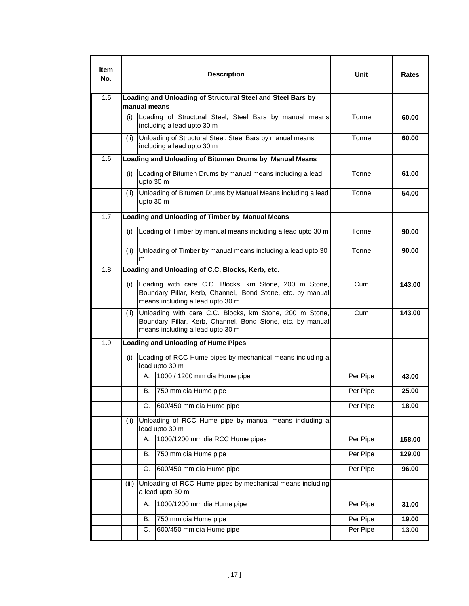| ltem<br>No. |       |              | <b>Description</b>                                                                                                                                        | Unit     | Rates  |
|-------------|-------|--------------|-----------------------------------------------------------------------------------------------------------------------------------------------------------|----------|--------|
| 1.5         |       | manual means | Loading and Unloading of Structural Steel and Steel Bars by                                                                                               |          |        |
|             | (i)   |              | Loading of Structural Steel, Steel Bars by manual means<br>including a lead upto 30 m                                                                     | Tonne    | 60.00  |
|             | (ii)  |              | Unloading of Structural Steel, Steel Bars by manual means<br>including a lead upto 30 m                                                                   | Tonne    | 60.00  |
| 1.6         |       |              | Loading and Unloading of Bitumen Drums by Manual Means                                                                                                    |          |        |
|             | (i)   | upto 30 m    | Loading of Bitumen Drums by manual means including a lead                                                                                                 | Tonne    | 61.00  |
|             | (ii)  |              | Unloading of Bitumen Drums by Manual Means including a lead<br>upto 30 m                                                                                  | Tonne    | 54.00  |
| 1.7         |       |              | Loading and Unloading of Timber by Manual Means                                                                                                           |          |        |
|             | (i)   |              | Loading of Timber by manual means including a lead upto 30 m                                                                                              | Tonne    | 90.00  |
|             | (ii)  | m            | Unloading of Timber by manual means including a lead upto 30                                                                                              | Tonne    | 90.00  |
| 1.8         |       |              | Loading and Unloading of C.C. Blocks, Kerb, etc.                                                                                                          |          |        |
|             | (i)   |              | Loading with care C.C. Blocks, km Stone, 200 m Stone,<br>Boundary Pillar, Kerb, Channel, Bond Stone, etc. by manual<br>means including a lead upto 30 m   | Cum      | 143.00 |
|             | (ii)  |              | Unloading with care C.C. Blocks, km Stone, 200 m Stone,<br>Boundary Pillar, Kerb, Channel, Bond Stone, etc. by manual<br>means including a lead upto 30 m | Cum      | 143.00 |
| 1.9         |       |              | <b>Loading and Unloading of Hume Pipes</b>                                                                                                                |          |        |
|             | (i)   |              | Loading of RCC Hume pipes by mechanical means including a<br>lead upto 30 m                                                                               |          |        |
|             |       | А.           | 1000 / 1200 mm dia Hume pipe                                                                                                                              | Per Pipe | 43.00  |
|             |       | В.           | 750 mm dia Hume pipe                                                                                                                                      | Per Pipe | 25.00  |
|             |       | C.           | 600/450 mm dia Hume pipe                                                                                                                                  | Per Pipe | 18.00  |
|             | (ii)  |              | Unloading of RCC Hume pipe by manual means including a<br>lead upto 30 m                                                                                  |          |        |
|             |       | Α.           | 1000/1200 mm dia RCC Hume pipes                                                                                                                           | Per Pipe | 158.00 |
|             |       | В.           | 750 mm dia Hume pipe                                                                                                                                      | Per Pipe | 129.00 |
|             |       | C.           | 600/450 mm dia Hume pipe                                                                                                                                  | Per Pipe | 96.00  |
|             | (iii) |              | Unloading of RCC Hume pipes by mechanical means including<br>a lead upto 30 m                                                                             |          |        |
|             |       | А.           | 1000/1200 mm dia Hume pipe                                                                                                                                | Per Pipe | 31.00  |
|             |       | В.           | 750 mm dia Hume pipe                                                                                                                                      | Per Pipe | 19.00  |
|             |       | С.           | 600/450 mm dia Hume pipe                                                                                                                                  | Per Pipe | 13.00  |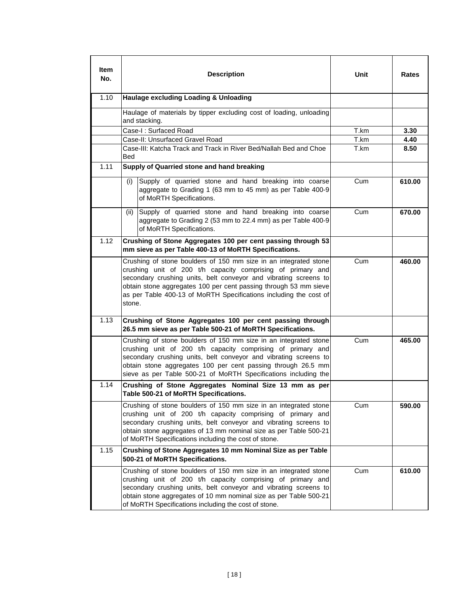| ltem<br>No. | <b>Description</b>                                                                                                                                                                                                                                                                                                                                     | Unit | Rates  |
|-------------|--------------------------------------------------------------------------------------------------------------------------------------------------------------------------------------------------------------------------------------------------------------------------------------------------------------------------------------------------------|------|--------|
| 1.10        | Haulage excluding Loading & Unloading                                                                                                                                                                                                                                                                                                                  |      |        |
|             | Haulage of materials by tipper excluding cost of loading, unloading<br>and stacking.                                                                                                                                                                                                                                                                   |      |        |
|             | Case-I: Surfaced Road                                                                                                                                                                                                                                                                                                                                  | T.km | 3.30   |
|             | Case-II: Unsurfaced Gravel Road                                                                                                                                                                                                                                                                                                                        | T.km | 4.40   |
|             | Case-III: Katcha Track and Track in River Bed/Nallah Bed and Choe<br>Bed                                                                                                                                                                                                                                                                               | T.km | 8.50   |
| 1.11        | Supply of Quarried stone and hand breaking                                                                                                                                                                                                                                                                                                             |      |        |
|             | Supply of quarried stone and hand breaking into coarse<br>(i)<br>aggregate to Grading 1 (63 mm to 45 mm) as per Table 400-9<br>of MoRTH Specifications.                                                                                                                                                                                                | Cum  | 610.00 |
|             | Supply of quarried stone and hand breaking into coarse<br>(ii)<br>aggregate to Grading 2 (53 mm to 22.4 mm) as per Table 400-9<br>of MoRTH Specifications.                                                                                                                                                                                             | Cum  | 670.00 |
| 1.12        | Crushing of Stone Aggregates 100 per cent passing through 53<br>mm sieve as per Table 400-13 of MoRTH Specifications.                                                                                                                                                                                                                                  |      |        |
|             | Crushing of stone boulders of 150 mm size in an integrated stone<br>crushing unit of 200 t/h capacity comprising of primary and<br>secondary crushing units, belt conveyor and vibrating screens to<br>obtain stone aggregates 100 per cent passing through 53 mm sieve<br>as per Table 400-13 of MoRTH Specifications including the cost of<br>stone. | Cum  | 460.00 |
| 1.13        | Crushing of Stone Aggregates 100 per cent passing through<br>26.5 mm sieve as per Table 500-21 of MoRTH Specifications.                                                                                                                                                                                                                                |      |        |
|             | Crushing of stone boulders of 150 mm size in an integrated stone<br>crushing unit of 200 t/h capacity comprising of primary and<br>secondary crushing units, belt conveyor and vibrating screens to<br>obtain stone aggregates 100 per cent passing through 26.5 mm<br>sieve as per Table 500-21 of MoRTH Specifications including the                 | Cum  | 465.00 |
| 1.14        | Crushing of Stone Aggregates Nominal Size 13 mm as per<br>Table 500-21 of MoRTH Specifications.                                                                                                                                                                                                                                                        |      |        |
|             | Crushing of stone boulders of 150 mm size in an integrated stone<br>crushing unit of 200 t/h capacity comprising of primary and<br>secondary crushing units, belt conveyor and vibrating screens to<br>obtain stone aggregates of 13 mm nominal size as per Table 500-21<br>of MoRTH Specifications including the cost of stone.                       | Cum  | 590.00 |
| 1.15        | Crushing of Stone Aggregates 10 mm Nominal Size as per Table<br>500-21 of MoRTH Specifications.                                                                                                                                                                                                                                                        |      |        |
|             | Crushing of stone boulders of 150 mm size in an integrated stone<br>crushing unit of 200 t/h capacity comprising of primary and<br>secondary crushing units, belt conveyor and vibrating screens to<br>obtain stone aggregates of 10 mm nominal size as per Table 500-21<br>of MoRTH Specifications including the cost of stone.                       | Cum  | 610.00 |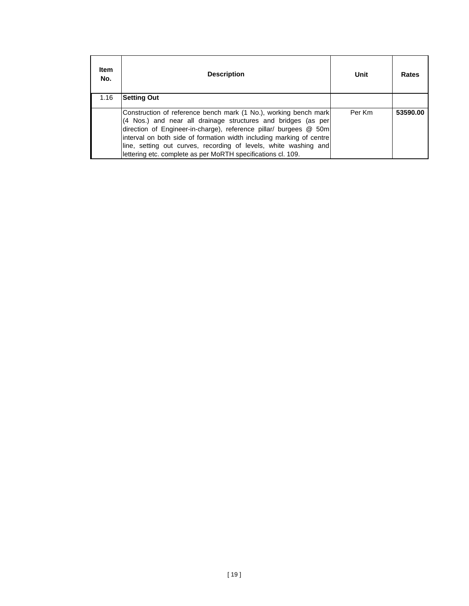| <b>Item</b><br>No. | <b>Description</b>                                                                                                                                                                                                                                                                                                                                                                                                 | Unit   | Rates    |
|--------------------|--------------------------------------------------------------------------------------------------------------------------------------------------------------------------------------------------------------------------------------------------------------------------------------------------------------------------------------------------------------------------------------------------------------------|--------|----------|
| 1.16               | <b>Setting Out</b>                                                                                                                                                                                                                                                                                                                                                                                                 |        |          |
|                    | Construction of reference bench mark (1 No.), working bench mark<br>(4 Nos.) and near all drainage structures and bridges (as per<br>direction of Engineer-in-charge), reference pillar/ burgees @ 50m<br>interval on both side of formation width including marking of centre<br>line, setting out curves, recording of levels, white washing and<br>lettering etc. complete as per MoRTH specifications cl. 109. | Per Km | 53590.00 |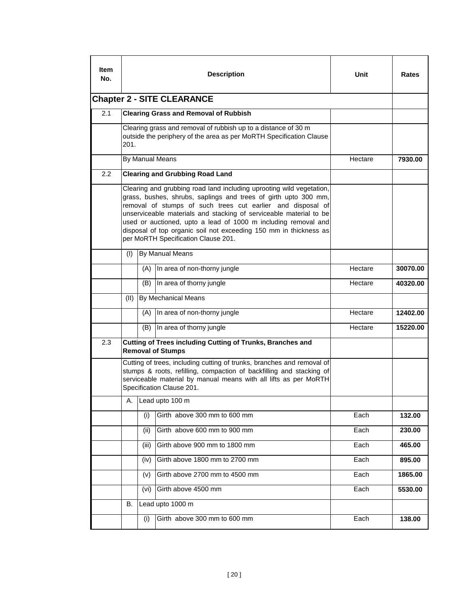| ltem<br>No.                                                                              |                            |       | <b>Description</b>                                                                                                                                                                                                                                                                                                                                                                                                                                         | Unit    | Rates    |  |
|------------------------------------------------------------------------------------------|----------------------------|-------|------------------------------------------------------------------------------------------------------------------------------------------------------------------------------------------------------------------------------------------------------------------------------------------------------------------------------------------------------------------------------------------------------------------------------------------------------------|---------|----------|--|
| <b>Chapter 2 - SITE CLEARANCE</b><br>2.1<br><b>Clearing Grass and Removal of Rubbish</b> |                            |       |                                                                                                                                                                                                                                                                                                                                                                                                                                                            |         |          |  |
|                                                                                          |                            |       |                                                                                                                                                                                                                                                                                                                                                                                                                                                            |         |          |  |
|                                                                                          | 201.                       |       | Clearing grass and removal of rubbish up to a distance of 30 m<br>outside the periphery of the area as per MoRTH Specification Clause                                                                                                                                                                                                                                                                                                                      |         |          |  |
|                                                                                          | By Manual Means<br>Hectare |       |                                                                                                                                                                                                                                                                                                                                                                                                                                                            |         | 7930.00  |  |
| 2.2                                                                                      |                            |       | <b>Clearing and Grubbing Road Land</b>                                                                                                                                                                                                                                                                                                                                                                                                                     |         |          |  |
|                                                                                          |                            |       | Clearing and grubbing road land including uprooting wild vegetation,<br>grass, bushes, shrubs, saplings and trees of girth upto 300 mm,<br>removal of stumps of such trees cut earlier and disposal of<br>unserviceable materials and stacking of serviceable material to be<br>used or auctioned, upto a lead of 1000 m including removal and<br>disposal of top organic soil not exceeding 150 mm in thickness as<br>per MoRTH Specification Clause 201. |         |          |  |
|                                                                                          | (1)                        |       | By Manual Means                                                                                                                                                                                                                                                                                                                                                                                                                                            |         |          |  |
|                                                                                          |                            | (A)   | In area of non-thorny jungle                                                                                                                                                                                                                                                                                                                                                                                                                               | Hectare | 30070.00 |  |
|                                                                                          |                            | (B)   | In area of thorny jungle                                                                                                                                                                                                                                                                                                                                                                                                                                   | Hectare | 40320.00 |  |
|                                                                                          | (II)                       |       | By Mechanical Means                                                                                                                                                                                                                                                                                                                                                                                                                                        |         |          |  |
|                                                                                          |                            | (A)   | In area of non-thorny jungle                                                                                                                                                                                                                                                                                                                                                                                                                               | Hectare | 12402.00 |  |
|                                                                                          |                            | (B)   | In area of thorny jungle                                                                                                                                                                                                                                                                                                                                                                                                                                   | Hectare | 15220.00 |  |
| 2.3                                                                                      |                            |       | Cutting of Trees including Cutting of Trunks, Branches and<br><b>Removal of Stumps</b>                                                                                                                                                                                                                                                                                                                                                                     |         |          |  |
|                                                                                          |                            |       | Cutting of trees, including cutting of trunks, branches and removal of<br>stumps & roots, refilling, compaction of backfilling and stacking of<br>serviceable material by manual means with all lifts as per MoRTH<br>Specification Clause 201.                                                                                                                                                                                                            |         |          |  |
|                                                                                          | Α.                         |       | Lead upto 100 m                                                                                                                                                                                                                                                                                                                                                                                                                                            |         |          |  |
|                                                                                          |                            | (i)   | Girth above 300 mm to 600 mm                                                                                                                                                                                                                                                                                                                                                                                                                               | Each    | 132.00   |  |
|                                                                                          |                            | (ii)  | Girth above 600 mm to 900 mm                                                                                                                                                                                                                                                                                                                                                                                                                               | Each    | 230.00   |  |
|                                                                                          |                            | (iii) | Girth above 900 mm to 1800 mm                                                                                                                                                                                                                                                                                                                                                                                                                              | Each    | 465.00   |  |
|                                                                                          |                            | (iv)  | Girth above 1800 mm to 2700 mm                                                                                                                                                                                                                                                                                                                                                                                                                             | Each    | 895.00   |  |
|                                                                                          |                            | (v)   | Girth above 2700 mm to 4500 mm                                                                                                                                                                                                                                                                                                                                                                                                                             | Each    | 1865.00  |  |
|                                                                                          |                            | (vi)  | Girth above 4500 mm                                                                                                                                                                                                                                                                                                                                                                                                                                        | Each    | 5530.00  |  |
|                                                                                          | В.                         |       | Lead upto 1000 m                                                                                                                                                                                                                                                                                                                                                                                                                                           |         |          |  |
|                                                                                          |                            | (i)   | Girth above 300 mm to 600 mm                                                                                                                                                                                                                                                                                                                                                                                                                               | Each    | 138.00   |  |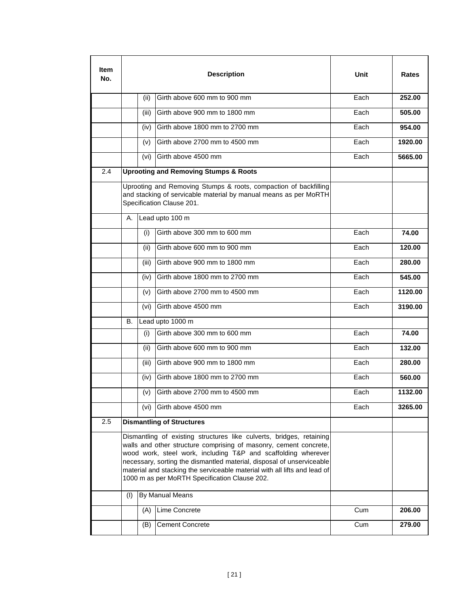| ltem<br>No. |     |       | <b>Description</b>                                                                                                                                                                                                                                                                                                                                                                                                | Unit | Rates   |
|-------------|-----|-------|-------------------------------------------------------------------------------------------------------------------------------------------------------------------------------------------------------------------------------------------------------------------------------------------------------------------------------------------------------------------------------------------------------------------|------|---------|
|             |     | (ii)  | Girth above 600 mm to 900 mm                                                                                                                                                                                                                                                                                                                                                                                      | Each | 252.00  |
|             |     | (iii) | Girth above 900 mm to 1800 mm                                                                                                                                                                                                                                                                                                                                                                                     | Each | 505.00  |
|             |     | (iv)  | Girth above 1800 mm to 2700 mm                                                                                                                                                                                                                                                                                                                                                                                    | Each | 954.00  |
|             |     | (v)   | Girth above 2700 mm to 4500 mm                                                                                                                                                                                                                                                                                                                                                                                    | Each | 1920.00 |
|             |     | (vi)  | Girth above 4500 mm                                                                                                                                                                                                                                                                                                                                                                                               | Each | 5665.00 |
| 2.4         |     |       | <b>Uprooting and Removing Stumps &amp; Roots</b>                                                                                                                                                                                                                                                                                                                                                                  |      |         |
|             |     |       | Uprooting and Removing Stumps & roots, compaction of backfilling<br>and stacking of servicable material by manual means as per MoRTH<br>Specification Clause 201.                                                                                                                                                                                                                                                 |      |         |
|             | А.  |       | Lead upto 100 m                                                                                                                                                                                                                                                                                                                                                                                                   |      |         |
|             |     | (i)   | Girth above 300 mm to 600 mm                                                                                                                                                                                                                                                                                                                                                                                      | Each | 74.00   |
|             |     | (ii)  | Girth above 600 mm to 900 mm                                                                                                                                                                                                                                                                                                                                                                                      | Each | 120.00  |
|             |     | (iii) | Girth above 900 mm to 1800 mm                                                                                                                                                                                                                                                                                                                                                                                     | Fach | 280.00  |
|             |     | (iv)  | Girth above 1800 mm to 2700 mm                                                                                                                                                                                                                                                                                                                                                                                    | Fach | 545.00  |
|             |     | (v)   | Girth above 2700 mm to 4500 mm                                                                                                                                                                                                                                                                                                                                                                                    | Each | 1120.00 |
|             |     | (vi)  | Girth above 4500 mm                                                                                                                                                                                                                                                                                                                                                                                               | Each | 3190.00 |
|             | В.  |       | Lead upto 1000 m                                                                                                                                                                                                                                                                                                                                                                                                  |      |         |
|             |     | (i)   | Girth above 300 mm to 600 mm                                                                                                                                                                                                                                                                                                                                                                                      | Each | 74.00   |
|             |     | (ii)  | Girth above 600 mm to 900 mm                                                                                                                                                                                                                                                                                                                                                                                      | Each | 132.00  |
|             |     | (iii) | Girth above 900 mm to 1800 mm                                                                                                                                                                                                                                                                                                                                                                                     | Each | 280.00  |
|             |     | (iv)  | Girth above 1800 mm to 2700 mm                                                                                                                                                                                                                                                                                                                                                                                    | Each | 560.00  |
|             |     | (v)   | Girth above 2700 mm to 4500 mm                                                                                                                                                                                                                                                                                                                                                                                    | Each | 1132.00 |
|             |     | (vi)  | Girth above 4500 mm                                                                                                                                                                                                                                                                                                                                                                                               | Each | 3265.00 |
| 2.5         |     |       | <b>Dismantling of Structures</b>                                                                                                                                                                                                                                                                                                                                                                                  |      |         |
|             |     |       | Dismantling of existing structures like culverts, bridges, retaining<br>walls and other structure comprising of masonry, cement concrete,<br>wood work, steel work, including T&P and scaffolding wherever<br>necessary, sorting the dismantled material, disposal of unserviceable<br>material and stacking the serviceable material with all lifts and lead of<br>1000 m as per MoRTH Specification Clause 202. |      |         |
|             | (1) |       | By Manual Means                                                                                                                                                                                                                                                                                                                                                                                                   |      |         |
|             |     | (A)   | Lime Concrete                                                                                                                                                                                                                                                                                                                                                                                                     | Cum  | 206.00  |
|             |     | (B)   | <b>Cement Concrete</b>                                                                                                                                                                                                                                                                                                                                                                                            | Cum  | 279.00  |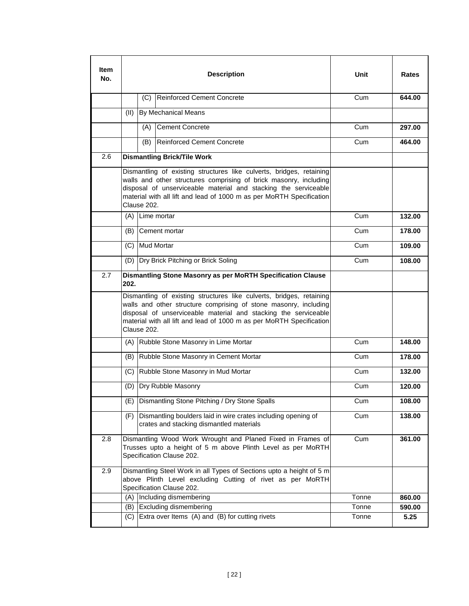| No. | <b>Description</b> |             |                                                                                                                                                                                                                                                                                      | Unit           | <b>Rates</b>                                                                           |
|-----|--------------------|-------------|--------------------------------------------------------------------------------------------------------------------------------------------------------------------------------------------------------------------------------------------------------------------------------------|----------------|----------------------------------------------------------------------------------------|
|     |                    |             | (C) Reinforced Cement Concrete                                                                                                                                                                                                                                                       | Cum            | 644.00                                                                                 |
|     | (11)               |             | <b>By Mechanical Means</b>                                                                                                                                                                                                                                                           |                |                                                                                        |
|     |                    | (A)         | <b>Cement Concrete</b>                                                                                                                                                                                                                                                               | Cum            | 297.00                                                                                 |
|     |                    | (B)         | Reinforced Cement Concrete                                                                                                                                                                                                                                                           | Cum            | 464.00                                                                                 |
| 2.6 |                    |             | <b>Dismantling Brick/Tile Work</b>                                                                                                                                                                                                                                                   |                |                                                                                        |
|     |                    | Clause 202. | Dismantling of existing structures like culverts, bridges, retaining<br>walls and other structures comprising of brick masonry, including<br>disposal of unserviceable material and stacking the serviceable<br>material with all lift and lead of 1000 m as per MoRTH Specification |                |                                                                                        |
|     |                    |             | (A) Lime mortar                                                                                                                                                                                                                                                                      | Cum            | 132.00                                                                                 |
|     |                    |             | (B) Cement mortar                                                                                                                                                                                                                                                                    | Cum            | 178.00                                                                                 |
|     |                    |             | (C) Mud Mortar                                                                                                                                                                                                                                                                       | Cum            | 109.00                                                                                 |
|     |                    |             | (D) Dry Brick Pitching or Brick Soling                                                                                                                                                                                                                                               | Cum            | 108.00                                                                                 |
| 2.7 | 202.               |             | Dismantling Stone Masonry as per MoRTH Specification Clause                                                                                                                                                                                                                          |                |                                                                                        |
|     |                    |             |                                                                                                                                                                                                                                                                                      |                |                                                                                        |
|     |                    | Clause 202. | Dismantling of existing structures like culverts, bridges, retaining<br>walls and other structure comprising of stone masonry, including<br>disposal of unserviceable material and stacking the serviceable<br>material with all lift and lead of 1000 m as per MoRTH Specification  |                |                                                                                        |
|     |                    |             | (A) Rubble Stone Masonry in Lime Mortar                                                                                                                                                                                                                                              | Cum            |                                                                                        |
|     |                    |             | (B) Rubble Stone Masonry in Cement Mortar                                                                                                                                                                                                                                            | Cum            |                                                                                        |
|     |                    |             | (C) Rubble Stone Masonry in Mud Mortar                                                                                                                                                                                                                                               | Cum            |                                                                                        |
|     |                    |             | (D) Dry Rubble Masonry                                                                                                                                                                                                                                                               | Cum            |                                                                                        |
|     |                    |             | (E) Dismantling Stone Pitching / Dry Stone Spalls                                                                                                                                                                                                                                    | Cum            |                                                                                        |
|     | (F)                |             | Dismantling boulders laid in wire crates including opening of<br>crates and stacking dismantled materials                                                                                                                                                                            | Cum            |                                                                                        |
| 2.8 |                    |             | Dismantling Wood Work Wrought and Planed Fixed in Frames of<br>Trusses upto a height of 5 m above Plinth Level as per MoRTH<br>Specification Clause 202.                                                                                                                             | Cum            |                                                                                        |
| 2.9 |                    |             | Dismantling Steel Work in all Types of Sections upto a height of 5 m<br>above Plinth Level excluding Cutting of rivet as per MoRTH<br>Specification Clause 202.                                                                                                                      |                |                                                                                        |
|     |                    |             | (A) Including dismembering                                                                                                                                                                                                                                                           | Tonne          |                                                                                        |
|     | (B)                |             | Excluding dismembering<br>Extra over Items (A) and (B) for cutting rivets                                                                                                                                                                                                            | Tonne<br>Tonne | 148.00<br>178.00<br>132.00<br>120.00<br>108.00<br>138.00<br>361.00<br>860.00<br>590.00 |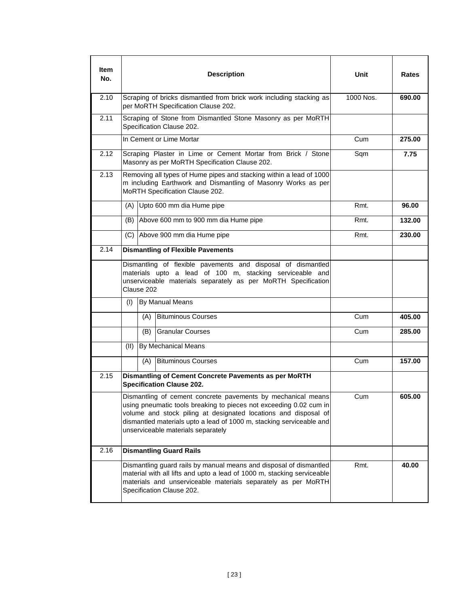| Item<br>No. |                                                                                                                                                                                                                                                                                                                     |            | <b>Description</b>                                                                                                                                                                                                                          | Unit      | <b>Rates</b> |
|-------------|---------------------------------------------------------------------------------------------------------------------------------------------------------------------------------------------------------------------------------------------------------------------------------------------------------------------|------------|---------------------------------------------------------------------------------------------------------------------------------------------------------------------------------------------------------------------------------------------|-----------|--------------|
| 2.10        |                                                                                                                                                                                                                                                                                                                     |            | Scraping of bricks dismantled from brick work including stacking as<br>per MoRTH Specification Clause 202.                                                                                                                                  | 1000 Nos. | 690.00       |
| 2.11        |                                                                                                                                                                                                                                                                                                                     |            | Scraping of Stone from Dismantled Stone Masonry as per MoRTH<br>Specification Clause 202.                                                                                                                                                   |           |              |
|             |                                                                                                                                                                                                                                                                                                                     |            | In Cement or Lime Mortar                                                                                                                                                                                                                    | Cum       | 275.00       |
| 2.12        |                                                                                                                                                                                                                                                                                                                     |            | Scraping Plaster in Lime or Cement Mortar from Brick / Stone<br>Masonry as per MoRTH Specification Clause 202.                                                                                                                              | Sqm       | 7.75         |
| 2.13        |                                                                                                                                                                                                                                                                                                                     |            | Removing all types of Hume pipes and stacking within a lead of 1000<br>m including Earthwork and Dismantling of Masonry Works as per<br>MoRTH Specification Clause 202.                                                                     |           |              |
|             | (A)                                                                                                                                                                                                                                                                                                                 |            | Upto 600 mm dia Hume pipe                                                                                                                                                                                                                   | Rmt.      | 96.00        |
|             |                                                                                                                                                                                                                                                                                                                     |            | (B) Above 600 mm to 900 mm dia Hume pipe                                                                                                                                                                                                    | Rmt.      | 132.00       |
|             | (C)                                                                                                                                                                                                                                                                                                                 |            | Above 900 mm dia Hume pipe                                                                                                                                                                                                                  | Rmt.      | 230.00       |
| 2.14        |                                                                                                                                                                                                                                                                                                                     |            | <b>Dismantling of Flexible Pavements</b>                                                                                                                                                                                                    |           |              |
|             |                                                                                                                                                                                                                                                                                                                     | Clause 202 | Dismantling of flexible pavements and disposal of dismantled<br>materials upto a lead of 100 m, stacking serviceable and<br>unserviceable materials separately as per MoRTH Specification                                                   |           |              |
|             | (1)                                                                                                                                                                                                                                                                                                                 |            | By Manual Means                                                                                                                                                                                                                             |           |              |
|             |                                                                                                                                                                                                                                                                                                                     | (A)        | <b>Bituminous Courses</b>                                                                                                                                                                                                                   | Cum       | 405.00       |
|             |                                                                                                                                                                                                                                                                                                                     | (B)        | <b>Granular Courses</b>                                                                                                                                                                                                                     | Cum       | 285.00       |
|             | (II)                                                                                                                                                                                                                                                                                                                |            | By Mechanical Means                                                                                                                                                                                                                         |           |              |
|             |                                                                                                                                                                                                                                                                                                                     | (A)        | <b>Bituminous Courses</b>                                                                                                                                                                                                                   | Cum       | 157.00       |
| 2.15        |                                                                                                                                                                                                                                                                                                                     |            | Dismantling of Cement Concrete Pavements as per MoRTH<br><b>Specification Clause 202.</b>                                                                                                                                                   |           |              |
|             | Dismantling of cement concrete pavements by mechanical means<br>using pneumatic tools breaking to pieces not exceeding 0.02 cum in<br>volume and stock piling at designated locations and disposal of<br>dismantled materials upto a lead of 1000 m, stacking serviceable and<br>unserviceable materials separately |            |                                                                                                                                                                                                                                             | Cum       | 605.00       |
| 2.16        |                                                                                                                                                                                                                                                                                                                     |            | <b>Dismantling Guard Rails</b>                                                                                                                                                                                                              |           |              |
|             |                                                                                                                                                                                                                                                                                                                     |            | Dismantling guard rails by manual means and disposal of dismantled<br>material with all lifts and upto a lead of 1000 m, stacking serviceable<br>materials and unserviceable materials separately as per MoRTH<br>Specification Clause 202. | Rmt.      | 40.00        |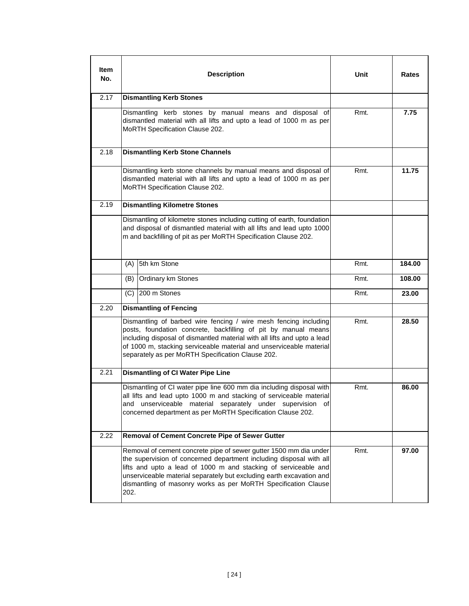| ltem<br>No. |      | <b>Description</b>                                                                                                                                                                                                                                                                                                                                    | Unit | Rates  |
|-------------|------|-------------------------------------------------------------------------------------------------------------------------------------------------------------------------------------------------------------------------------------------------------------------------------------------------------------------------------------------------------|------|--------|
| 2.17        |      | <b>Dismantling Kerb Stones</b>                                                                                                                                                                                                                                                                                                                        |      |        |
|             |      | Dismantling kerb stones by manual means and disposal of<br>dismantled material with all lifts and upto a lead of 1000 m as per<br>MoRTH Specification Clause 202.                                                                                                                                                                                     | Rmt. | 7.75   |
| 2.18        |      | <b>Dismantling Kerb Stone Channels</b>                                                                                                                                                                                                                                                                                                                |      |        |
|             |      | Dismantling kerb stone channels by manual means and disposal of<br>dismantled material with all lifts and upto a lead of 1000 m as per<br>MoRTH Specification Clause 202.                                                                                                                                                                             | Rmt. | 11.75  |
| 2.19        |      | <b>Dismantling Kilometre Stones</b>                                                                                                                                                                                                                                                                                                                   |      |        |
|             |      | Dismantling of kilometre stones including cutting of earth, foundation<br>and disposal of dismantled material with all lifts and lead upto 1000<br>m and backfilling of pit as per MoRTH Specification Clause 202.                                                                                                                                    |      |        |
|             | (A)  | 5th km Stone                                                                                                                                                                                                                                                                                                                                          | Rmt. | 184.00 |
|             | (B)  | Ordinary km Stones                                                                                                                                                                                                                                                                                                                                    | Rmt. | 108.00 |
|             |      | $(C)$ 200 m Stones                                                                                                                                                                                                                                                                                                                                    | Rmt. | 23.00  |
| 2.20        |      | <b>Dismantling of Fencing</b>                                                                                                                                                                                                                                                                                                                         |      |        |
|             |      | Dismantling of barbed wire fencing / wire mesh fencing including<br>posts, foundation concrete, backfilling of pit by manual means<br>including disposal of dismantled material with all lifts and upto a lead<br>of 1000 m, stacking serviceable material and unserviceable material<br>separately as per MoRTH Specification Clause 202.            | Rmt. | 28.50  |
| 2.21        |      | <b>Dismantling of CI Water Pipe Line</b>                                                                                                                                                                                                                                                                                                              |      |        |
|             | and  | Dismantling of CI water pipe line 600 mm dia including disposal with<br>all lifts and lead upto 1000 m and stacking of serviceable material<br>unserviceable material separately under supervision of<br>concerned department as per MoRTH Specification Clause 202.                                                                                  | Rmt. | 86.00  |
| 2.22        |      | Removal of Cement Concrete Pipe of Sewer Gutter                                                                                                                                                                                                                                                                                                       |      |        |
|             | 202. | Removal of cement concrete pipe of sewer gutter 1500 mm dia under<br>the supervision of concerned department including disposal with all<br>lifts and upto a lead of 1000 m and stacking of serviceable and<br>unserviceable material separately but excluding earth excavation and<br>dismantling of masonry works as per MoRTH Specification Clause | Rmt. | 97.00  |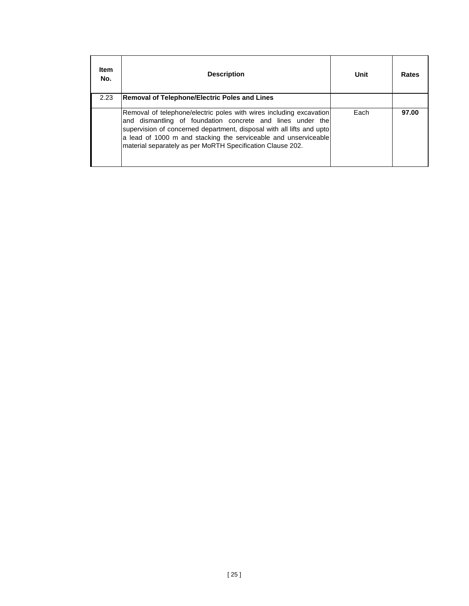| <b>Item</b><br>No. | <b>Description</b>                                                                                                                                                                                                                                                                                                                          | Unit | Rates |
|--------------------|---------------------------------------------------------------------------------------------------------------------------------------------------------------------------------------------------------------------------------------------------------------------------------------------------------------------------------------------|------|-------|
| 2.23               | <b>Removal of Telephone/Electric Poles and Lines</b>                                                                                                                                                                                                                                                                                        |      |       |
|                    | Removal of telephone/electric poles with wires including excavation<br>and dismantling of foundation concrete and lines under the<br>supervision of concerned department, disposal with all lifts and upto<br>a lead of 1000 m and stacking the serviceable and unserviceable<br>material separately as per MoRTH Specification Clause 202. | Each | 97.00 |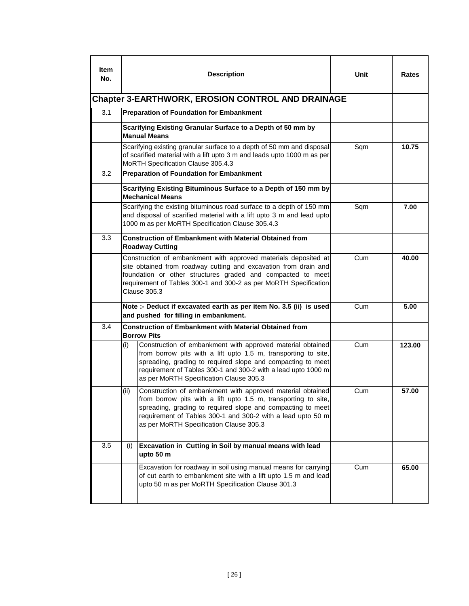| ltem<br>No. | <b>Description</b>                                                                                                                                                                                                                                                                                             | Unit | Rates  |  |  |  |
|-------------|----------------------------------------------------------------------------------------------------------------------------------------------------------------------------------------------------------------------------------------------------------------------------------------------------------------|------|--------|--|--|--|
|             | <b>Chapter 3-EARTHWORK, EROSION CONTROL AND DRAINAGE</b><br>3.1<br><b>Preparation of Foundation for Embankment</b>                                                                                                                                                                                             |      |        |  |  |  |
|             |                                                                                                                                                                                                                                                                                                                |      |        |  |  |  |
|             | Scarifying Existing Granular Surface to a Depth of 50 mm by<br><b>Manual Means</b>                                                                                                                                                                                                                             |      |        |  |  |  |
|             | Scarifying existing granular surface to a depth of 50 mm and disposal<br>of scarified material with a lift upto 3 m and leads upto 1000 m as per<br>MoRTH Specification Clause 305.4.3                                                                                                                         | Sqm  | 10.75  |  |  |  |
| 3.2         | <b>Preparation of Foundation for Embankment</b>                                                                                                                                                                                                                                                                |      |        |  |  |  |
|             | Scarifying Existing Bituminous Surface to a Depth of 150 mm by<br><b>Mechanical Means</b>                                                                                                                                                                                                                      |      |        |  |  |  |
|             | Scarifying the existing bituminous road surface to a depth of 150 mm<br>and disposal of scarified material with a lift upto 3 m and lead upto<br>1000 m as per MoRTH Specification Clause 305.4.3                                                                                                              | Sqm  | 7.00   |  |  |  |
| 3.3         | <b>Construction of Embankment with Material Obtained from</b><br><b>Roadway Cutting</b>                                                                                                                                                                                                                        |      |        |  |  |  |
|             | Construction of embankment with approved materials deposited at<br>site obtained from roadway cutting and excavation from drain and<br>foundation or other structures graded and compacted to meet<br>requirement of Tables 300-1 and 300-2 as per MoRTH Specification<br><b>Clause 305.3</b>                  | Cum  | 40.00  |  |  |  |
|             | Note :- Deduct if excavated earth as per item No. 3.5 (ii) is used<br>and pushed for filling in embankment.                                                                                                                                                                                                    | Cum  | 5.00   |  |  |  |
| 3.4         | <b>Construction of Embankment with Material Obtained from</b><br><b>Borrow Pits</b>                                                                                                                                                                                                                            |      |        |  |  |  |
|             | Construction of embankment with approved material obtained<br>(i)<br>from borrow pits with a lift upto 1.5 m, transporting to site,<br>spreading, grading to required slope and compacting to meet<br>requirement of Tables 300-1 and 300-2 with a lead upto 1000 m<br>as per MoRTH Specification Clause 305.3 | Cum  | 123.00 |  |  |  |
|             | (ii)<br>Construction of embankment with approved material obtained<br>from borrow pits with a lift upto 1.5 m, transporting to site,<br>spreading, grading to required slope and compacting to meet<br>requirement of Tables 300-1 and 300-2 with a lead upto 50 m<br>as per MoRTH Specification Clause 305.3  | Cum  | 57.00  |  |  |  |
| 3.5         | Excavation in Cutting in Soil by manual means with lead<br>(i)<br>upto 50 m                                                                                                                                                                                                                                    |      |        |  |  |  |
|             | Excavation for roadway in soil using manual means for carrying<br>of cut earth to embankment site with a lift upto 1.5 m and lead<br>upto 50 m as per MoRTH Specification Clause 301.3                                                                                                                         | Cum  | 65.00  |  |  |  |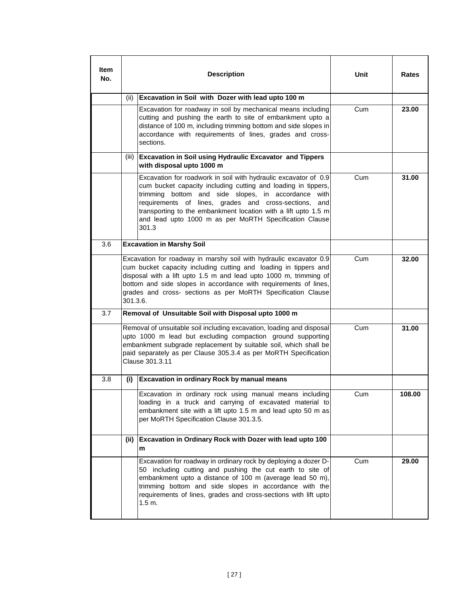| ltem<br>No. |          | <b>Description</b>                                                                                                                                                                                                                                                                                                                                                                    | Unit | Rates  |
|-------------|----------|---------------------------------------------------------------------------------------------------------------------------------------------------------------------------------------------------------------------------------------------------------------------------------------------------------------------------------------------------------------------------------------|------|--------|
|             | (ii)     | Excavation in Soil with Dozer with lead upto 100 m                                                                                                                                                                                                                                                                                                                                    |      |        |
|             |          | Excavation for roadway in soil by mechanical means including<br>cutting and pushing the earth to site of embankment upto a<br>distance of 100 m, including trimming bottom and side slopes in<br>accordance with requirements of lines, grades and cross-<br>sections.                                                                                                                | Cum  | 23.00  |
|             | (iii)    | <b>Excavation in Soil using Hydraulic Excavator and Tippers</b><br>with disposal upto 1000 m                                                                                                                                                                                                                                                                                          |      |        |
|             |          | Excavation for roadwork in soil with hydraulic excavator of 0.9<br>cum bucket capacity including cutting and loading in tippers,<br>trimming bottom and side slopes, in accordance with<br>requirements of lines, grades and cross-sections, and<br>transporting to the embankment location with a lift upto 1.5 m<br>and lead upto 1000 m as per MoRTH Specification Clause<br>301.3 | Cum  | 31.00  |
| 3.6         |          | <b>Excavation in Marshy Soil</b>                                                                                                                                                                                                                                                                                                                                                      |      |        |
|             | 301.3.6. | Excavation for roadway in marshy soil with hydraulic excavator 0.9<br>cum bucket capacity including cutting and loading in tippers and<br>disposal with a lift upto 1.5 m and lead upto 1000 m, trimming of<br>bottom and side slopes in accordance with requirements of lines,<br>grades and cross- sections as per MoRTH Specification Clause                                       | Cum  | 32.00  |
| 3.7         |          | Removal of Unsuitable Soil with Disposal upto 1000 m                                                                                                                                                                                                                                                                                                                                  |      |        |
|             |          | Removal of unsuitable soil including excavation, loading and disposal<br>upto 1000 m lead but excluding compaction ground supporting<br>embankment subgrade replacement by suitable soil, which shall be<br>paid separately as per Clause 305.3.4 as per MoRTH Specification<br>Clause 301.3.11                                                                                       | Cum  | 31.00  |
| 3.8         | (i)      | <b>Excavation in ordinary Rock by manual means</b>                                                                                                                                                                                                                                                                                                                                    |      |        |
|             |          | Excavation in ordinary rock using manual means including<br>loading in a truck and carrying of excavated material to<br>embankment site with a lift upto 1.5 m and lead upto 50 m as<br>per MoRTH Specification Clause 301.3.5.                                                                                                                                                       | Cum  | 108.00 |
|             | (ii)     | Excavation in Ordinary Rock with Dozer with lead upto 100<br>m                                                                                                                                                                                                                                                                                                                        |      |        |
|             |          | Excavation for roadway in ordinary rock by deploying a dozer D-<br>50 including cutting and pushing the cut earth to site of<br>embankment upto a distance of 100 m (average lead 50 m),<br>trimming bottom and side slopes in accordance with the<br>requirements of lines, grades and cross-sections with lift upto<br>1.5 m.                                                       | Cum  | 29.00  |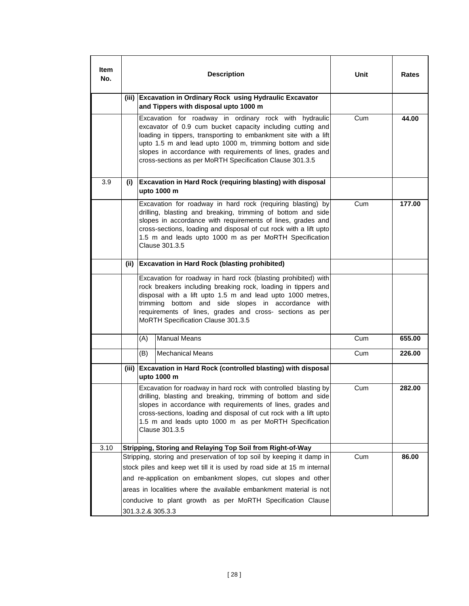| ltem<br>No. | <b>Description</b> |                                                                                                                                                                                                                                                                                                                                                 |                                                                                                                                                                                                                                                                                                                                                                                 | Unit | Rates  |
|-------------|--------------------|-------------------------------------------------------------------------------------------------------------------------------------------------------------------------------------------------------------------------------------------------------------------------------------------------------------------------------------------------|---------------------------------------------------------------------------------------------------------------------------------------------------------------------------------------------------------------------------------------------------------------------------------------------------------------------------------------------------------------------------------|------|--------|
|             | (iii)              |                                                                                                                                                                                                                                                                                                                                                 | <b>Excavation in Ordinary Rock using Hydraulic Excavator</b><br>and Tippers with disposal upto 1000 m                                                                                                                                                                                                                                                                           |      |        |
|             |                    |                                                                                                                                                                                                                                                                                                                                                 | Excavation for roadway in ordinary rock with hydraulic<br>excavator of 0.9 cum bucket capacity including cutting and<br>loading in tippers, transporting to embankment site with a lift<br>upto 1.5 m and lead upto 1000 m, trimming bottom and side<br>slopes in accordance with requirements of lines, grades and<br>cross-sections as per MoRTH Specification Clause 301.3.5 | Cum  | 44.00  |
| 3.9         |                    |                                                                                                                                                                                                                                                                                                                                                 | (i) Excavation in Hard Rock (requiring blasting) with disposal<br>upto 1000 m                                                                                                                                                                                                                                                                                                   |      |        |
|             |                    | Excavation for roadway in hard rock (requiring blasting) by<br>drilling, blasting and breaking, trimming of bottom and side<br>slopes in accordance with requirements of lines, grades and<br>cross-sections, loading and disposal of cut rock with a lift upto<br>1.5 m and leads upto 1000 m as per MoRTH Specification<br>Clause 301.3.5     |                                                                                                                                                                                                                                                                                                                                                                                 | Cum  | 177.00 |
|             |                    |                                                                                                                                                                                                                                                                                                                                                 | (ii) Excavation in Hard Rock (blasting prohibited)                                                                                                                                                                                                                                                                                                                              |      |        |
|             |                    | trimming                                                                                                                                                                                                                                                                                                                                        | Excavation for roadway in hard rock (blasting prohibited) with<br>rock breakers including breaking rock, loading in tippers and<br>disposal with a lift upto 1.5 m and lead upto 1000 metres,<br>bottom and side slopes in accordance with<br>requirements of lines, grades and cross- sections as per<br>MoRTH Specification Clause 301.3.5                                    |      |        |
|             |                    | (A)                                                                                                                                                                                                                                                                                                                                             | <b>Manual Means</b>                                                                                                                                                                                                                                                                                                                                                             | Cum  | 655.00 |
|             |                    | (B)                                                                                                                                                                                                                                                                                                                                             | <b>Mechanical Means</b>                                                                                                                                                                                                                                                                                                                                                         | Cum  | 226.00 |
|             |                    |                                                                                                                                                                                                                                                                                                                                                 | (iii) Excavation in Hard Rock (controlled blasting) with disposal<br>upto 1000 m                                                                                                                                                                                                                                                                                                |      |        |
|             |                    | Excavation for roadway in hard rock with controlled blasting by<br>drilling, blasting and breaking, trimming of bottom and side<br>slopes in accordance with requirements of lines, grades and<br>cross-sections, loading and disposal of cut rock with a lift upto<br>1.5 m and leads upto 1000 m as per MoRTH Specification<br>Clause 301.3.5 |                                                                                                                                                                                                                                                                                                                                                                                 | Cum  | 282.00 |
| 3.10        |                    |                                                                                                                                                                                                                                                                                                                                                 | Stripping, Storing and Relaying Top Soil from Right-of-Way                                                                                                                                                                                                                                                                                                                      |      |        |
|             |                    |                                                                                                                                                                                                                                                                                                                                                 | Stripping, storing and preservation of top soil by keeping it damp in<br>stock piles and keep wet till it is used by road side at 15 m internal                                                                                                                                                                                                                                 | Cum  | 86.00  |
|             |                    |                                                                                                                                                                                                                                                                                                                                                 | and re-application on embankment slopes, cut slopes and other                                                                                                                                                                                                                                                                                                                   |      |        |
|             |                    |                                                                                                                                                                                                                                                                                                                                                 | areas in localities where the available embankment material is not                                                                                                                                                                                                                                                                                                              |      |        |
|             |                    |                                                                                                                                                                                                                                                                                                                                                 | conducive to plant growth as per MoRTH Specification Clause                                                                                                                                                                                                                                                                                                                     |      |        |
|             |                    |                                                                                                                                                                                                                                                                                                                                                 | 301.3.2.& 305.3.3                                                                                                                                                                                                                                                                                                                                                               |      |        |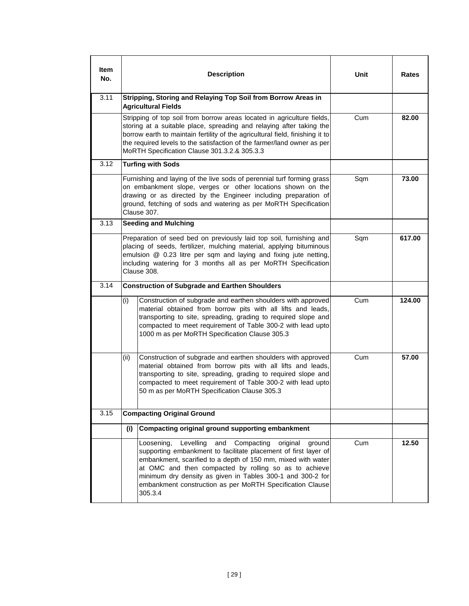| Item<br>No. | <b>Description</b>                                                                                                                                                                                                                                                                                                                                                                                   | Unit | <b>Rates</b> |
|-------------|------------------------------------------------------------------------------------------------------------------------------------------------------------------------------------------------------------------------------------------------------------------------------------------------------------------------------------------------------------------------------------------------------|------|--------------|
| 3.11        | Stripping, Storing and Relaying Top Soil from Borrow Areas in<br><b>Agricultural Fields</b>                                                                                                                                                                                                                                                                                                          |      |              |
|             | Stripping of top soil from borrow areas located in agriculture fields,<br>storing at a suitable place, spreading and relaying after taking the<br>borrow earth to maintain fertility of the agricultural field, finishing it to<br>the required levels to the satisfaction of the farmer/land owner as per<br>MoRTH Specification Clause 301.3.2.& 305.3.3                                           | Cum  | 82.00        |
| 3.12        | <b>Turfing with Sods</b>                                                                                                                                                                                                                                                                                                                                                                             |      |              |
|             | Furnishing and laying of the live sods of perennial turf forming grass<br>on embankment slope, verges or other locations shown on the<br>drawing or as directed by the Engineer including preparation of<br>ground, fetching of sods and watering as per MoRTH Specification<br>Clause 307.                                                                                                          | Sqm  | 73.00        |
| 3.13        | <b>Seeding and Mulching</b>                                                                                                                                                                                                                                                                                                                                                                          |      |              |
|             | Preparation of seed bed on previously laid top soil, furnishing and<br>placing of seeds, fertilizer, mulching material, applying bituminous<br>emulsion @ 0.23 litre per sqm and laying and fixing jute netting,<br>including watering for 3 months all as per MoRTH Specification<br>Clause 308.                                                                                                    | Sqm  | 617.00       |
| 3.14        | <b>Construction of Subgrade and Earthen Shoulders</b>                                                                                                                                                                                                                                                                                                                                                |      |              |
|             | (i)<br>Construction of subgrade and earthen shoulders with approved<br>material obtained from borrow pits with all lifts and leads,<br>transporting to site, spreading, grading to required slope and<br>compacted to meet requirement of Table 300-2 with lead upto<br>1000 m as per MoRTH Specification Clause 305.3                                                                               | Cum  | 124.00       |
|             | Construction of subgrade and earthen shoulders with approved<br>(ii)<br>material obtained from borrow pits with all lifts and leads,<br>transporting to site, spreading, grading to required slope and<br>compacted to meet requirement of Table 300-2 with lead upto<br>50 m as per MoRTH Specification Clause 305.3                                                                                | Cum  | 57.00        |
| 3.15        | <b>Compacting Original Ground</b>                                                                                                                                                                                                                                                                                                                                                                    |      |              |
|             | Compacting original ground supporting embankment<br>(i)                                                                                                                                                                                                                                                                                                                                              |      |              |
|             | Levelling<br>and<br>Compacting<br>Loosening,<br>original<br>ground<br>supporting embankment to facilitate placement of first layer of<br>embankment, scarified to a depth of 150 mm, mixed with water<br>at OMC and then compacted by rolling so as to achieve<br>minimum dry density as given in Tables 300-1 and 300-2 for<br>embankment construction as per MoRTH Specification Clause<br>305.3.4 | Cum  | 12.50        |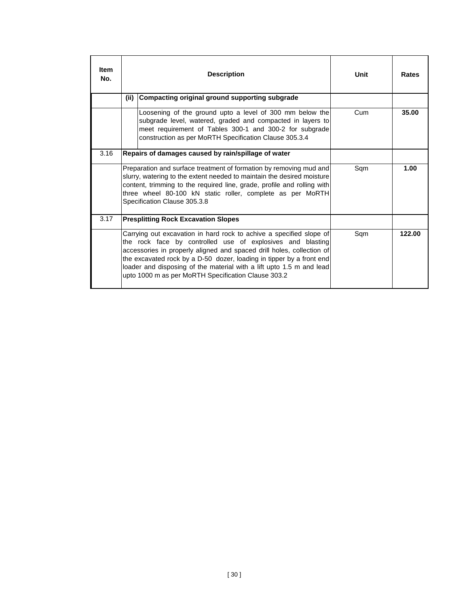| <b>Item</b><br>No. |      | <b>Description</b>                                                                                                                                                                                                                                                                                                                                                                                                | Unit | <b>Rates</b> |
|--------------------|------|-------------------------------------------------------------------------------------------------------------------------------------------------------------------------------------------------------------------------------------------------------------------------------------------------------------------------------------------------------------------------------------------------------------------|------|--------------|
|                    | (ii) | Compacting original ground supporting subgrade                                                                                                                                                                                                                                                                                                                                                                    |      |              |
|                    |      | Loosening of the ground upto a level of 300 mm below the<br>subgrade level, watered, graded and compacted in layers to<br>meet requirement of Tables 300-1 and 300-2 for subgrade<br>construction as per MoRTH Specification Clause 305.3.4                                                                                                                                                                       | Cum  | 35.00        |
| 3.16               |      | Repairs of damages caused by rain/spillage of water                                                                                                                                                                                                                                                                                                                                                               |      |              |
|                    |      | Preparation and surface treatment of formation by removing mud and<br>slurry, watering to the extent needed to maintain the desired moisture<br>content, trimming to the required line, grade, profile and rolling with<br>three wheel 80-100 kN static roller, complete as per MoRTH<br>Specification Clause 305.3.8                                                                                             | Sqm  | 1.00         |
| 3.17               |      | <b>Presplitting Rock Excavation Slopes</b>                                                                                                                                                                                                                                                                                                                                                                        |      |              |
|                    |      | Carrying out excavation in hard rock to achive a specified slope of<br>the rock face by controlled use of explosives and blasting<br>accessories in properly aligned and spaced drill holes, collection of<br>the excavated rock by a D-50 dozer, loading in tipper by a front end<br>loader and disposing of the material with a lift upto 1.5 m and lead<br>upto 1000 m as per MoRTH Specification Clause 303.2 | Sqm  | 122.00       |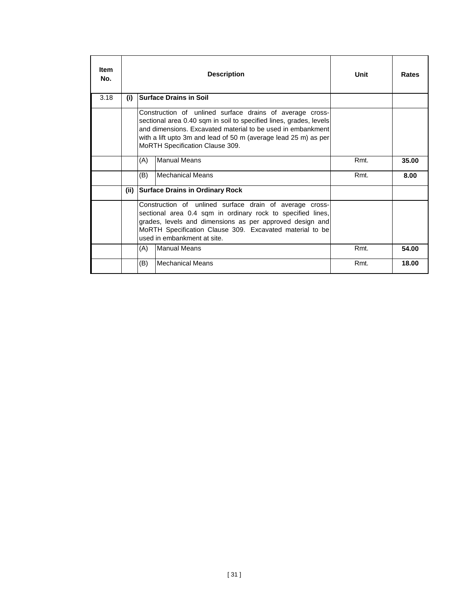| <b>Item</b><br>No. |       |     | <b>Description</b>                                                                                                                                                                                                                                                                                  | Unit | Rates |
|--------------------|-------|-----|-----------------------------------------------------------------------------------------------------------------------------------------------------------------------------------------------------------------------------------------------------------------------------------------------------|------|-------|
| 3.18               | (i)   |     | <b>Surface Drains in Soil</b>                                                                                                                                                                                                                                                                       |      |       |
|                    |       |     | Construction of unlined surface drains of average cross-<br>sectional area 0.40 sqm in soil to specified lines, grades, levels<br>and dimensions. Excavated material to be used in embankment<br>with a lift upto 3m and lead of 50 m (average lead 25 m) as per<br>MoRTH Specification Clause 309. |      |       |
|                    |       | (A) | <b>Manual Means</b>                                                                                                                                                                                                                                                                                 | Rmt. | 35.00 |
|                    |       | (B) | Mechanical Means                                                                                                                                                                                                                                                                                    | Rmt. | 8.00  |
|                    | (iii) |     | <b>Surface Drains in Ordinary Rock</b>                                                                                                                                                                                                                                                              |      |       |
|                    |       |     | Construction of unlined surface drain of average cross-<br>sectional area 0.4 sqm in ordinary rock to specified lines,<br>grades, levels and dimensions as per approved design and<br>MoRTH Specification Clause 309. Excavated material to be<br>used in embankment at site.                       |      |       |
|                    |       | (A) | <b>Manual Means</b>                                                                                                                                                                                                                                                                                 | Rmt. | 54.00 |
|                    |       | (B) | Mechanical Means                                                                                                                                                                                                                                                                                    | Rmt. | 18.00 |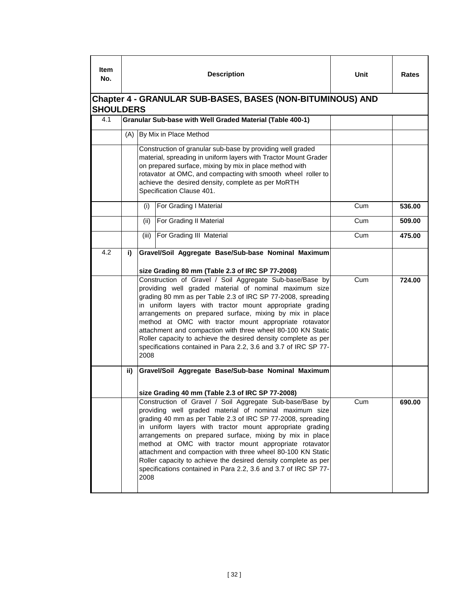| ltem<br>No. |                                                                                |       | <b>Description</b>                                                                                                                                                                                                                                                                                                                                                                                                                                                                                                                                                      | Unit | Rates  |  |  |  |  |  |
|-------------|--------------------------------------------------------------------------------|-------|-------------------------------------------------------------------------------------------------------------------------------------------------------------------------------------------------------------------------------------------------------------------------------------------------------------------------------------------------------------------------------------------------------------------------------------------------------------------------------------------------------------------------------------------------------------------------|------|--------|--|--|--|--|--|
|             | Chapter 4 - GRANULAR SUB-BASES, BASES (NON-BITUMINOUS) AND<br><b>SHOULDERS</b> |       |                                                                                                                                                                                                                                                                                                                                                                                                                                                                                                                                                                         |      |        |  |  |  |  |  |
| 4.1         |                                                                                |       | Granular Sub-base with Well Graded Material (Table 400-1)                                                                                                                                                                                                                                                                                                                                                                                                                                                                                                               |      |        |  |  |  |  |  |
|             | (A)                                                                            |       | By Mix in Place Method                                                                                                                                                                                                                                                                                                                                                                                                                                                                                                                                                  |      |        |  |  |  |  |  |
|             |                                                                                |       | Construction of granular sub-base by providing well graded<br>material, spreading in uniform layers with Tractor Mount Grader<br>on prepared surface, mixing by mix in place method with<br>rotavator at OMC, and compacting with smooth wheel roller to<br>achieve the desired density, complete as per MoRTH<br>Specification Clause 401.                                                                                                                                                                                                                             |      |        |  |  |  |  |  |
|             |                                                                                | (i)   | For Grading I Material                                                                                                                                                                                                                                                                                                                                                                                                                                                                                                                                                  | Cum  | 536.00 |  |  |  |  |  |
|             |                                                                                | (ii)  | For Grading II Material                                                                                                                                                                                                                                                                                                                                                                                                                                                                                                                                                 | Cum  | 509.00 |  |  |  |  |  |
|             |                                                                                | (iii) | For Grading III Material                                                                                                                                                                                                                                                                                                                                                                                                                                                                                                                                                | Cum  | 475.00 |  |  |  |  |  |
| 4.2         | i)                                                                             |       | Gravel/Soil Aggregate Base/Sub-base Nominal Maximum<br>size Grading 80 mm (Table 2.3 of IRC SP 77-2008)                                                                                                                                                                                                                                                                                                                                                                                                                                                                 |      |        |  |  |  |  |  |
|             |                                                                                | 2008  | Construction of Gravel / Soil Aggregate Sub-base/Base by<br>providing well graded material of nominal maximum size<br>grading 80 mm as per Table 2.3 of IRC SP 77-2008, spreading<br>in uniform layers with tractor mount appropriate grading<br>arrangements on prepared surface, mixing by mix in place<br>method at OMC with tractor mount appropriate rotavator<br>attachment and compaction with three wheel 80-100 KN Static<br>Roller capacity to achieve the desired density complete as per<br>specifications contained in Para 2.2, 3.6 and 3.7 of IRC SP 77- | Cum  | 724.00 |  |  |  |  |  |
|             | ii)                                                                            |       | Gravel/Soil Aggregate Base/Sub-base Nominal Maximum<br>size Grading 40 mm (Table 2.3 of IRC SP 77-2008)                                                                                                                                                                                                                                                                                                                                                                                                                                                                 |      |        |  |  |  |  |  |
|             |                                                                                | 2008  | Construction of Gravel / Soil Aggregate Sub-base/Base by<br>providing well graded material of nominal maximum size<br>grading 40 mm as per Table 2.3 of IRC SP 77-2008, spreading<br>in uniform layers with tractor mount appropriate grading<br>arrangements on prepared surface, mixing by mix in place<br>method at OMC with tractor mount appropriate rotavator<br>attachment and compaction with three wheel 80-100 KN Static<br>Roller capacity to achieve the desired density complete as per<br>specifications contained in Para 2.2, 3.6 and 3.7 of IRC SP 77- | Cum  | 690.00 |  |  |  |  |  |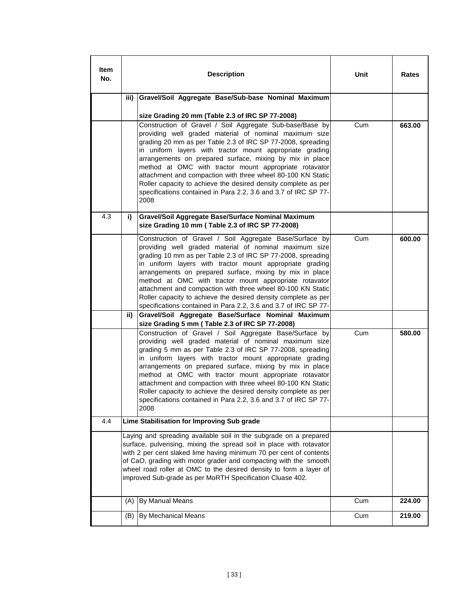| Item<br>No. |      | <b>Description</b>                                                                                                                                                                                                                                                                                                                                                                                                                                                                                                                                                              | Unit | Rates  |
|-------------|------|---------------------------------------------------------------------------------------------------------------------------------------------------------------------------------------------------------------------------------------------------------------------------------------------------------------------------------------------------------------------------------------------------------------------------------------------------------------------------------------------------------------------------------------------------------------------------------|------|--------|
|             | iii) | Gravel/Soil Aggregate Base/Sub-base Nominal Maximum                                                                                                                                                                                                                                                                                                                                                                                                                                                                                                                             |      |        |
|             |      | size Grading 20 mm (Table 2.3 of IRC SP 77-2008)                                                                                                                                                                                                                                                                                                                                                                                                                                                                                                                                |      |        |
|             |      | Construction of Gravel / Soil Aggregate Sub-base/Base by<br>providing well graded material of nominal maximum size<br>grading 20 mm as per Table 2.3 of IRC SP 77-2008, spreading<br>in uniform layers with tractor mount appropriate grading<br>arrangements on prepared surface, mixing by mix in place<br>method at OMC with tractor mount appropriate rotavator<br>attachment and compaction with three wheel 80-100 KN Static<br>Roller capacity to achieve the desired density complete as per<br>specifications contained in Para 2.2, 3.6 and 3.7 of IRC SP 77-<br>2008 | Cum  | 663.00 |
| 4.3         | i)   | Gravel/Soil Aggregate Base/Surface Nominal Maximum<br>size Grading 10 mm (Table 2.3 of IRC SP 77-2008)                                                                                                                                                                                                                                                                                                                                                                                                                                                                          |      |        |
|             |      | Construction of Gravel / Soil Aggregate Base/Surface by<br>providing well graded material of nominal maximum size<br>grading 10 mm as per Table 2.3 of IRC SP 77-2008, spreading<br>in uniform layers with tractor mount appropriate grading<br>arrangements on prepared surface, mixing by mix in place<br>method at OMC with tractor mount appropriate rotavator<br>attachment and compaction with three wheel 80-100 KN Static<br>Roller capacity to achieve the desired density complete as per<br>specifications contained in Para 2.2, 3.6 and 3.7 of IRC SP 77-          | Cum  | 600.00 |
|             | ii)  | Gravel/Soil Aggregate Base/Surface Nominal Maximum<br>size Grading 5 mm (Table 2.3 of IRC SP 77-2008)                                                                                                                                                                                                                                                                                                                                                                                                                                                                           |      |        |
|             |      | Construction of Gravel / Soil Aggregate Base/Surface by<br>providing well graded material of nominal maximum size<br>grading 5 mm as per Table 2.3 of IRC SP 77-2008, spreading<br>in uniform layers with tractor mount appropriate grading<br>arrangements on prepared surface, mixing by mix in place<br>method at OMC with tractor mount appropriate rotavator<br>attachment and compaction with three wheel 80-100 KN Static<br>Roller capacity to achieve the desired density complete as per<br>specifications contained in Para 2.2, 3.6 and 3.7 of IRC SP 77-<br>2008   | Cum  | 580.00 |
| 4.4         |      | Lime Stabilisation for Improving Sub grade                                                                                                                                                                                                                                                                                                                                                                                                                                                                                                                                      |      |        |
|             |      | Laying and spreading available soil in the subgrade on a prepared<br>surface, pulverising, mixing the spread soil in place with rotavator<br>with 2 per cent slaked lime having minimum 70 per cent of contents<br>of CaO, grading with motor grader and compacting with the smooth<br>wheel road roller at OMC to the desired density to form a layer of<br>improved Sub-grade as per MoRTH Specification Cluase 402.                                                                                                                                                          |      |        |
|             | (A)  | By Manual Means                                                                                                                                                                                                                                                                                                                                                                                                                                                                                                                                                                 | Cum  | 224.00 |
|             | (B)  | By Mechanical Means                                                                                                                                                                                                                                                                                                                                                                                                                                                                                                                                                             | Cum  | 219.00 |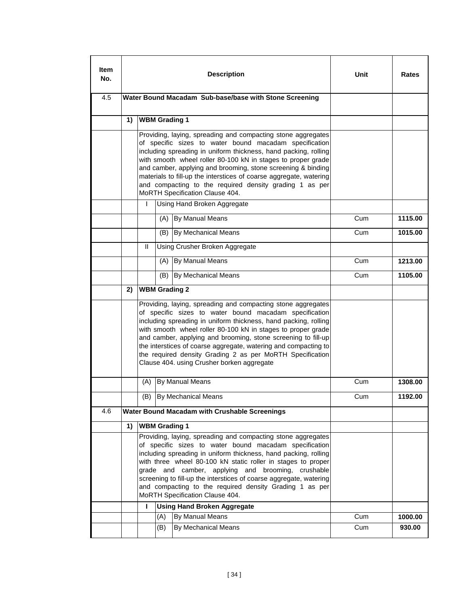| ltem<br>No. |                                                                                                                                                                                                                                                                                                                                                                                                                                                                                                                                                                                             |  |     | <b>Description</b>                                                                                                                                                                                                                                                                                                                                                                                                                                         | Unit       | Rates             |
|-------------|---------------------------------------------------------------------------------------------------------------------------------------------------------------------------------------------------------------------------------------------------------------------------------------------------------------------------------------------------------------------------------------------------------------------------------------------------------------------------------------------------------------------------------------------------------------------------------------------|--|-----|------------------------------------------------------------------------------------------------------------------------------------------------------------------------------------------------------------------------------------------------------------------------------------------------------------------------------------------------------------------------------------------------------------------------------------------------------------|------------|-------------------|
| 4.5         |                                                                                                                                                                                                                                                                                                                                                                                                                                                                                                                                                                                             |  |     | Water Bound Macadam Sub-base/base with Stone Screening                                                                                                                                                                                                                                                                                                                                                                                                     |            |                   |
|             | 1)                                                                                                                                                                                                                                                                                                                                                                                                                                                                                                                                                                                          |  |     |                                                                                                                                                                                                                                                                                                                                                                                                                                                            |            |                   |
|             |                                                                                                                                                                                                                                                                                                                                                                                                                                                                                                                                                                                             |  |     | Providing, laying, spreading and compacting stone aggregates<br>of specific sizes to water bound macadam specification<br>including spreading in uniform thickness, hand packing, rolling<br>with smooth wheel roller 80-100 kN in stages to proper grade<br>and camber, applying and brooming, stone screening & binding<br>materials to fill-up the interstices of coarse aggregate, watering<br>and compacting to the required density grading 1 as per |            |                   |
|             | <b>WBM Grading 1</b><br>MoRTH Specification Clause 404.<br>Using Hand Broken Aggregate<br>I<br>By Manual Means<br>(A)<br><b>By Mechanical Means</b><br>(B)<br>Ш<br>Using Crusher Broken Aggregate<br>By Manual Means<br>(A)<br>By Mechanical Means<br>(B)<br><b>WBM Grading 2</b><br>2)<br>Clause 404. using Crusher borken aggregate<br>By Manual Means<br>(A)<br>By Mechanical Means<br>(B)<br><b>Water Bound Macadam with Crushable Screenings</b><br><b>WBM Grading 1</b><br>1)<br>MoRTH Specification Clause 404.<br><b>Using Hand Broken Aggregate</b><br>L<br>By Manual Means<br>(A) |  |     |                                                                                                                                                                                                                                                                                                                                                                                                                                                            |            |                   |
|             |                                                                                                                                                                                                                                                                                                                                                                                                                                                                                                                                                                                             |  |     |                                                                                                                                                                                                                                                                                                                                                                                                                                                            | Cum        | 1115.00           |
|             |                                                                                                                                                                                                                                                                                                                                                                                                                                                                                                                                                                                             |  |     |                                                                                                                                                                                                                                                                                                                                                                                                                                                            | Cum        | 1015.00           |
|             |                                                                                                                                                                                                                                                                                                                                                                                                                                                                                                                                                                                             |  |     |                                                                                                                                                                                                                                                                                                                                                                                                                                                            |            |                   |
|             |                                                                                                                                                                                                                                                                                                                                                                                                                                                                                                                                                                                             |  |     |                                                                                                                                                                                                                                                                                                                                                                                                                                                            | Cum        | 1213.00           |
|             |                                                                                                                                                                                                                                                                                                                                                                                                                                                                                                                                                                                             |  |     |                                                                                                                                                                                                                                                                                                                                                                                                                                                            | Cum        | 1105.00           |
|             |                                                                                                                                                                                                                                                                                                                                                                                                                                                                                                                                                                                             |  |     |                                                                                                                                                                                                                                                                                                                                                                                                                                                            |            |                   |
|             |                                                                                                                                                                                                                                                                                                                                                                                                                                                                                                                                                                                             |  |     | Providing, laying, spreading and compacting stone aggregates<br>of specific sizes to water bound macadam specification<br>including spreading in uniform thickness, hand packing, rolling<br>with smooth wheel roller 80-100 kN in stages to proper grade<br>and camber, applying and brooming, stone screening to fill-up<br>the interstices of coarse aggregate, watering and compacting to<br>the required density Grading 2 as per MoRTH Specification |            |                   |
|             |                                                                                                                                                                                                                                                                                                                                                                                                                                                                                                                                                                                             |  |     |                                                                                                                                                                                                                                                                                                                                                                                                                                                            | Cum        | 1308.00           |
|             |                                                                                                                                                                                                                                                                                                                                                                                                                                                                                                                                                                                             |  |     |                                                                                                                                                                                                                                                                                                                                                                                                                                                            | Cum        | 1192.00           |
| 4.6         |                                                                                                                                                                                                                                                                                                                                                                                                                                                                                                                                                                                             |  |     |                                                                                                                                                                                                                                                                                                                                                                                                                                                            |            |                   |
|             |                                                                                                                                                                                                                                                                                                                                                                                                                                                                                                                                                                                             |  |     |                                                                                                                                                                                                                                                                                                                                                                                                                                                            |            |                   |
|             |                                                                                                                                                                                                                                                                                                                                                                                                                                                                                                                                                                                             |  |     | Providing, laying, spreading and compacting stone aggregates<br>of specific sizes to water bound macadam specification<br>including spreading in uniform thickness, hand packing, rolling<br>with three wheel 80-100 kN static roller in stages to proper<br>grade and camber, applying and brooming, crushable<br>screening to fill-up the interstices of coarse aggregate, watering<br>and compacting to the required density Grading 1 as per           |            |                   |
|             |                                                                                                                                                                                                                                                                                                                                                                                                                                                                                                                                                                                             |  |     |                                                                                                                                                                                                                                                                                                                                                                                                                                                            |            |                   |
|             |                                                                                                                                                                                                                                                                                                                                                                                                                                                                                                                                                                                             |  | (B) | By Mechanical Means                                                                                                                                                                                                                                                                                                                                                                                                                                        | Cum<br>Cum | 1000.00<br>930.00 |
|             |                                                                                                                                                                                                                                                                                                                                                                                                                                                                                                                                                                                             |  |     |                                                                                                                                                                                                                                                                                                                                                                                                                                                            |            |                   |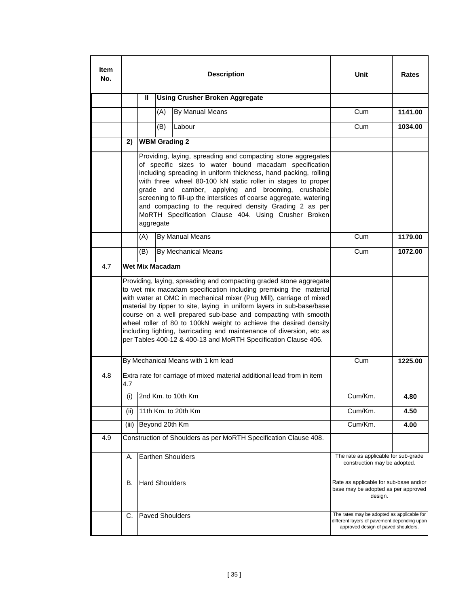| Item<br>No. |                                                                               |                                                                                                                                                                                                                                                                                                                                                                                                                                                                                                                                                                                                                                                                                                                                                                                                                                                                                                                                                                                                                                                                                                                                                                                                                                                                                                                                                                                              |     | <b>Description</b>                                                                                                                                                                                                                                        | Unit                                                                               | Rates   |  |
|-------------|-------------------------------------------------------------------------------|----------------------------------------------------------------------------------------------------------------------------------------------------------------------------------------------------------------------------------------------------------------------------------------------------------------------------------------------------------------------------------------------------------------------------------------------------------------------------------------------------------------------------------------------------------------------------------------------------------------------------------------------------------------------------------------------------------------------------------------------------------------------------------------------------------------------------------------------------------------------------------------------------------------------------------------------------------------------------------------------------------------------------------------------------------------------------------------------------------------------------------------------------------------------------------------------------------------------------------------------------------------------------------------------------------------------------------------------------------------------------------------------|-----|-----------------------------------------------------------------------------------------------------------------------------------------------------------------------------------------------------------------------------------------------------------|------------------------------------------------------------------------------------|---------|--|
|             |                                                                               | Ш                                                                                                                                                                                                                                                                                                                                                                                                                                                                                                                                                                                                                                                                                                                                                                                                                                                                                                                                                                                                                                                                                                                                                                                                                                                                                                                                                                                            |     | <b>Using Crusher Broken Aggregate</b>                                                                                                                                                                                                                     |                                                                                    |         |  |
|             |                                                                               |                                                                                                                                                                                                                                                                                                                                                                                                                                                                                                                                                                                                                                                                                                                                                                                                                                                                                                                                                                                                                                                                                                                                                                                                                                                                                                                                                                                              | (A) | By Manual Means                                                                                                                                                                                                                                           | Cum                                                                                | 1141.00 |  |
|             |                                                                               |                                                                                                                                                                                                                                                                                                                                                                                                                                                                                                                                                                                                                                                                                                                                                                                                                                                                                                                                                                                                                                                                                                                                                                                                                                                                                                                                                                                              | (B) | Labour                                                                                                                                                                                                                                                    | Cum                                                                                | 1034.00 |  |
|             | 2)                                                                            |                                                                                                                                                                                                                                                                                                                                                                                                                                                                                                                                                                                                                                                                                                                                                                                                                                                                                                                                                                                                                                                                                                                                                                                                                                                                                                                                                                                              |     | <b>WBM Grading 2</b>                                                                                                                                                                                                                                      |                                                                                    |         |  |
|             |                                                                               |                                                                                                                                                                                                                                                                                                                                                                                                                                                                                                                                                                                                                                                                                                                                                                                                                                                                                                                                                                                                                                                                                                                                                                                                                                                                                                                                                                                              |     | Providing, laying, spreading and compacting stone aggregates<br>of specific sizes to water bound macadam specification<br>including spreading in uniform thickness, hand packing, rolling<br>with three wheel 80-100 kN static roller in stages to proper |                                                                                    |         |  |
|             |                                                                               | (A)                                                                                                                                                                                                                                                                                                                                                                                                                                                                                                                                                                                                                                                                                                                                                                                                                                                                                                                                                                                                                                                                                                                                                                                                                                                                                                                                                                                          |     |                                                                                                                                                                                                                                                           | Cum                                                                                | 1179.00 |  |
|             |                                                                               | (B)                                                                                                                                                                                                                                                                                                                                                                                                                                                                                                                                                                                                                                                                                                                                                                                                                                                                                                                                                                                                                                                                                                                                                                                                                                                                                                                                                                                          |     |                                                                                                                                                                                                                                                           | Cum                                                                                | 1072.00 |  |
| 4.7         |                                                                               |                                                                                                                                                                                                                                                                                                                                                                                                                                                                                                                                                                                                                                                                                                                                                                                                                                                                                                                                                                                                                                                                                                                                                                                                                                                                                                                                                                                              |     |                                                                                                                                                                                                                                                           |                                                                                    |         |  |
|             |                                                                               |                                                                                                                                                                                                                                                                                                                                                                                                                                                                                                                                                                                                                                                                                                                                                                                                                                                                                                                                                                                                                                                                                                                                                                                                                                                                                                                                                                                              |     |                                                                                                                                                                                                                                                           |                                                                                    |         |  |
|             |                                                                               |                                                                                                                                                                                                                                                                                                                                                                                                                                                                                                                                                                                                                                                                                                                                                                                                                                                                                                                                                                                                                                                                                                                                                                                                                                                                                                                                                                                              |     |                                                                                                                                                                                                                                                           | Cum                                                                                | 1225.00 |  |
| 4.8         | Extra rate for carriage of mixed material additional lead from in item<br>4.7 |                                                                                                                                                                                                                                                                                                                                                                                                                                                                                                                                                                                                                                                                                                                                                                                                                                                                                                                                                                                                                                                                                                                                                                                                                                                                                                                                                                                              |     |                                                                                                                                                                                                                                                           |                                                                                    |         |  |
|             |                                                                               |                                                                                                                                                                                                                                                                                                                                                                                                                                                                                                                                                                                                                                                                                                                                                                                                                                                                                                                                                                                                                                                                                                                                                                                                                                                                                                                                                                                              |     |                                                                                                                                                                                                                                                           | Cum/Km.                                                                            | 4.80    |  |
|             | (ii)                                                                          |                                                                                                                                                                                                                                                                                                                                                                                                                                                                                                                                                                                                                                                                                                                                                                                                                                                                                                                                                                                                                                                                                                                                                                                                                                                                                                                                                                                              |     |                                                                                                                                                                                                                                                           | Cum/Km.                                                                            | 4.50    |  |
|             | (iii)                                                                         |                                                                                                                                                                                                                                                                                                                                                                                                                                                                                                                                                                                                                                                                                                                                                                                                                                                                                                                                                                                                                                                                                                                                                                                                                                                                                                                                                                                              |     |                                                                                                                                                                                                                                                           | Cum/Km.                                                                            | 4.00    |  |
| 4.9         |                                                                               |                                                                                                                                                                                                                                                                                                                                                                                                                                                                                                                                                                                                                                                                                                                                                                                                                                                                                                                                                                                                                                                                                                                                                                                                                                                                                                                                                                                              |     |                                                                                                                                                                                                                                                           |                                                                                    |         |  |
|             | А.                                                                            | grade and camber, applying and brooming, crushable<br>screening to fill-up the interstices of coarse aggregate, watering<br>and compacting to the required density Grading 2 as per<br>MoRTH Specification Clause 404. Using Crusher Broken<br>aggregate<br>By Manual Means<br>By Mechanical Means<br><b>Wet Mix Macadam</b><br>Providing, laying, spreading and compacting graded stone aggregate<br>to wet mix macadam specification including premixing the material<br>with water at OMC in mechanical mixer (Pug Mill), carriage of mixed<br>material by tipper to site, laying in uniform layers in sub-base/base<br>course on a well prepared sub-base and compacting with smooth<br>wheel roller of 80 to 100kN weight to achieve the desired density<br>including lighting, barricading and maintenance of diversion, etc as<br>per Tables 400-12 & 400-13 and MoRTH Specification Clause 406.<br>By Mechanical Means with 1 km lead<br>(i) $2nd$ Km. to 10th Km<br>11th Km. to 20th Km<br>Beyond 20th Km<br>Construction of Shoulders as per MoRTH Specification Clause 408.<br>The rate as applicable for sub-grade<br>Earthen Shoulders<br>construction may be adopted.<br><b>Hard Shoulders</b><br>Rate as applicable for sub-base and/or<br>В.<br>base may be adopted as per approved<br>design.<br>The rates may be adopted as applicable for<br><b>Paved Shoulders</b><br>С. |     |                                                                                                                                                                                                                                                           |                                                                                    |         |  |
|             |                                                                               |                                                                                                                                                                                                                                                                                                                                                                                                                                                                                                                                                                                                                                                                                                                                                                                                                                                                                                                                                                                                                                                                                                                                                                                                                                                                                                                                                                                              |     |                                                                                                                                                                                                                                                           |                                                                                    |         |  |
|             |                                                                               |                                                                                                                                                                                                                                                                                                                                                                                                                                                                                                                                                                                                                                                                                                                                                                                                                                                                                                                                                                                                                                                                                                                                                                                                                                                                                                                                                                                              |     |                                                                                                                                                                                                                                                           | different layers of pavement depending upon<br>approved design of paved shoulders. |         |  |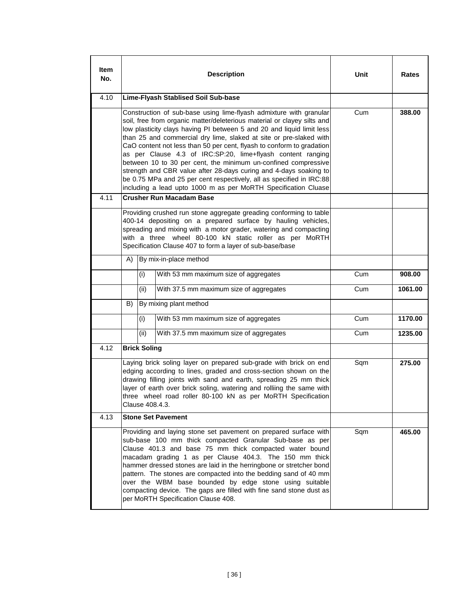| Item<br>No. |                     | <b>Description</b>                                                                                                                                                                                                                                                                                                                                                                                                                                                                                                                                                                                                                                                                                                    | Unit | Rates   |
|-------------|---------------------|-----------------------------------------------------------------------------------------------------------------------------------------------------------------------------------------------------------------------------------------------------------------------------------------------------------------------------------------------------------------------------------------------------------------------------------------------------------------------------------------------------------------------------------------------------------------------------------------------------------------------------------------------------------------------------------------------------------------------|------|---------|
| 4.10        |                     | Lime-Flyash Stablised Soil Sub-base                                                                                                                                                                                                                                                                                                                                                                                                                                                                                                                                                                                                                                                                                   |      |         |
|             |                     | Construction of sub-base using lime-flyash admixture with granular<br>soil, free from organic matter/deleterious material or clayey silts and<br>low plasticity clays having PI between 5 and 20 and liquid limit less<br>than 25 and commercial dry lime, slaked at site or pre-slaked with<br>CaO content not less than 50 per cent, flyash to conform to gradation<br>as per Clause 4.3 of IRC:SP:20, lime+flyash content ranging<br>between 10 to 30 per cent, the minimum un-confined compressive<br>strength and CBR value after 28-days curing and 4-days soaking to<br>be 0.75 MPa and 25 per cent respectively, all as specified in IRC:88<br>including a lead upto 1000 m as per MoRTH Specification Cluase | Cum  | 388.00  |
| 4.11        |                     | <b>Crusher Run Macadam Base</b>                                                                                                                                                                                                                                                                                                                                                                                                                                                                                                                                                                                                                                                                                       |      |         |
|             |                     | Providing crushed run stone aggregate greading conforming to table<br>400-14 depositing on a prepared surface by hauling vehicles,<br>spreading and mixing with a motor grader, watering and compacting<br>with a three wheel 80-100 kN static roller as per MoRTH<br>Specification Clause 407 to form a layer of sub-base/base                                                                                                                                                                                                                                                                                                                                                                                       |      |         |
|             | A)                  | By mix-in-place method                                                                                                                                                                                                                                                                                                                                                                                                                                                                                                                                                                                                                                                                                                |      |         |
|             | (i)                 | With 53 mm maximum size of aggregates                                                                                                                                                                                                                                                                                                                                                                                                                                                                                                                                                                                                                                                                                 | Cum  | 908.00  |
|             | (ii)                | With 37.5 mm maximum size of aggregates                                                                                                                                                                                                                                                                                                                                                                                                                                                                                                                                                                                                                                                                               | Cum  | 1061.00 |
|             | B)                  | By mixing plant method                                                                                                                                                                                                                                                                                                                                                                                                                                                                                                                                                                                                                                                                                                |      |         |
|             | (i)                 | With 53 mm maximum size of aggregates                                                                                                                                                                                                                                                                                                                                                                                                                                                                                                                                                                                                                                                                                 | Cum  | 1170.00 |
|             | (ii)                | With 37.5 mm maximum size of aggregates                                                                                                                                                                                                                                                                                                                                                                                                                                                                                                                                                                                                                                                                               | Cum  | 1235.00 |
| 4.12        | <b>Brick Soling</b> |                                                                                                                                                                                                                                                                                                                                                                                                                                                                                                                                                                                                                                                                                                                       |      |         |
|             | Clause 408.4.3.     | Laying brick soling layer on prepared sub-grade with brick on end<br>edging according to lines, graded and cross-section shown on the<br>drawing filling joints with sand and earth, spreading 25 mm thick<br>layer of earth over brick soling, watering and rolliing the same with<br>three wheel road roller 80-100 kN as per MoRTH Specification                                                                                                                                                                                                                                                                                                                                                                   | Sqm  | 275.00  |
| 4.13        |                     | <b>Stone Set Pavement</b>                                                                                                                                                                                                                                                                                                                                                                                                                                                                                                                                                                                                                                                                                             |      |         |
|             |                     | Providing and laying stone set pavement on prepared surface with<br>sub-base 100 mm thick compacted Granular Sub-base as per<br>Clause 401.3 and base 75 mm thick compacted water bound<br>macadam grading 1 as per Clause 404.3. The 150 mm thick<br>hammer dressed stones are laid in the herringbone or stretcher bond<br>pattern. The stones are compacted into the bedding sand of 40 mm<br>over the WBM base bounded by edge stone using suitable<br>compacting device. The gaps are filled with fine sand stone dust as<br>per MoRTH Specification Clause 408.                                                                                                                                                 | Sqm  | 465.00  |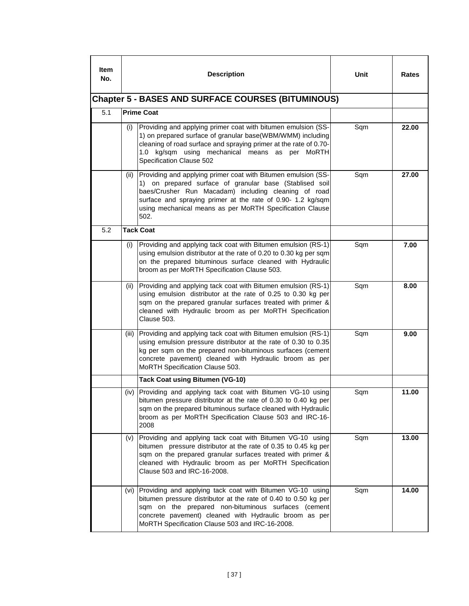| <b>Item</b><br>No. |       | <b>Description</b>                                                                                                                                                                                                                                                                                                  | Unit | Rates |
|--------------------|-------|---------------------------------------------------------------------------------------------------------------------------------------------------------------------------------------------------------------------------------------------------------------------------------------------------------------------|------|-------|
|                    |       | <b>Chapter 5 - BASES AND SURFACE COURSES (BITUMINOUS)</b>                                                                                                                                                                                                                                                           |      |       |
| 5.1                |       | <b>Prime Coat</b>                                                                                                                                                                                                                                                                                                   |      |       |
|                    | (i)   | Providing and applying primer coat with bitumen emulsion (SS-<br>1) on prepared surface of granular base(WBM/WMM) including<br>cleaning of road surface and spraying primer at the rate of 0.70-<br>1.0 kg/sqm using mechanical means as per MoRTH<br>Specification Clause 502                                      | Sqm  | 22.00 |
|                    | (ii)  | Providing and applying primer coat with Bitumen emulsion (SS-<br>1) on prepared surface of granular base (Stablised soil<br>baes/Crusher Run Macadam) including cleaning of road<br>surface and spraying primer at the rate of 0.90- 1.2 kg/sqm<br>using mechanical means as per MoRTH Specification Clause<br>502. | Sqm  | 27.00 |
| 5.2                |       | <b>Tack Coat</b>                                                                                                                                                                                                                                                                                                    |      |       |
|                    | (i)   | Providing and applying tack coat with Bitumen emulsion (RS-1)<br>using emulsion distributor at the rate of 0.20 to 0.30 kg per sqm<br>on the prepared bituminous surface cleaned with Hydraulic<br>broom as per MoRTH Specification Clause 503.                                                                     | Sqm  | 7.00  |
|                    | (ii)  | Providing and applying tack coat with Bitumen emulsion (RS-1)<br>using emulsion distributor at the rate of 0.25 to 0.30 kg per<br>sqm on the prepared granular surfaces treated with primer &<br>cleaned with Hydraulic broom as per MoRTH Specification<br>Clause 503.                                             | Sqm  | 8.00  |
|                    | (iii) | Providing and applying tack coat with Bitumen emulsion (RS-1)<br>using emulsion pressure distributor at the rate of 0.30 to 0.35<br>kg per sqm on the prepared non-bituminous surfaces (cement<br>concrete pavement) cleaned with Hydraulic broom as per<br>MoRTH Specification Clause 503.                         | Sqm  | 9.00  |
|                    |       | <b>Tack Coat using Bitumen (VG-10)</b>                                                                                                                                                                                                                                                                              |      |       |
|                    |       | (iv) Providing and applying tack coat with Bitumen VG-10 using<br>bitumen pressure distributor at the rate of 0.30 to 0.40 kg per<br>sqm on the prepared bituminous surface cleaned with Hydraulic<br>broom as per MoRTH Specification Clause 503 and IRC-16-<br>2008                                               | Sqm  | 11.00 |
|                    | (v)   | Providing and applying tack coat with Bitumen VG-10 using<br>bitumen pressure distributor at the rate of 0.35 to 0.45 kg per<br>sqm on the prepared granular surfaces treated with primer &<br>cleaned with Hydraulic broom as per MoRTH Specification<br>Clause 503 and IRC-16-2008.                               | Sqm  | 13.00 |
|                    | (vi)  | Providing and applying tack coat with Bitumen VG-10 using<br>bitumen pressure distributor at the rate of 0.40 to 0.50 kg per<br>sqm on the prepared non-bituminous surfaces (cement<br>concrete pavement) cleaned with Hydraulic broom as per<br>MoRTH Specification Clause 503 and IRC-16-2008.                    | Sqm  | 14.00 |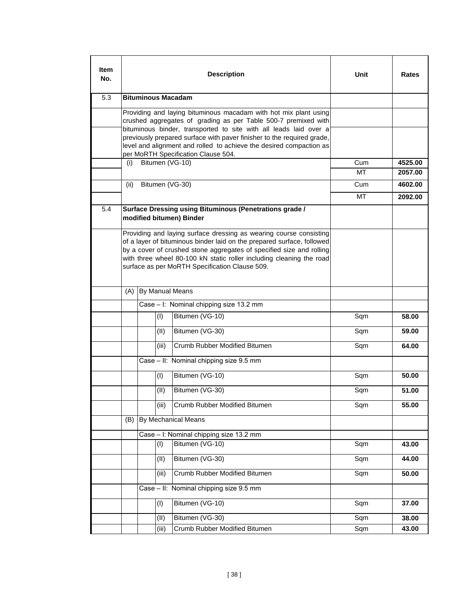| <b>Item</b><br>No. |                                                                                                                                                                                                                                                                                                                                                          |                           |       | <b>Description</b>                                                                                                                                                                                                                                                                                                                             | Unit | Rates   |
|--------------------|----------------------------------------------------------------------------------------------------------------------------------------------------------------------------------------------------------------------------------------------------------------------------------------------------------------------------------------------------------|---------------------------|-------|------------------------------------------------------------------------------------------------------------------------------------------------------------------------------------------------------------------------------------------------------------------------------------------------------------------------------------------------|------|---------|
| 5.3                |                                                                                                                                                                                                                                                                                                                                                          | <b>Bituminous Macadam</b> |       |                                                                                                                                                                                                                                                                                                                                                |      |         |
|                    | Providing and laying bituminous macadam with hot mix plant using<br>crushed aggregates of grading as per Table 500-7 premixed with<br>bituminous binder, transported to site with all leads laid over a<br>previously prepared surface with paver finisher to the required grade,<br>level and alignment and rolled to achieve the desired compaction as |                           |       |                                                                                                                                                                                                                                                                                                                                                |      |         |
|                    | (i)                                                                                                                                                                                                                                                                                                                                                      |                           |       | per MoRTH Specification Clause 504.<br>Bitumen (VG-10)                                                                                                                                                                                                                                                                                         | Cum  | 4525.00 |
|                    |                                                                                                                                                                                                                                                                                                                                                          |                           |       |                                                                                                                                                                                                                                                                                                                                                | МT   | 2057.00 |
|                    | (ii)                                                                                                                                                                                                                                                                                                                                                     |                           |       | Bitumen (VG-30)                                                                                                                                                                                                                                                                                                                                | Cum  | 4602.00 |
|                    |                                                                                                                                                                                                                                                                                                                                                          |                           |       |                                                                                                                                                                                                                                                                                                                                                | МT   | 2092.00 |
| 5.4                |                                                                                                                                                                                                                                                                                                                                                          |                           |       | Surface Dressing using Bituminous (Penetrations grade /<br>modified bitumen) Binder                                                                                                                                                                                                                                                            |      |         |
|                    |                                                                                                                                                                                                                                                                                                                                                          |                           |       | Providing and laying surface dressing as wearing course consisting<br>of a layer of bituminous binder laid on the prepared surface, followed<br>by a cover of crushed stone aggregates of specified size and rolling<br>with three wheel 80-100 kN static roller including cleaning the road<br>surface as per MoRTH Specification Clause 509. |      |         |
|                    | (A)                                                                                                                                                                                                                                                                                                                                                      | By Manual Means           |       |                                                                                                                                                                                                                                                                                                                                                |      |         |
|                    |                                                                                                                                                                                                                                                                                                                                                          |                           |       | Case - I: Nominal chipping size 13.2 mm                                                                                                                                                                                                                                                                                                        |      |         |
|                    |                                                                                                                                                                                                                                                                                                                                                          |                           | (1)   | Bitumen (VG-10)                                                                                                                                                                                                                                                                                                                                | Sqm  | 58.00   |
|                    |                                                                                                                                                                                                                                                                                                                                                          |                           | (II)  | Bitumen (VG-30)                                                                                                                                                                                                                                                                                                                                | Sqm  | 59.00   |
|                    |                                                                                                                                                                                                                                                                                                                                                          |                           | (iii) | Crumb Rubber Modified Bitumen                                                                                                                                                                                                                                                                                                                  | Sqm  | 64.00   |
|                    |                                                                                                                                                                                                                                                                                                                                                          |                           |       | Case - II: Nominal chipping size 9.5 mm                                                                                                                                                                                                                                                                                                        |      |         |
|                    |                                                                                                                                                                                                                                                                                                                                                          |                           | (1)   | Bitumen (VG-10)                                                                                                                                                                                                                                                                                                                                | Sqm  | 50.00   |
|                    |                                                                                                                                                                                                                                                                                                                                                          |                           | (II)  | Bitumen (VG-30)                                                                                                                                                                                                                                                                                                                                | Sqm  | 51.00   |
|                    |                                                                                                                                                                                                                                                                                                                                                          |                           | (iii) | Crumb Rubber Modified Bitumen                                                                                                                                                                                                                                                                                                                  | Sqm  | 55.00   |
|                    | (B)                                                                                                                                                                                                                                                                                                                                                      |                           |       | By Mechanical Means                                                                                                                                                                                                                                                                                                                            |      |         |
|                    |                                                                                                                                                                                                                                                                                                                                                          |                           |       | Case - I: Nominal chipping size 13.2 mm                                                                                                                                                                                                                                                                                                        |      |         |
|                    |                                                                                                                                                                                                                                                                                                                                                          |                           | (1)   | Bitumen (VG-10)                                                                                                                                                                                                                                                                                                                                | Sqm  | 43.00   |
|                    |                                                                                                                                                                                                                                                                                                                                                          |                           | (II)  | Bitumen (VG-30)                                                                                                                                                                                                                                                                                                                                | Sqm  | 44.00   |
|                    |                                                                                                                                                                                                                                                                                                                                                          |                           | (iii) | Crumb Rubber Modified Bitumen                                                                                                                                                                                                                                                                                                                  | Sqm  | 50.00   |
|                    |                                                                                                                                                                                                                                                                                                                                                          |                           |       | Case - II: Nominal chipping size 9.5 mm                                                                                                                                                                                                                                                                                                        |      |         |
|                    |                                                                                                                                                                                                                                                                                                                                                          |                           | (1)   | Bitumen (VG-10)                                                                                                                                                                                                                                                                                                                                | Sqm  | 37.00   |
|                    |                                                                                                                                                                                                                                                                                                                                                          |                           | (II)  | Bitumen (VG-30)                                                                                                                                                                                                                                                                                                                                | Sqm  | 38.00   |
|                    |                                                                                                                                                                                                                                                                                                                                                          |                           | (iii) | Crumb Rubber Modified Bitumen                                                                                                                                                                                                                                                                                                                  | Sqm  | 43.00   |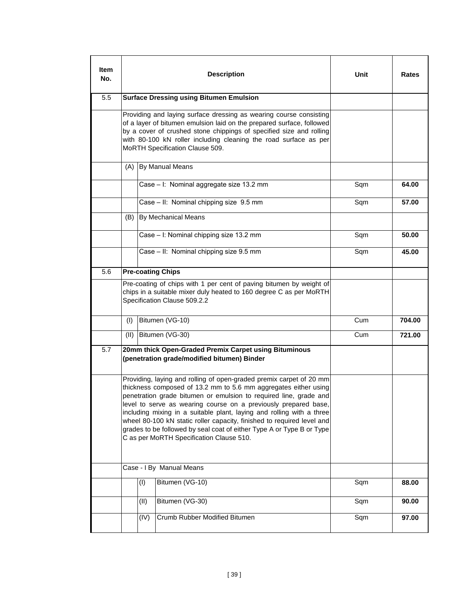| ltem<br>No. |      |      | <b>Description</b>                                                                                                                                                                                                                                                                                                                                                                                                                                                                                                                                     | Unit | Rates  |
|-------------|------|------|--------------------------------------------------------------------------------------------------------------------------------------------------------------------------------------------------------------------------------------------------------------------------------------------------------------------------------------------------------------------------------------------------------------------------------------------------------------------------------------------------------------------------------------------------------|------|--------|
| 5.5         |      |      | <b>Surface Dressing using Bitumen Emulsion</b>                                                                                                                                                                                                                                                                                                                                                                                                                                                                                                         |      |        |
|             |      |      | Providing and laying surface dressing as wearing course consisting<br>of a layer of bitumen emulsion laid on the prepared surface, followed<br>by a cover of crushed stone chippings of specified size and rolling<br>with 80-100 kN roller including cleaning the road surface as per<br>MoRTH Specification Clause 509.                                                                                                                                                                                                                              |      |        |
|             | (A)  |      | By Manual Means                                                                                                                                                                                                                                                                                                                                                                                                                                                                                                                                        |      |        |
|             |      |      | Case - I: Nominal aggregate size 13.2 mm                                                                                                                                                                                                                                                                                                                                                                                                                                                                                                               | Sqm  | 64.00  |
|             |      |      | Case - II: Nominal chipping size 9.5 mm                                                                                                                                                                                                                                                                                                                                                                                                                                                                                                                | Sqm  | 57.00  |
|             | (B)  |      | By Mechanical Means                                                                                                                                                                                                                                                                                                                                                                                                                                                                                                                                    |      |        |
|             |      |      | Case - I: Nominal chipping size 13.2 mm                                                                                                                                                                                                                                                                                                                                                                                                                                                                                                                | Sqm  | 50.00  |
|             |      |      | Case - II: Nominal chipping size 9.5 mm                                                                                                                                                                                                                                                                                                                                                                                                                                                                                                                | Sqm  | 45.00  |
| 5.6         |      |      | <b>Pre-coating Chips</b>                                                                                                                                                                                                                                                                                                                                                                                                                                                                                                                               |      |        |
|             |      |      | Pre-coating of chips with 1 per cent of paving bitumen by weight of<br>chips in a suitable mixer duly heated to 160 degree C as per MoRTH<br>Specification Clause 509.2.2                                                                                                                                                                                                                                                                                                                                                                              |      |        |
|             | (1)  |      | Bitumen (VG-10)                                                                                                                                                                                                                                                                                                                                                                                                                                                                                                                                        | Cum  | 704.00 |
|             | (II) |      | Bitumen (VG-30)                                                                                                                                                                                                                                                                                                                                                                                                                                                                                                                                        | Cum  | 721.00 |
| 5.7         |      |      | 20mm thick Open-Graded Premix Carpet using Bituminous<br>(penetration grade/modified bitumen) Binder                                                                                                                                                                                                                                                                                                                                                                                                                                                   |      |        |
|             |      |      | Providing, laying and rolling of open-graded premix carpet of 20 mm<br>thickness composed of 13.2 mm to 5.6 mm aggregates either using<br>penetration grade bitumen or emulsion to required line, grade and<br>level to serve as wearing course on a previously prepared base,<br>including mixing in a suitable plant, laying and rolling with a three<br>wheel 80-100 kN static roller capacity, finished to required level and<br>grades to be followed by seal coat of either Type A or Type B or Type<br>C as per MoRTH Specification Clause 510. |      |        |
|             |      |      | Case - I By Manual Means                                                                                                                                                                                                                                                                                                                                                                                                                                                                                                                               |      |        |
|             |      | (1)  | Bitumen (VG-10)                                                                                                                                                                                                                                                                                                                                                                                                                                                                                                                                        | Sqm  | 88.00  |
|             |      | (II) | Bitumen (VG-30)                                                                                                                                                                                                                                                                                                                                                                                                                                                                                                                                        | Sqm  | 90.00  |
|             |      | (IV) | Crumb Rubber Modified Bitumen                                                                                                                                                                                                                                                                                                                                                                                                                                                                                                                          | Sqm  | 97.00  |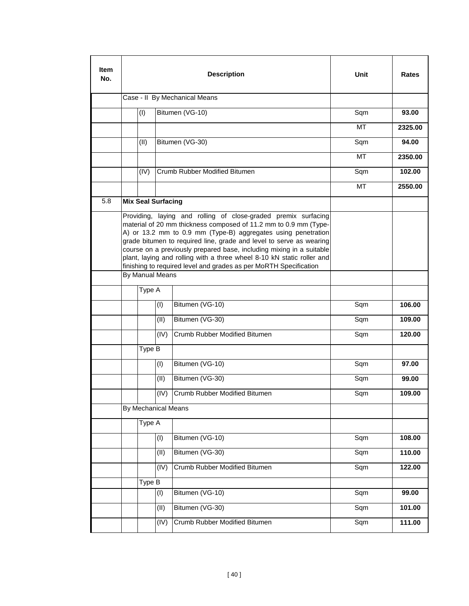| <b>Item</b><br>No. |                           |      | <b>Description</b>                                                                                                                                                                                                                                                                                                                                                                                                                                                                                | <b>Unit</b> | Rates   |
|--------------------|---------------------------|------|---------------------------------------------------------------------------------------------------------------------------------------------------------------------------------------------------------------------------------------------------------------------------------------------------------------------------------------------------------------------------------------------------------------------------------------------------------------------------------------------------|-------------|---------|
|                    |                           |      | Case - II By Mechanical Means                                                                                                                                                                                                                                                                                                                                                                                                                                                                     |             |         |
|                    | (1)                       |      | Bitumen (VG-10)                                                                                                                                                                                                                                                                                                                                                                                                                                                                                   | Sqm         | 93.00   |
|                    |                           |      |                                                                                                                                                                                                                                                                                                                                                                                                                                                                                                   | МT          | 2325.00 |
|                    | (II)                      |      | Bitumen (VG-30)                                                                                                                                                                                                                                                                                                                                                                                                                                                                                   | Sqm         | 94.00   |
|                    |                           |      |                                                                                                                                                                                                                                                                                                                                                                                                                                                                                                   | MT          | 2350.00 |
|                    | (IV)                      |      | Crumb Rubber Modified Bitumen                                                                                                                                                                                                                                                                                                                                                                                                                                                                     | Sqm         | 102.00  |
|                    |                           |      |                                                                                                                                                                                                                                                                                                                                                                                                                                                                                                   | МT          | 2550.00 |
| 5.8                | <b>Mix Seal Surfacing</b> |      |                                                                                                                                                                                                                                                                                                                                                                                                                                                                                                   |             |         |
|                    |                           |      | Providing, laying and rolling of close-graded premix surfacing<br>material of 20 mm thickness composed of 11.2 mm to 0.9 mm (Type-<br>A) or 13.2 mm to 0.9 mm (Type-B) aggregates using penetration<br>grade bitumen to required line, grade and level to serve as wearing<br>course on a previously prepared base, including mixing in a suitable<br>plant, laying and rolling with a three wheel 8-10 kN static roller and<br>finishing to required level and grades as per MoRTH Specification |             |         |
|                    | By Manual Means           |      |                                                                                                                                                                                                                                                                                                                                                                                                                                                                                                   |             |         |
|                    | Type A                    |      |                                                                                                                                                                                                                                                                                                                                                                                                                                                                                                   |             |         |
|                    |                           | (1)  | Bitumen (VG-10)                                                                                                                                                                                                                                                                                                                                                                                                                                                                                   | Sqm         | 106.00  |
|                    |                           | (II) | Bitumen (VG-30)                                                                                                                                                                                                                                                                                                                                                                                                                                                                                   | Sqm         | 109.00  |
|                    |                           | (IV) | Crumb Rubber Modified Bitumen                                                                                                                                                                                                                                                                                                                                                                                                                                                                     | Sqm         | 120.00  |
|                    | Type B                    |      |                                                                                                                                                                                                                                                                                                                                                                                                                                                                                                   |             |         |
|                    |                           | (1)  | Bitumen (VG-10)                                                                                                                                                                                                                                                                                                                                                                                                                                                                                   | Sqm         | 97.00   |
|                    |                           | (II) | Bitumen (VG-30)                                                                                                                                                                                                                                                                                                                                                                                                                                                                                   | Sqm         | 99.00   |
|                    |                           | (IV) | Crumb Rubber Modified Bitumen                                                                                                                                                                                                                                                                                                                                                                                                                                                                     | Sqm         | 109.00  |
|                    | By Mechanical Means       |      |                                                                                                                                                                                                                                                                                                                                                                                                                                                                                                   |             |         |
|                    | Type A                    |      |                                                                                                                                                                                                                                                                                                                                                                                                                                                                                                   |             |         |
|                    |                           | (1)  | Bitumen (VG-10)                                                                                                                                                                                                                                                                                                                                                                                                                                                                                   | Sqm         | 108.00  |
|                    |                           | (11) | Bitumen (VG-30)                                                                                                                                                                                                                                                                                                                                                                                                                                                                                   | Sqm         | 110.00  |
|                    |                           | (IV) | Crumb Rubber Modified Bitumen                                                                                                                                                                                                                                                                                                                                                                                                                                                                     | Sqm         | 122.00  |
|                    | Type B                    |      |                                                                                                                                                                                                                                                                                                                                                                                                                                                                                                   |             |         |
|                    |                           | (1)  | Bitumen (VG-10)                                                                                                                                                                                                                                                                                                                                                                                                                                                                                   | Sqm         | 99.00   |
|                    |                           | (11) | Bitumen (VG-30)                                                                                                                                                                                                                                                                                                                                                                                                                                                                                   | Sqm         | 101.00  |
|                    |                           | (IV) | Crumb Rubber Modified Bitumen                                                                                                                                                                                                                                                                                                                                                                                                                                                                     | Sqm         | 111.00  |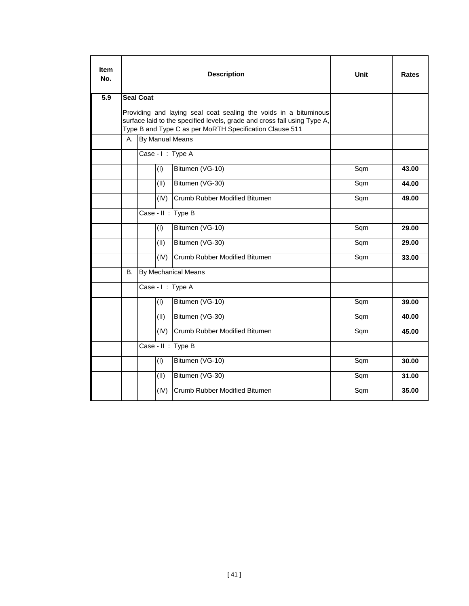| ltem<br>No. |    |                  |      | <b>Description</b>                                                                                                                  | Unit | Rates |
|-------------|----|------------------|------|-------------------------------------------------------------------------------------------------------------------------------------|------|-------|
| 5.9         |    | <b>Seal Coat</b> |      |                                                                                                                                     |      |       |
|             |    |                  |      | Providing and laying seal coat sealing the voids in a bituminous                                                                    |      |       |
|             |    |                  |      | surface laid to the specified levels, grade and cross fall using Type A,<br>Type B and Type C as per MoRTH Specification Clause 511 |      |       |
|             | А. |                  |      | By Manual Means                                                                                                                     |      |       |
|             |    |                  |      | Case - I: Type A                                                                                                                    |      |       |
|             |    |                  | (1)  | Bitumen (VG-10)                                                                                                                     | Sqm  | 43.00 |
|             |    |                  | (II) | Bitumen (VG-30)                                                                                                                     | Sqm  | 44.00 |
|             |    |                  | (IV) | Crumb Rubber Modified Bitumen                                                                                                       | Sqm  | 49.00 |
|             |    |                  |      | Case - II : Type B                                                                                                                  |      |       |
|             |    |                  | (1)  | Bitumen (VG-10)                                                                                                                     | Sqm  | 29.00 |
|             |    |                  | (II) | Bitumen (VG-30)                                                                                                                     | Sqm  | 29.00 |
|             |    |                  | (IV) | Crumb Rubber Modified Bitumen                                                                                                       | Sqm  | 33.00 |
|             | В. |                  |      | By Mechanical Means                                                                                                                 |      |       |
|             |    |                  |      | Case - I: Type A                                                                                                                    |      |       |
|             |    |                  | (1)  | Bitumen (VG-10)                                                                                                                     | Sqm  | 39.00 |
|             |    |                  | (II) | Bitumen (VG-30)                                                                                                                     | Sqm  | 40.00 |
|             |    |                  | (IV) | Crumb Rubber Modified Bitumen                                                                                                       | Sqm  | 45.00 |
|             |    |                  |      | Case - II : Type B                                                                                                                  |      |       |
|             |    |                  | (1)  | Bitumen (VG-10)                                                                                                                     | Sqm  | 30.00 |
|             |    |                  | (II) | Bitumen (VG-30)                                                                                                                     | Sqm  | 31.00 |
|             |    |                  | (IV) | Crumb Rubber Modified Bitumen                                                                                                       | Sqm  | 35.00 |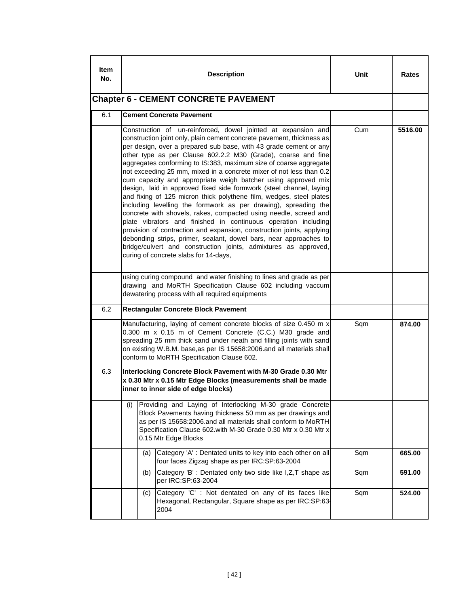| ltem<br>No. |                                                                                                                                                                                                                                                                                                                                                                                                                                                                                                                                                                                                                                                                                                                                                                                                                                                                                                                                                                                                                                                                                                            |     | <b>Description</b>                                                                                                                                                                                                                                                                                                          | Unit | Rates  |
|-------------|------------------------------------------------------------------------------------------------------------------------------------------------------------------------------------------------------------------------------------------------------------------------------------------------------------------------------------------------------------------------------------------------------------------------------------------------------------------------------------------------------------------------------------------------------------------------------------------------------------------------------------------------------------------------------------------------------------------------------------------------------------------------------------------------------------------------------------------------------------------------------------------------------------------------------------------------------------------------------------------------------------------------------------------------------------------------------------------------------------|-----|-----------------------------------------------------------------------------------------------------------------------------------------------------------------------------------------------------------------------------------------------------------------------------------------------------------------------------|------|--------|
|             |                                                                                                                                                                                                                                                                                                                                                                                                                                                                                                                                                                                                                                                                                                                                                                                                                                                                                                                                                                                                                                                                                                            |     | <b>Chapter 6 - CEMENT CONCRETE PAVEMENT</b>                                                                                                                                                                                                                                                                                 |      |        |
| 6.1         |                                                                                                                                                                                                                                                                                                                                                                                                                                                                                                                                                                                                                                                                                                                                                                                                                                                                                                                                                                                                                                                                                                            |     | <b>Cement Concrete Pavement</b>                                                                                                                                                                                                                                                                                             |      |        |
|             | Construction of un-reinforced, dowel jointed at expansion and<br>construction joint only, plain cement concrete pavement, thickness as<br>per design, over a prepared sub base, with 43 grade cement or any<br>other type as per Clause 602.2.2 M30 (Grade), coarse and fine<br>aggregates conforming to IS:383, maximum size of coarse aggregate<br>not exceeding 25 mm, mixed in a concrete mixer of not less than 0.2<br>cum capacity and appropriate weigh batcher using approved mix<br>design, laid in approved fixed side formwork (steel channel, laying<br>and fixing of 125 micron thick polythene film, wedges, steel plates<br>including levelling the formwork as per drawing), spreading the<br>concrete with shovels, rakes, compacted using needle, screed and<br>plate vibrators and finished in continuous operation including<br>provision of contraction and expansion, construction joints, applying<br>debonding strips, primer, sealant, dowel bars, near approaches to<br>bridge/culvert and construction joints, admixtures as approved,<br>curing of concrete slabs for 14-days, | Cum | 5516.00                                                                                                                                                                                                                                                                                                                     |      |        |
|             |                                                                                                                                                                                                                                                                                                                                                                                                                                                                                                                                                                                                                                                                                                                                                                                                                                                                                                                                                                                                                                                                                                            |     | using curing compound and water finishing to lines and grade as per<br>drawing and MoRTH Specification Clause 602 including vaccum<br>dewatering process with all required equipments                                                                                                                                       |      |        |
| 6.2         |                                                                                                                                                                                                                                                                                                                                                                                                                                                                                                                                                                                                                                                                                                                                                                                                                                                                                                                                                                                                                                                                                                            |     | <b>Rectangular Concrete Block Pavement</b>                                                                                                                                                                                                                                                                                  |      |        |
|             |                                                                                                                                                                                                                                                                                                                                                                                                                                                                                                                                                                                                                                                                                                                                                                                                                                                                                                                                                                                                                                                                                                            |     | Manufacturing, laying of cement concrete blocks of size 0.450 m x<br>0.300 m x 0.15 m of Cement Concrete (C.C.) M30 grade and<br>spreading 25 mm thick sand under neath and filling joints with sand<br>on existing W.B.M. base, as per IS 15658:2006.and all materials shall<br>conform to MoRTH Specification Clause 602. | Sqm  | 874.00 |
| 6.3         |                                                                                                                                                                                                                                                                                                                                                                                                                                                                                                                                                                                                                                                                                                                                                                                                                                                                                                                                                                                                                                                                                                            |     | Interlocking Concrete Block Pavement with M-30 Grade 0.30 Mtr<br>x 0.30 Mtr x 0.15 Mtr Edge Blocks (measurements shall be made<br>inner to inner side of edge blocks)                                                                                                                                                       |      |        |
|             | (i)                                                                                                                                                                                                                                                                                                                                                                                                                                                                                                                                                                                                                                                                                                                                                                                                                                                                                                                                                                                                                                                                                                        |     | Providing and Laying of Interlocking M-30 grade Concrete<br>Block Pavements having thickness 50 mm as per drawings and<br>as per IS 15658:2006.and all materials shall conform to MoRTH<br>Specification Clause 602.with M-30 Grade 0.30 Mtr x 0.30 Mtr x<br>0.15 Mtr Edge Blocks                                           |      |        |
|             |                                                                                                                                                                                                                                                                                                                                                                                                                                                                                                                                                                                                                                                                                                                                                                                                                                                                                                                                                                                                                                                                                                            | (a) | Category 'A' : Dentated units to key into each other on all<br>four faces Zigzag shape as per IRC:SP:63-2004                                                                                                                                                                                                                | Sqm  | 665.00 |
|             |                                                                                                                                                                                                                                                                                                                                                                                                                                                                                                                                                                                                                                                                                                                                                                                                                                                                                                                                                                                                                                                                                                            | (b) | Category 'B' : Dentated only two side like I, Z, T shape as<br>per IRC:SP:63-2004                                                                                                                                                                                                                                           | Sqm  | 591.00 |
|             |                                                                                                                                                                                                                                                                                                                                                                                                                                                                                                                                                                                                                                                                                                                                                                                                                                                                                                                                                                                                                                                                                                            | (C) | Category 'C' : Not dentated on any of its faces like<br>Hexagonal, Rectangular, Square shape as per IRC:SP:63-<br>2004                                                                                                                                                                                                      | Sqm  | 524.00 |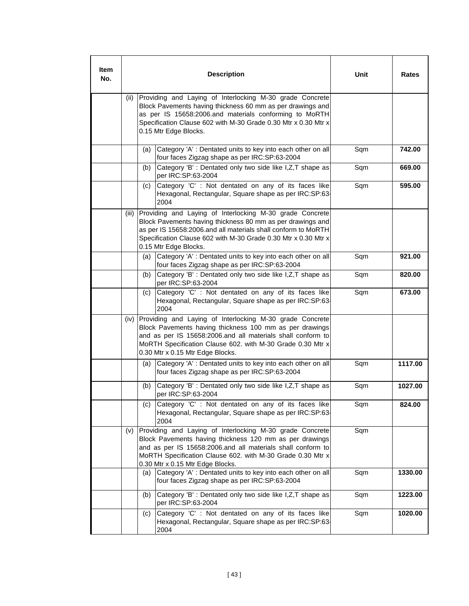| ltem<br>No. |       |                                                                                                                                                                                                                                                                                    | <b>Description</b>                                                                                                                                                                                                                                                                   | Unit | Rates   |
|-------------|-------|------------------------------------------------------------------------------------------------------------------------------------------------------------------------------------------------------------------------------------------------------------------------------------|--------------------------------------------------------------------------------------------------------------------------------------------------------------------------------------------------------------------------------------------------------------------------------------|------|---------|
|             | (ii)  |                                                                                                                                                                                                                                                                                    | Providing and Laying of Interlocking M-30 grade Concrete<br>Block Pavements having thickness 60 mm as per drawings and<br>as per IS 15658:2006.and materials conforming to MoRTH<br>Specification Clause 602 with M-30 Grade 0.30 Mtr x 0.30 Mtr x<br>0.15 Mtr Edge Blocks.          |      |         |
|             |       | (a)                                                                                                                                                                                                                                                                                | Category 'A' : Dentated units to key into each other on all<br>four faces Zigzag shape as per IRC:SP:63-2004                                                                                                                                                                         | Sqm  | 742.00  |
|             |       | (b)                                                                                                                                                                                                                                                                                | Category 'B' : Dentated only two side like I, Z, T shape as<br>per IRC:SP:63-2004                                                                                                                                                                                                    | Sqm  | 669.00  |
|             |       | (c)                                                                                                                                                                                                                                                                                | Category 'C' : Not dentated on any of its faces like<br>Hexagonal, Rectangular, Square shape as per IRC:SP:63-<br>2004                                                                                                                                                               | Sqm  | 595.00  |
|             | (iii) | Providing and Laying of Interlocking M-30 grade Concrete<br>Block Pavements having thickness 80 mm as per drawings and<br>as per IS 15658:2006.and all materials shall conform to MoRTH<br>Specification Clause 602 with M-30 Grade 0.30 Mtr x 0.30 Mtr x<br>0.15 Mtr Edge Blocks. |                                                                                                                                                                                                                                                                                      |      |         |
|             |       | (a)                                                                                                                                                                                                                                                                                | Category 'A' : Dentated units to key into each other on all<br>four faces Zigzag shape as per IRC:SP:63-2004                                                                                                                                                                         | Sqm  | 921.00  |
|             |       | (b)                                                                                                                                                                                                                                                                                | Category 'B' : Dentated only two side like I, Z, T shape as<br>per IRC:SP:63-2004                                                                                                                                                                                                    | Sqm  | 820.00  |
|             |       | (c)                                                                                                                                                                                                                                                                                | Category 'C' : Not dentated on any of its faces like<br>Hexagonal, Rectangular, Square shape as per IRC:SP:63-<br>2004                                                                                                                                                               | Sqm  | 673.00  |
|             | (iv)  |                                                                                                                                                                                                                                                                                    | Providing and Laying of Interlocking M-30 grade Concrete<br>Block Pavements having thickness 100 mm as per drawings<br>and as per IS 15658:2006.and all materials shall conform to<br>MoRTH Specification Clause 602. with M-30 Grade 0.30 Mtr x<br>0.30 Mtr x 0.15 Mtr Edge Blocks. |      |         |
|             |       | (a)                                                                                                                                                                                                                                                                                | Category 'A' : Dentated units to key into each other on all<br>four faces Zigzag shape as per IRC:SP:63-2004                                                                                                                                                                         | Sqm  | 1117.00 |
|             |       | (b)                                                                                                                                                                                                                                                                                | Category 'B' : Dentated only two side like I, Z, T shape as<br>per IRC:SP:63-2004                                                                                                                                                                                                    | Sqm  | 1027.00 |
|             |       | (C)                                                                                                                                                                                                                                                                                | Category 'C' : Not dentated on any of its faces like<br>Hexagonal, Rectangular, Square shape as per IRC:SP:63-<br>2004                                                                                                                                                               | Sqm  | 824.00  |
|             | (v)   |                                                                                                                                                                                                                                                                                    | Providing and Laying of Interlocking M-30 grade Concrete<br>Block Pavements having thickness 120 mm as per drawings<br>and as per IS 15658:2006.and all materials shall conform to<br>MoRTH Specification Clause 602. with M-30 Grade 0.30 Mtr x<br>0.30 Mtr x 0.15 Mtr Edge Blocks. | Sqm  |         |
|             |       | (a)                                                                                                                                                                                                                                                                                | Category 'A' : Dentated units to key into each other on all<br>four faces Zigzag shape as per IRC:SP:63-2004                                                                                                                                                                         | Sqm  | 1330.00 |
|             |       | (b)                                                                                                                                                                                                                                                                                | Category 'B' : Dentated only two side like I, Z, T shape as<br>per IRC:SP:63-2004                                                                                                                                                                                                    | Sqm  | 1223.00 |
|             |       | (c)                                                                                                                                                                                                                                                                                | Category 'C' : Not dentated on any of its faces like<br>Hexagonal, Rectangular, Square shape as per IRC:SP:63-<br>2004                                                                                                                                                               | Sqm  | 1020.00 |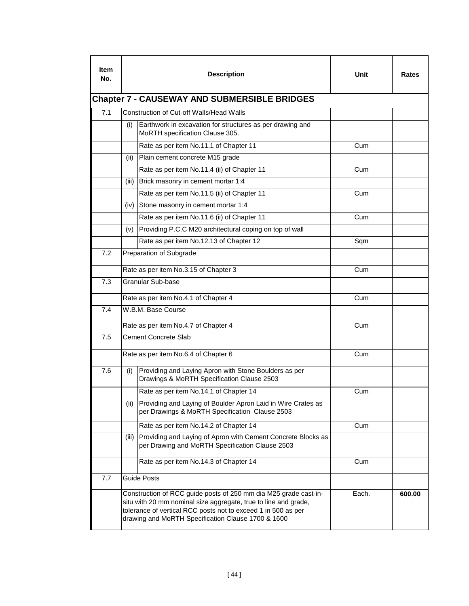| ltem<br>No. |       | <b>Description</b>                                                                                                                                                                                                                                         | Unit  | Rates  |  |  |  |  |  |  |
|-------------|-------|------------------------------------------------------------------------------------------------------------------------------------------------------------------------------------------------------------------------------------------------------------|-------|--------|--|--|--|--|--|--|
|             |       | <b>Chapter 7 - CAUSEWAY AND SUBMERSIBLE BRIDGES</b>                                                                                                                                                                                                        |       |        |  |  |  |  |  |  |
| 7.1         |       | Construction of Cut-off Walls/Head Walls                                                                                                                                                                                                                   |       |        |  |  |  |  |  |  |
|             | (i)   | Earthwork in excavation for structures as per drawing and<br>MoRTH specification Clause 305.                                                                                                                                                               |       |        |  |  |  |  |  |  |
|             |       | Rate as per item No.11.1 of Chapter 11                                                                                                                                                                                                                     | Cum   |        |  |  |  |  |  |  |
|             | (ii)  | Plain cement concrete M15 grade                                                                                                                                                                                                                            |       |        |  |  |  |  |  |  |
|             |       | Rate as per item No.11.4 (ii) of Chapter 11                                                                                                                                                                                                                | Cum   |        |  |  |  |  |  |  |
|             | (iii) | Brick masonry in cement mortar 1:4                                                                                                                                                                                                                         |       |        |  |  |  |  |  |  |
|             |       | Rate as per item No.11.5 (ii) of Chapter 11                                                                                                                                                                                                                | Cum   |        |  |  |  |  |  |  |
|             | (iv)  | Stone masonry in cement mortar 1:4                                                                                                                                                                                                                         |       |        |  |  |  |  |  |  |
|             |       | Rate as per item No.11.6 (ii) of Chapter 11                                                                                                                                                                                                                | Cum   |        |  |  |  |  |  |  |
|             | (v)   | Providing P.C.C M20 architectural coping on top of wall                                                                                                                                                                                                    |       |        |  |  |  |  |  |  |
|             |       | Rate as per item No.12.13 of Chapter 12                                                                                                                                                                                                                    | Sqm   |        |  |  |  |  |  |  |
| 7.2         |       | Preparation of Subgrade                                                                                                                                                                                                                                    |       |        |  |  |  |  |  |  |
|             |       | Rate as per item No.3.15 of Chapter 3                                                                                                                                                                                                                      | Cum   |        |  |  |  |  |  |  |
| 7.3         |       | Granular Sub-base                                                                                                                                                                                                                                          |       |        |  |  |  |  |  |  |
|             |       | Rate as per item No.4.1 of Chapter 4                                                                                                                                                                                                                       | Cum   |        |  |  |  |  |  |  |
| 7.4         |       | W.B.M. Base Course                                                                                                                                                                                                                                         |       |        |  |  |  |  |  |  |
|             |       | Rate as per item No.4.7 of Chapter 4                                                                                                                                                                                                                       | Cum   |        |  |  |  |  |  |  |
| 7.5         |       | <b>Cement Concrete Slab</b>                                                                                                                                                                                                                                |       |        |  |  |  |  |  |  |
|             |       | Rate as per item No.6.4 of Chapter 6                                                                                                                                                                                                                       | Cum   |        |  |  |  |  |  |  |
| 7.6         | (i)   | Providing and Laying Apron with Stone Boulders as per<br>Drawings & MoRTH Specification Clause 2503                                                                                                                                                        |       |        |  |  |  |  |  |  |
|             |       | Rate as per item No.14.1 of Chapter 14                                                                                                                                                                                                                     | Cum   |        |  |  |  |  |  |  |
|             | (ii)  | Providing and Laying of Boulder Apron Laid in Wire Crates as<br>per Drawings & MoRTH Specification Clause 2503                                                                                                                                             |       |        |  |  |  |  |  |  |
|             |       | Rate as per item No.14.2 of Chapter 14                                                                                                                                                                                                                     | Cum   |        |  |  |  |  |  |  |
|             | (iii) | Providing and Laying of Apron with Cement Concrete Blocks as<br>per Drawing and MoRTH Specification Clause 2503                                                                                                                                            |       |        |  |  |  |  |  |  |
|             |       | Rate as per item No.14.3 of Chapter 14                                                                                                                                                                                                                     | Cum   |        |  |  |  |  |  |  |
| 7.7         |       | <b>Guide Posts</b>                                                                                                                                                                                                                                         |       |        |  |  |  |  |  |  |
|             |       | Construction of RCC guide posts of 250 mm dia M25 grade cast-in-<br>situ with 20 mm nominal size aggregate, true to line and grade,<br>tolerance of vertical RCC posts not to exceed 1 in 500 as per<br>drawing and MoRTH Specification Clause 1700 & 1600 | Each. | 600.00 |  |  |  |  |  |  |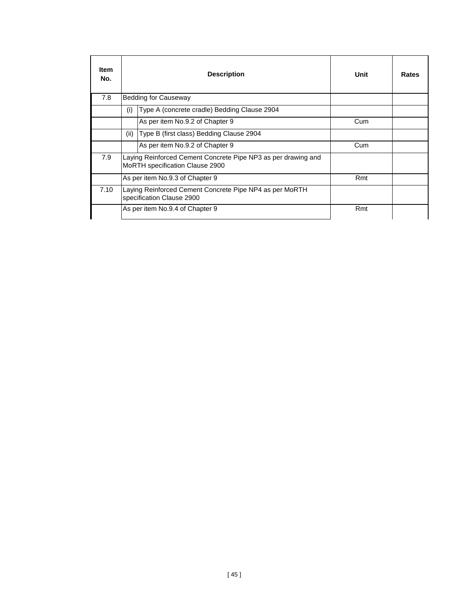| <b>Item</b><br>No. |      | <b>Description</b>                                                                               | Unit | Rates |
|--------------------|------|--------------------------------------------------------------------------------------------------|------|-------|
| 7.8                |      | Bedding for Causeway                                                                             |      |       |
|                    | (i)  | Type A (concrete cradle) Bedding Clause 2904                                                     |      |       |
|                    |      | As per item No.9.2 of Chapter 9                                                                  | Cum  |       |
|                    | (ii) | Type B (first class) Bedding Clause 2904                                                         |      |       |
|                    |      | As per item No.9.2 of Chapter 9                                                                  | Cum  |       |
| 7.9                |      | Laying Reinforced Cement Concrete Pipe NP3 as per drawing and<br>MoRTH specification Clause 2900 |      |       |
|                    |      | As per item No.9.3 of Chapter 9                                                                  | Rmt  |       |
| 7.10               |      | Laying Reinforced Cement Concrete Pipe NP4 as per MoRTH<br>specification Clause 2900             |      |       |
|                    |      | As per item No.9.4 of Chapter 9                                                                  | Rmt  |       |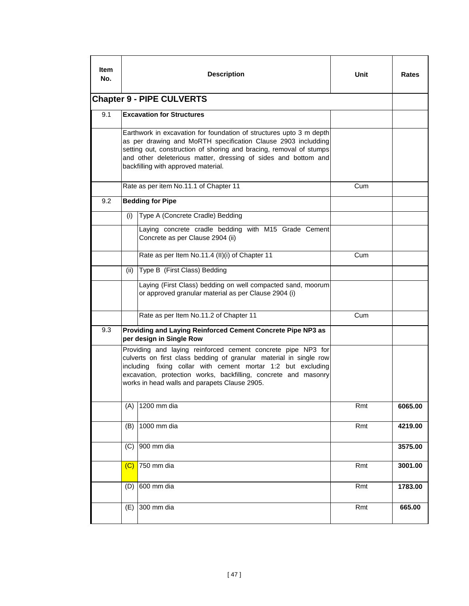| <b>Item</b><br>No.                                                          |                                                                                                                                                                                                                                                                                                                      | <b>Description</b>                                                                                                                                                                                                                                                                                                     | Unit | Rates   |  |  |  |  |  |
|-----------------------------------------------------------------------------|----------------------------------------------------------------------------------------------------------------------------------------------------------------------------------------------------------------------------------------------------------------------------------------------------------------------|------------------------------------------------------------------------------------------------------------------------------------------------------------------------------------------------------------------------------------------------------------------------------------------------------------------------|------|---------|--|--|--|--|--|
| <b>Chapter 9 - PIPE CULVERTS</b><br>9.1<br><b>Excavation for Structures</b> |                                                                                                                                                                                                                                                                                                                      |                                                                                                                                                                                                                                                                                                                        |      |         |  |  |  |  |  |
|                                                                             |                                                                                                                                                                                                                                                                                                                      |                                                                                                                                                                                                                                                                                                                        |      |         |  |  |  |  |  |
|                                                                             | Earthwork in excavation for foundation of structures upto 3 m depth<br>as per drawing and MoRTH specification Clause 2903 includding<br>setting out, construction of shoring and bracing, removal of stumps<br>and other deleterious matter, dressing of sides and bottom and<br>backfilling with approved material. |                                                                                                                                                                                                                                                                                                                        |      |         |  |  |  |  |  |
|                                                                             |                                                                                                                                                                                                                                                                                                                      | Rate as per item No.11.1 of Chapter 11                                                                                                                                                                                                                                                                                 | Cum  |         |  |  |  |  |  |
| 9.2                                                                         |                                                                                                                                                                                                                                                                                                                      | <b>Bedding for Pipe</b>                                                                                                                                                                                                                                                                                                |      |         |  |  |  |  |  |
|                                                                             | (i)                                                                                                                                                                                                                                                                                                                  | Type A (Concrete Cradle) Bedding                                                                                                                                                                                                                                                                                       |      |         |  |  |  |  |  |
|                                                                             |                                                                                                                                                                                                                                                                                                                      | Laying concrete cradle bedding with M15 Grade Cement<br>Concrete as per Clause 2904 (ii)                                                                                                                                                                                                                               |      |         |  |  |  |  |  |
|                                                                             |                                                                                                                                                                                                                                                                                                                      | Rate as per Item No.11.4 (II)(i) of Chapter 11                                                                                                                                                                                                                                                                         | Cum  |         |  |  |  |  |  |
|                                                                             | (ii)                                                                                                                                                                                                                                                                                                                 | Type B (First Class) Bedding                                                                                                                                                                                                                                                                                           |      |         |  |  |  |  |  |
|                                                                             |                                                                                                                                                                                                                                                                                                                      | Laying (First Class) bedding on well compacted sand, moorum<br>or approved granular material as per Clause 2904 (i)                                                                                                                                                                                                    |      |         |  |  |  |  |  |
|                                                                             |                                                                                                                                                                                                                                                                                                                      | Rate as per Item No.11.2 of Chapter 11                                                                                                                                                                                                                                                                                 | Cum  |         |  |  |  |  |  |
| 9.3                                                                         |                                                                                                                                                                                                                                                                                                                      | Providing and Laying Reinforced Cement Concrete Pipe NP3 as<br>per design in Single Row                                                                                                                                                                                                                                |      |         |  |  |  |  |  |
|                                                                             |                                                                                                                                                                                                                                                                                                                      | Providing and laying reinforced cement concrete pipe NP3 for<br>culverts on first class bedding of granular material in single row<br>including fixing collar with cement mortar 1:2 but excluding<br>excavation, protection works, backfilling, concrete and masonry<br>works in head walls and parapets Clause 2905. |      |         |  |  |  |  |  |
|                                                                             | (A)                                                                                                                                                                                                                                                                                                                  | 1200 mm dia                                                                                                                                                                                                                                                                                                            | Rmt  | 6065.00 |  |  |  |  |  |
|                                                                             | (B)                                                                                                                                                                                                                                                                                                                  | 1000 mm dia                                                                                                                                                                                                                                                                                                            | Rmt  | 4219.00 |  |  |  |  |  |
|                                                                             | (C)                                                                                                                                                                                                                                                                                                                  | 900 mm dia                                                                                                                                                                                                                                                                                                             |      | 3575.00 |  |  |  |  |  |
|                                                                             | (C)                                                                                                                                                                                                                                                                                                                  | 750 mm dia                                                                                                                                                                                                                                                                                                             | Rmt  | 3001.00 |  |  |  |  |  |
|                                                                             | (D)                                                                                                                                                                                                                                                                                                                  | 600 mm dia                                                                                                                                                                                                                                                                                                             | Rmt  | 1783.00 |  |  |  |  |  |
|                                                                             | (E)                                                                                                                                                                                                                                                                                                                  | 300 mm dia                                                                                                                                                                                                                                                                                                             | Rmt  | 665.00  |  |  |  |  |  |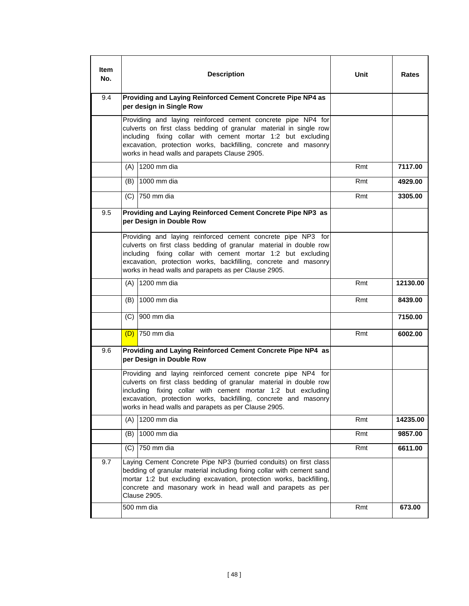| ltem<br>No. | <b>Description</b>                                                                                                                                                                                                                                                                                                            | Unit | Rates    |
|-------------|-------------------------------------------------------------------------------------------------------------------------------------------------------------------------------------------------------------------------------------------------------------------------------------------------------------------------------|------|----------|
| 9.4         | Providing and Laying Reinforced Cement Concrete Pipe NP4 as<br>per design in Single Row                                                                                                                                                                                                                                       |      |          |
|             | Providing and laying reinforced cement concrete pipe NP4 for<br>culverts on first class bedding of granular material in single row<br>including fixing collar with cement mortar 1:2 but excluding<br>excavation, protection works, backfilling, concrete and masonry<br>works in head walls and parapets Clause 2905.        |      |          |
|             | (A) 1200 mm dia                                                                                                                                                                                                                                                                                                               | Rmt  | 7117.00  |
|             | 1000 mm dia<br>(B)                                                                                                                                                                                                                                                                                                            | Rmt  | 4929.00  |
|             | (C) 750 mm dia                                                                                                                                                                                                                                                                                                                | Rmt  | 3305.00  |
| 9.5         | Providing and Laying Reinforced Cement Concrete Pipe NP3 as<br>per Design in Double Row                                                                                                                                                                                                                                       |      |          |
|             | Providing and laying reinforced cement concrete pipe NP3 for<br>culverts on first class bedding of granular material in double row<br>including fixing collar with cement mortar 1:2 but excluding<br>excavation, protection works, backfilling, concrete and masonry<br>works in head walls and parapets as per Clause 2905. |      |          |
|             | 1200 mm dia<br>(A)                                                                                                                                                                                                                                                                                                            | Rmt  | 12130.00 |
|             | 1000 mm dia<br>(B)                                                                                                                                                                                                                                                                                                            | Rmt  | 8439.00  |
|             | 900 mm dia<br>(C)                                                                                                                                                                                                                                                                                                             |      | 7150.00  |
|             | $(D)$ 750 mm dia                                                                                                                                                                                                                                                                                                              | Rmt  | 6002.00  |
| 9.6         | Providing and Laying Reinforced Cement Concrete Pipe NP4 as<br>per Design in Double Row                                                                                                                                                                                                                                       |      |          |
|             | Providing and laying reinforced cement concrete pipe NP4 for<br>culverts on first class bedding of granular material in double row<br>including fixing collar with cement mortar 1:2 but excluding<br>excavation, protection works, backfilling, concrete and masonry<br>works in head walls and parapets as per Clause 2905. |      |          |
|             | 1200 mm dia<br>(A)                                                                                                                                                                                                                                                                                                            | Rmt  | 14235.00 |
|             | 1000 mm dia<br>(B)                                                                                                                                                                                                                                                                                                            | Rmt  | 9857.00  |
|             | 750 mm dia<br>(C)                                                                                                                                                                                                                                                                                                             | Rmt  | 6611.00  |
| 9.7         | Laying Cement Concrete Pipe NP3 (burried conduits) on first class<br>bedding of granular material including fixing collar with cement sand<br>mortar 1:2 but excluding excavation, protection works, backfilling,<br>concrete and masonary work in head wall and parapets as per<br><b>Clause 2905.</b>                       |      |          |
|             | 500 mm dia                                                                                                                                                                                                                                                                                                                    | Rmt  | 673.00   |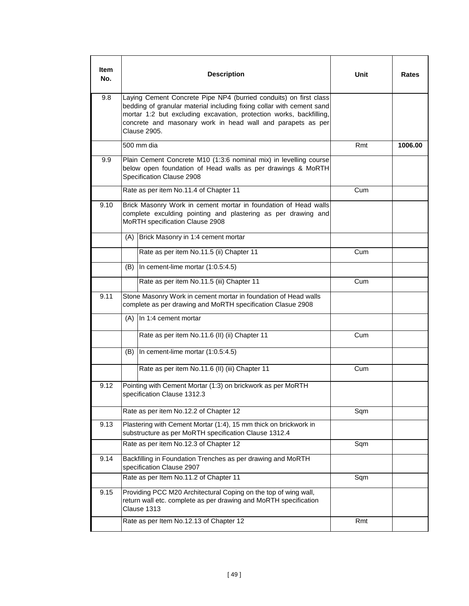| Item<br>No. |     | <b>Description</b>                                                                                                                                                                                                                                                                                      | Unit | Rates   |
|-------------|-----|---------------------------------------------------------------------------------------------------------------------------------------------------------------------------------------------------------------------------------------------------------------------------------------------------------|------|---------|
| 9.8         |     | Laying Cement Concrete Pipe NP4 (burried conduits) on first class<br>bedding of granular material including fixing collar with cement sand<br>mortar 1:2 but excluding excavation, protection works, backfilling,<br>concrete and masonary work in head wall and parapets as per<br><b>Clause 2905.</b> |      |         |
|             |     | 500 mm dia                                                                                                                                                                                                                                                                                              | Rmt  | 1006.00 |
| 9.9         |     | Plain Cement Concrete M10 (1:3:6 nominal mix) in levelling course<br>below open foundation of Head walls as per drawings & MoRTH<br>Specification Clause 2908                                                                                                                                           |      |         |
|             |     | Rate as per item No.11.4 of Chapter 11                                                                                                                                                                                                                                                                  | Cum  |         |
| 9.10        |     | Brick Masonry Work in cement mortar in foundation of Head walls<br>complete exculding pointing and plastering as per drawing and<br>MoRTH specification Clause 2908                                                                                                                                     |      |         |
|             |     | (A) Brick Masonry in 1:4 cement mortar                                                                                                                                                                                                                                                                  |      |         |
|             |     | Rate as per item No.11.5 (ii) Chapter 11                                                                                                                                                                                                                                                                | Cum  |         |
|             |     | $(B)$ In cement-lime mortar $(1:0.5:4.5)$                                                                                                                                                                                                                                                               |      |         |
|             |     | Rate as per item No.11.5 (iii) Chapter 11                                                                                                                                                                                                                                                               | Cum  |         |
| 9.11        |     | Stone Masonry Work in cement mortar in foundation of Head walls<br>complete as per drawing and MoRTH specification Clasue 2908                                                                                                                                                                          |      |         |
|             |     | $(A)$ In 1:4 cement mortar                                                                                                                                                                                                                                                                              |      |         |
|             |     | Rate as per item No.11.6 (II) (ii) Chapter 11                                                                                                                                                                                                                                                           | Cum  |         |
|             | (B) | In cement-lime mortar (1:0.5:4.5)                                                                                                                                                                                                                                                                       |      |         |
|             |     | Rate as per item No.11.6 (II) (iii) Chapter 11                                                                                                                                                                                                                                                          | Cum  |         |
| 9.12        |     | Pointing with Cement Mortar (1:3) on brickwork as per MoRTH<br>specification Clause 1312.3                                                                                                                                                                                                              |      |         |
|             |     | Rate as per item No.12.2 of Chapter 12                                                                                                                                                                                                                                                                  | Sqm  |         |
| 9.13        |     | Plastering with Cement Mortar (1:4), 15 mm thick on brickwork in<br>substructure as per MoRTH specification Clause 1312.4                                                                                                                                                                               |      |         |
|             |     | Rate as per item No.12.3 of Chapter 12                                                                                                                                                                                                                                                                  | Sqm  |         |
| 9.14        |     | Backfilling in Foundation Trenches as per drawing and MoRTH<br>specification Clause 2907                                                                                                                                                                                                                |      |         |
|             |     | Rate as per Item No.11.2 of Chapter 11                                                                                                                                                                                                                                                                  | Sqm  |         |
| 9.15        |     | Providing PCC M20 Architectural Coping on the top of wing wall,<br>return wall etc. complete as per drawing and MoRTH specification<br>Clause 1313                                                                                                                                                      |      |         |
|             |     | Rate as per Item No.12.13 of Chapter 12                                                                                                                                                                                                                                                                 | Rmt  |         |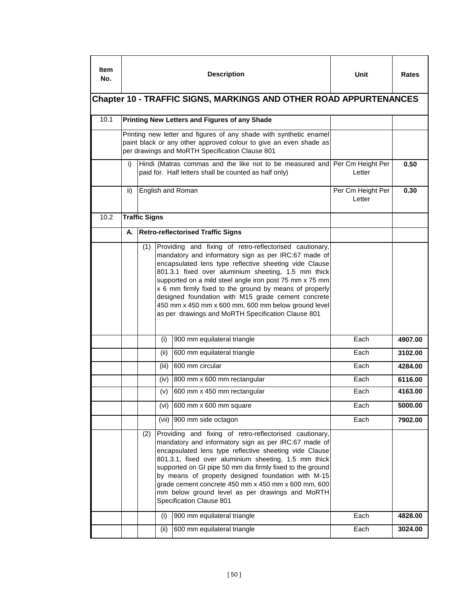| ltem<br>No. |     |                      |       | <b>Description</b>                                                                                                                                                                                                                                                                                                                                                                                                                                                                         | Unit                        | Rates   |  |
|-------------|-----|----------------------|-------|--------------------------------------------------------------------------------------------------------------------------------------------------------------------------------------------------------------------------------------------------------------------------------------------------------------------------------------------------------------------------------------------------------------------------------------------------------------------------------------------|-----------------------------|---------|--|
|             |     |                      |       | <b>Chapter 10 - TRAFFIC SIGNS, MARKINGS AND OTHER ROAD APPURTENANCES</b>                                                                                                                                                                                                                                                                                                                                                                                                                   |                             |         |  |
| 10.1        |     |                      |       | <b>Printing New Letters and Figures of any Shade</b>                                                                                                                                                                                                                                                                                                                                                                                                                                       |                             |         |  |
|             |     |                      |       | Printing new letter and figures of any shade with synthetic enamel<br>paint black or any other approved colour to give an even shade as<br>per drawings and MoRTH Specification Clause 801                                                                                                                                                                                                                                                                                                 |                             |         |  |
|             | i)  |                      |       | Hindi (Matras commas and the like not to be measured and Per Cm Height Per<br>paid for. Half letters shall be counted as half only)                                                                                                                                                                                                                                                                                                                                                        | Letter                      | 0.50    |  |
|             | ii) |                      |       | English and Roman                                                                                                                                                                                                                                                                                                                                                                                                                                                                          | Per Cm Height Per<br>Letter | 0.30    |  |
| 10.2        |     | <b>Traffic Signs</b> |       |                                                                                                                                                                                                                                                                                                                                                                                                                                                                                            |                             |         |  |
|             | А.  |                      |       | <b>Retro-reflectorised Traffic Signs</b>                                                                                                                                                                                                                                                                                                                                                                                                                                                   |                             |         |  |
|             |     |                      |       | encapsulated lens type reflective sheeting vide Clause<br>801.3.1 fixed over aluminium sheeting, 1.5 mm thick<br>supported on a mild steel angle iron post 75 mm x 75 mm<br>x 6 mm firmly fixed to the ground by means of properly<br>designed foundation with M15 grade cement concrete<br>450 mm x 450 mm x 600 mm, 600 mm below ground level<br>as per drawings and MoRTH Specification Clause 801                                                                                      |                             |         |  |
|             |     |                      | (i)   | 900 mm equilateral triangle                                                                                                                                                                                                                                                                                                                                                                                                                                                                | Each                        | 4907.00 |  |
|             |     |                      | (ii)  | 600 mm equilateral triangle                                                                                                                                                                                                                                                                                                                                                                                                                                                                | Each                        | 3102.00 |  |
|             |     |                      | (iii) | 600 mm circular                                                                                                                                                                                                                                                                                                                                                                                                                                                                            | Each                        | 4284.00 |  |
|             |     |                      | (iv)  | 800 mm x 600 mm rectangular                                                                                                                                                                                                                                                                                                                                                                                                                                                                | Each                        | 6116.00 |  |
|             |     |                      | (v)   | 600 mm x 450 mm rectangular                                                                                                                                                                                                                                                                                                                                                                                                                                                                | Each                        | 4163.00 |  |
|             |     |                      |       | (vi) $\left  600 \right $ mm x 600 mm square                                                                                                                                                                                                                                                                                                                                                                                                                                               | Each                        | 5000.00 |  |
|             |     |                      |       | (vii) 900 mm side octagon                                                                                                                                                                                                                                                                                                                                                                                                                                                                  | Each                        | 7902.00 |  |
|             |     | (2)                  |       | Providing and fixing of retro-reflectorised cautionary,<br>mandatory and informatory sign as per IRC:67 made of<br>encapsulated lens type reflective sheeting vide Clause<br>801.3.1, fixed over aluminium sheeting, 1.5 mm thick<br>supported on GI pipe 50 mm dia firmly fixed to the ground<br>by means of properly designed foundation with M-15<br>grade cement concrete 450 mm x 450 mm x 600 mm, 600<br>mm below ground level as per drawings and MoRTH<br>Specification Clause 801 |                             |         |  |
|             |     |                      | (i)   | 900 mm equilateral triangle                                                                                                                                                                                                                                                                                                                                                                                                                                                                | Each                        | 4828.00 |  |
|             |     |                      | (ii)  | 600 mm equilateral triangle                                                                                                                                                                                                                                                                                                                                                                                                                                                                | Each                        | 3024.00 |  |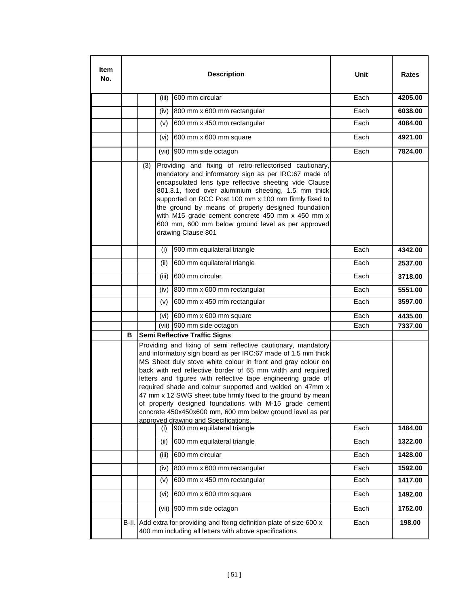| ltem<br>No. |   |                                                                                                                                                                                                                                                                                                                                                                                                                                                                                                                                                                                                                            |       | <b>Description</b>                                                                                                                                                                                                                                                                                                                                                                                                                                                               | Unit | Rates   |  |
|-------------|---|----------------------------------------------------------------------------------------------------------------------------------------------------------------------------------------------------------------------------------------------------------------------------------------------------------------------------------------------------------------------------------------------------------------------------------------------------------------------------------------------------------------------------------------------------------------------------------------------------------------------------|-------|----------------------------------------------------------------------------------------------------------------------------------------------------------------------------------------------------------------------------------------------------------------------------------------------------------------------------------------------------------------------------------------------------------------------------------------------------------------------------------|------|---------|--|
|             |   |                                                                                                                                                                                                                                                                                                                                                                                                                                                                                                                                                                                                                            | (iii) | 600 mm circular                                                                                                                                                                                                                                                                                                                                                                                                                                                                  | Each | 4205.00 |  |
|             |   |                                                                                                                                                                                                                                                                                                                                                                                                                                                                                                                                                                                                                            | (iv)  | 800 mm x 600 mm rectangular                                                                                                                                                                                                                                                                                                                                                                                                                                                      | Each | 6038.00 |  |
|             |   |                                                                                                                                                                                                                                                                                                                                                                                                                                                                                                                                                                                                                            | (v)   | 600 mm x 450 mm rectangular                                                                                                                                                                                                                                                                                                                                                                                                                                                      | Each | 4084.00 |  |
|             |   |                                                                                                                                                                                                                                                                                                                                                                                                                                                                                                                                                                                                                            | (vi)  | 600 mm x 600 mm square                                                                                                                                                                                                                                                                                                                                                                                                                                                           | Each | 4921.00 |  |
|             |   |                                                                                                                                                                                                                                                                                                                                                                                                                                                                                                                                                                                                                            |       | (vii) 900 mm side octagon                                                                                                                                                                                                                                                                                                                                                                                                                                                        | Each | 7824.00 |  |
|             |   | (3)                                                                                                                                                                                                                                                                                                                                                                                                                                                                                                                                                                                                                        |       | Providing and fixing of retro-reflectorised cautionary,<br>mandatory and informatory sign as per IRC:67 made of<br>encapsulated lens type reflective sheeting vide Clause<br>801.3.1, fixed over aluminium sheeting, 1.5 mm thick<br>supported on RCC Post 100 mm x 100 mm firmly fixed to<br>the ground by means of properly designed foundation<br>with M15 grade cement concrete 450 mm x 450 mm x<br>600 mm, 600 mm below ground level as per approved<br>drawing Clause 801 |      |         |  |
|             |   |                                                                                                                                                                                                                                                                                                                                                                                                                                                                                                                                                                                                                            | (i)   | 900 mm equilateral triangle                                                                                                                                                                                                                                                                                                                                                                                                                                                      | Each | 4342.00 |  |
|             |   |                                                                                                                                                                                                                                                                                                                                                                                                                                                                                                                                                                                                                            | (ii)  | 600 mm equilateral triangle                                                                                                                                                                                                                                                                                                                                                                                                                                                      | Each | 2537.00 |  |
|             |   |                                                                                                                                                                                                                                                                                                                                                                                                                                                                                                                                                                                                                            | (iii) | 600 mm circular                                                                                                                                                                                                                                                                                                                                                                                                                                                                  | Each | 3718.00 |  |
|             |   |                                                                                                                                                                                                                                                                                                                                                                                                                                                                                                                                                                                                                            | (iv)  | 800 mm x 600 mm rectangular                                                                                                                                                                                                                                                                                                                                                                                                                                                      | Each | 5551.00 |  |
|             |   |                                                                                                                                                                                                                                                                                                                                                                                                                                                                                                                                                                                                                            | (v)   | 600 mm x 450 mm rectangular                                                                                                                                                                                                                                                                                                                                                                                                                                                      | Each | 3597.00 |  |
|             |   |                                                                                                                                                                                                                                                                                                                                                                                                                                                                                                                                                                                                                            | (vi)  | 600 mm x 600 mm square                                                                                                                                                                                                                                                                                                                                                                                                                                                           | Each | 4435.00 |  |
|             |   |                                                                                                                                                                                                                                                                                                                                                                                                                                                                                                                                                                                                                            |       | (vii) 900 mm side octagon                                                                                                                                                                                                                                                                                                                                                                                                                                                        | Each | 7337.00 |  |
|             | В |                                                                                                                                                                                                                                                                                                                                                                                                                                                                                                                                                                                                                            |       | <b>Semi Reflective Traffic Signs</b>                                                                                                                                                                                                                                                                                                                                                                                                                                             |      |         |  |
|             |   | Providing and fixing of semi reflective cautionary, mandatory<br>and informatory sign board as per IRC:67 made of 1.5 mm thick<br>MS Sheet duly stove white colour in front and gray colour on<br>back with red reflective border of 65 mm width and required<br>letters and figures with reflective tape engineering grade of<br>required shade and colour supported and welded on 47mm x<br>47 mm x 12 SWG sheet tube firmly fixed to the ground by mean<br>of properly designed foundations with M-15 grade cement<br>concrete 450x450x600 mm, 600 mm below ground level as per<br>approved drawing and Specifications. |       |                                                                                                                                                                                                                                                                                                                                                                                                                                                                                  |      |         |  |
|             |   |                                                                                                                                                                                                                                                                                                                                                                                                                                                                                                                                                                                                                            | (i)   | 900 mm equilateral triangle                                                                                                                                                                                                                                                                                                                                                                                                                                                      | Each | 1484.00 |  |
|             |   |                                                                                                                                                                                                                                                                                                                                                                                                                                                                                                                                                                                                                            | (ii)  | 600 mm equilateral triangle                                                                                                                                                                                                                                                                                                                                                                                                                                                      | Each | 1322.00 |  |
|             |   |                                                                                                                                                                                                                                                                                                                                                                                                                                                                                                                                                                                                                            | (iii) | 600 mm circular                                                                                                                                                                                                                                                                                                                                                                                                                                                                  | Each | 1428.00 |  |
|             |   |                                                                                                                                                                                                                                                                                                                                                                                                                                                                                                                                                                                                                            | (iv)  | 800 mm x 600 mm rectangular                                                                                                                                                                                                                                                                                                                                                                                                                                                      | Each | 1592.00 |  |
|             |   |                                                                                                                                                                                                                                                                                                                                                                                                                                                                                                                                                                                                                            | (v)   | 600 mm x 450 mm rectangular                                                                                                                                                                                                                                                                                                                                                                                                                                                      | Each | 1417.00 |  |
|             |   |                                                                                                                                                                                                                                                                                                                                                                                                                                                                                                                                                                                                                            | (vi)  | 600 mm x 600 mm square                                                                                                                                                                                                                                                                                                                                                                                                                                                           | Each | 1492.00 |  |
|             |   |                                                                                                                                                                                                                                                                                                                                                                                                                                                                                                                                                                                                                            |       | (vii) 900 mm side octagon                                                                                                                                                                                                                                                                                                                                                                                                                                                        | Each | 1752.00 |  |
|             |   |                                                                                                                                                                                                                                                                                                                                                                                                                                                                                                                                                                                                                            |       | B-II. Add extra for providing and fixing definition plate of size 600 x<br>400 mm including all letters with above specifications                                                                                                                                                                                                                                                                                                                                                | Each | 198.00  |  |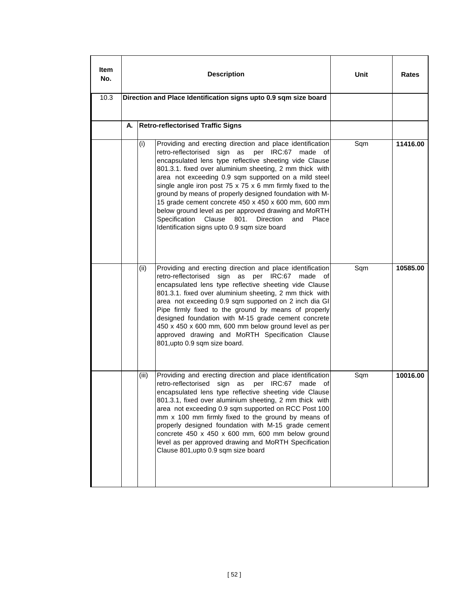| Item<br>No.<br>10.3 |    |       | <b>Description</b><br>Direction and Place Identification signs upto 0.9 sqm size board                                                                                                                                                                                                                                                                                                                                                                                                                                                                                                                                                                             | Unit | Rates    |
|---------------------|----|-------|--------------------------------------------------------------------------------------------------------------------------------------------------------------------------------------------------------------------------------------------------------------------------------------------------------------------------------------------------------------------------------------------------------------------------------------------------------------------------------------------------------------------------------------------------------------------------------------------------------------------------------------------------------------------|------|----------|
|                     |    |       |                                                                                                                                                                                                                                                                                                                                                                                                                                                                                                                                                                                                                                                                    |      |          |
|                     | А. |       | <b>Retro-reflectorised Traffic Signs</b>                                                                                                                                                                                                                                                                                                                                                                                                                                                                                                                                                                                                                           |      |          |
|                     |    | (i)   | Providing and erecting direction and place identification<br>retro-reflectorised sign as per IRC:67 made of<br>encapsulated lens type reflective sheeting vide Clause<br>801.3.1. fixed over aluminium sheeting, 2 mm thick with<br>area not exceeding 0.9 sqm supported on a mild steel<br>single angle iron post $75 \times 75 \times 6$ mm firmly fixed to the<br>ground by means of properly designed foundation with M-<br>15 grade cement concrete 450 x 450 x 600 mm, 600 mm<br>below ground level as per approved drawing and MoRTH<br>Clause<br>Specification<br>801.<br><b>Direction</b><br>and<br>Place<br>Identification signs upto 0.9 sqm size board | Sqm  | 11416.00 |
|                     |    | (ii)  | Providing and erecting direction and place identification<br>retro-reflectorised<br>sign<br>as per<br>IRC:67<br>made<br>οf<br>encapsulated lens type reflective sheeting vide Clause<br>801.3.1. fixed over aluminium sheeting, 2 mm thick with<br>area not exceeding 0.9 sqm supported on 2 inch dia GI<br>Pipe firmly fixed to the ground by means of properly<br>designed foundation with M-15 grade cement concrete<br>450 x 450 x 600 mm, 600 mm below ground level as per<br>approved drawing and MoRTH Specification Clause<br>801, upto 0.9 sqm size board.                                                                                                | Sqm  | 10585.00 |
|                     |    | (iii) | Providing and erecting direction and place identification<br>retro-reflectorised<br>sign<br>as<br>per<br>IRC:67<br>made of<br>encapsulated lens type reflective sheeting vide Clause<br>801.3.1, fixed over aluminium sheeting, 2 mm thick with<br>area not exceeding 0.9 sqm supported on RCC Post 100<br>mm x 100 mm firmly fixed to the ground by means of<br>properly designed foundation with M-15 grade cement<br>concrete 450 x 450 x 600 mm, 600 mm below ground<br>level as per approved drawing and MoRTH Specification<br>Clause 801, upto 0.9 sqm size board                                                                                           | Sqm  | 10016.00 |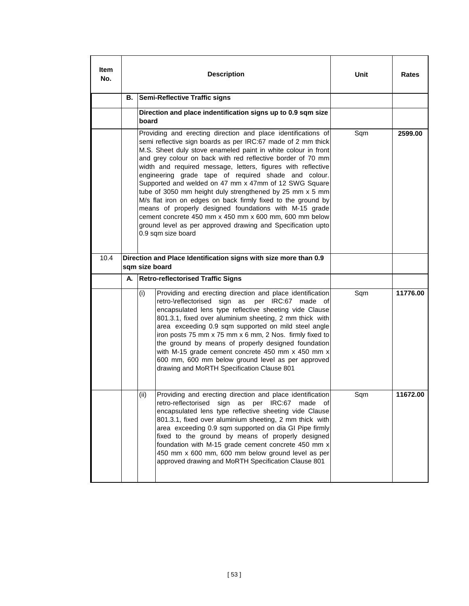| Item<br>No. |    | <b>Description</b>                                                                                                                                                                                                                                                                                                                                                                                                                                                                                                                                                                                                                                                                                                                                                                  | Unit | Rates    |  |  |
|-------------|----|-------------------------------------------------------------------------------------------------------------------------------------------------------------------------------------------------------------------------------------------------------------------------------------------------------------------------------------------------------------------------------------------------------------------------------------------------------------------------------------------------------------------------------------------------------------------------------------------------------------------------------------------------------------------------------------------------------------------------------------------------------------------------------------|------|----------|--|--|
|             | В. | <b>Semi-Reflective Traffic signs</b>                                                                                                                                                                                                                                                                                                                                                                                                                                                                                                                                                                                                                                                                                                                                                |      |          |  |  |
|             |    | Direction and place indentification signs up to 0.9 sqm size<br>board                                                                                                                                                                                                                                                                                                                                                                                                                                                                                                                                                                                                                                                                                                               |      |          |  |  |
|             |    | Providing and erecting direction and place identifications of<br>semi reflective sign boards as per IRC:67 made of 2 mm thick<br>M.S. Sheet duly stove enameled paint in white colour in front<br>and grey colour on back with red reflective border of 70 mm<br>width and required message, letters, figures with reflective<br>engineering grade tape of required shade and colour.<br>Supported and welded on 47 mm x 47mm of 12 SWG Square<br>tube of 3050 mm height duly strengthened by 25 mm x 5 mm<br>M/s flat iron on edges on back firmly fixed to the ground by<br>means of properly designed foundations with M-15 grade<br>cement concrete 450 mm x 450 mm x 600 mm, 600 mm below<br>ground level as per approved drawing and Specification upto<br>0.9 sqm size board | Sqm  | 2599.00  |  |  |
| 10.4        |    | Direction and Place Identification signs with size more than 0.9<br>sqm size board                                                                                                                                                                                                                                                                                                                                                                                                                                                                                                                                                                                                                                                                                                  |      |          |  |  |
|             | А. | <b>Retro-reflectorised Traffic Signs</b>                                                                                                                                                                                                                                                                                                                                                                                                                                                                                                                                                                                                                                                                                                                                            |      |          |  |  |
|             |    | Providing and erecting direction and place identification<br>(i)<br>retro-\reflectorised sign as<br>per IRC:67 made of<br>encapsulated lens type reflective sheeting vide Clause<br>801.3.1, fixed over aluminium sheeting, 2 mm thick with<br>area exceeding 0.9 sqm supported on mild steel angle<br>iron posts 75 mm x 75 mm x 6 mm, 2 Nos. firmly fixed to<br>the ground by means of properly designed foundation<br>with M-15 grade cement concrete 450 mm x 450 mm x<br>600 mm, 600 mm below ground level as per approved<br>drawing and MoRTH Specification Clause 801                                                                                                                                                                                                       | Sqm  | 11776.00 |  |  |
|             |    | Providing and erecting direction and place identification<br>(ii)<br>retro-reflectorised sign as per<br>IRC:67<br>made of<br>encapsulated lens type reflective sheeting vide Clause<br>801.3.1, fixed over aluminium sheeting, 2 mm thick with<br>area exceeding 0.9 sqm supported on dia GI Pipe firmly<br>fixed to the ground by means of properly designed<br>foundation with M-15 grade cement concrete 450 mm x<br>450 mm x 600 mm, 600 mm below ground level as per<br>approved drawing and MoRTH Specification Clause 801                                                                                                                                                                                                                                                    | Sqm  | 11672.00 |  |  |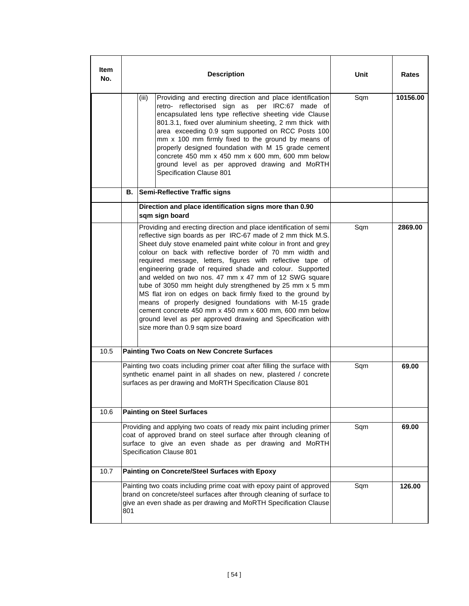| ltem<br>No. |                                                                                                                                                                                                                                 |                                                                                                                                                                                                            | Unit                                                                                                                                                                                                                                                                                                                                                                                                                                                                                                                                                                                                                                                                                                                                                                                                   | Rates |          |
|-------------|---------------------------------------------------------------------------------------------------------------------------------------------------------------------------------------------------------------------------------|------------------------------------------------------------------------------------------------------------------------------------------------------------------------------------------------------------|--------------------------------------------------------------------------------------------------------------------------------------------------------------------------------------------------------------------------------------------------------------------------------------------------------------------------------------------------------------------------------------------------------------------------------------------------------------------------------------------------------------------------------------------------------------------------------------------------------------------------------------------------------------------------------------------------------------------------------------------------------------------------------------------------------|-------|----------|
|             |                                                                                                                                                                                                                                 | (iii)                                                                                                                                                                                                      | Providing and erecting direction and place identification<br>retro- reflectorised sign as per IRC:67 made of<br>encapsulated lens type reflective sheeting vide Clause<br>801.3.1, fixed over aluminium sheeting, 2 mm thick with<br>area exceeding 0.9 sqm supported on RCC Posts 100<br>mm x 100 mm firmly fixed to the ground by means of<br>properly designed foundation with M 15 grade cement<br>concrete $450$ mm $x$ $450$ mm $x$ 600 mm, 600 mm below<br>ground level as per approved drawing and MoRTH<br>Specification Clause 801                                                                                                                                                                                                                                                           | Sqm   | 10156.00 |
|             | В.                                                                                                                                                                                                                              |                                                                                                                                                                                                            | <b>Semi-Reflective Traffic signs</b>                                                                                                                                                                                                                                                                                                                                                                                                                                                                                                                                                                                                                                                                                                                                                                   |       |          |
|             |                                                                                                                                                                                                                                 | sqm sign board                                                                                                                                                                                             | Direction and place identification signs more than 0.90                                                                                                                                                                                                                                                                                                                                                                                                                                                                                                                                                                                                                                                                                                                                                |       |          |
|             |                                                                                                                                                                                                                                 |                                                                                                                                                                                                            | Providing and erecting direction and place identification of semi<br>reflective sign boards as per IRC-67 made of 2 mm thick M.S.<br>Sheet duly stove enameled paint white colour in front and grey<br>colour on back with reflective border of 70 mm width and<br>required message, letters, figures with reflective tape of<br>engineering grade of required shade and colour. Supported<br>and welded on two nos. 47 mm x 47 mm of 12 SWG square<br>tube of 3050 mm height duly strengthened by 25 mm x 5 mm<br>MS flat iron on edges on back firmly fixed to the ground by<br>means of properly designed foundations with M-15 grade<br>cement concrete 450 mm x 450 mm x 600 mm, 600 mm below<br>ground level as per approved drawing and Specification with<br>size more than 0.9 sqm size board | Sqm   | 2869.00  |
| 10.5        |                                                                                                                                                                                                                                 | <b>Painting Two Coats on New Concrete Surfaces</b>                                                                                                                                                         |                                                                                                                                                                                                                                                                                                                                                                                                                                                                                                                                                                                                                                                                                                                                                                                                        |       |          |
|             |                                                                                                                                                                                                                                 | Painting two coats including primer coat after filling the surface with<br>synthetic enamel paint in all shades on new, plastered / concrete<br>surfaces as per drawing and MoRTH Specification Clause 801 | Sqm                                                                                                                                                                                                                                                                                                                                                                                                                                                                                                                                                                                                                                                                                                                                                                                                    | 69.00 |          |
| 10.6        |                                                                                                                                                                                                                                 | <b>Painting on Steel Surfaces</b>                                                                                                                                                                          |                                                                                                                                                                                                                                                                                                                                                                                                                                                                                                                                                                                                                                                                                                                                                                                                        |       |          |
|             | Providing and applying two coats of ready mix paint including primer<br>coat of approved brand on steel surface after through cleaning of<br>surface to give an even shade as per drawing and MoRTH<br>Specification Clause 801 |                                                                                                                                                                                                            |                                                                                                                                                                                                                                                                                                                                                                                                                                                                                                                                                                                                                                                                                                                                                                                                        | Sqm   | 69.00    |
| 10.7        |                                                                                                                                                                                                                                 |                                                                                                                                                                                                            | Painting on Concrete/Steel Surfaces with Epoxy                                                                                                                                                                                                                                                                                                                                                                                                                                                                                                                                                                                                                                                                                                                                                         |       |          |
|             | Painting two coats including prime coat with epoxy paint of approved<br>brand on concrete/steel surfaces after through cleaning of surface to<br>give an even shade as per drawing and MoRTH Specification Clause<br>801        |                                                                                                                                                                                                            |                                                                                                                                                                                                                                                                                                                                                                                                                                                                                                                                                                                                                                                                                                                                                                                                        | Sqm   | 126.00   |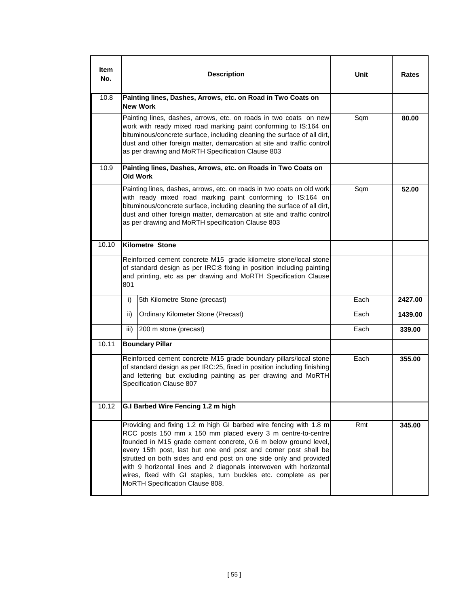| Item<br>No. | <b>Description</b>                                                                                                                                                                                                                                                                                                                                                                                                                                                                                                      | Unit | Rates   |
|-------------|-------------------------------------------------------------------------------------------------------------------------------------------------------------------------------------------------------------------------------------------------------------------------------------------------------------------------------------------------------------------------------------------------------------------------------------------------------------------------------------------------------------------------|------|---------|
| 10.8        | Painting lines, Dashes, Arrows, etc. on Road in Two Coats on<br><b>New Work</b>                                                                                                                                                                                                                                                                                                                                                                                                                                         |      |         |
|             | Painting lines, dashes, arrows, etc. on roads in two coats on new<br>work with ready mixed road marking paint conforming to IS:164 on<br>bituminous/concrete surface, including cleaning the surface of all dirt,<br>dust and other foreign matter, demarcation at site and traffic control<br>as per drawing and MoRTH Specification Clause 803                                                                                                                                                                        | Sqm  | 80.00   |
| 10.9        | Painting lines, Dashes, Arrows, etc. on Roads in Two Coats on<br>Old Work                                                                                                                                                                                                                                                                                                                                                                                                                                               |      |         |
|             | Painting lines, dashes, arrows, etc. on roads in two coats on old work<br>with ready mixed road marking paint conforming to IS:164 on<br>bituminous/concrete surface, including cleaning the surface of all dirt,<br>dust and other foreign matter, demarcation at site and traffic control<br>as per drawing and MoRTH specification Clause 803                                                                                                                                                                        | Sqm  | 52.00   |
| 10.10       | <b>Kilometre Stone</b>                                                                                                                                                                                                                                                                                                                                                                                                                                                                                                  |      |         |
|             | Reinforced cement concrete M15 grade kilometre stone/local stone<br>of standard design as per IRC:8 fixing in position including painting<br>and printing, etc as per drawing and MoRTH Specification Clause<br>801                                                                                                                                                                                                                                                                                                     |      |         |
|             | 5th Kilometre Stone (precast)<br>i)                                                                                                                                                                                                                                                                                                                                                                                                                                                                                     | Each | 2427.00 |
|             | <b>Ordinary Kilometer Stone (Precast)</b><br>ii)                                                                                                                                                                                                                                                                                                                                                                                                                                                                        | Each | 1439.00 |
|             | iii)<br>200 m stone (precast)                                                                                                                                                                                                                                                                                                                                                                                                                                                                                           | Each | 339.00  |
| 10.11       | <b>Boundary Pillar</b>                                                                                                                                                                                                                                                                                                                                                                                                                                                                                                  |      |         |
|             | Reinforced cement concrete M15 grade boundary pillars/local stone<br>of standard design as per IRC:25, fixed in position including finishing<br>and lettering but excluding painting as per drawing and MoRTH<br>Specification Clause 807                                                                                                                                                                                                                                                                               | Each | 355.00  |
| 10.12       | G.I Barbed Wire Fencing 1.2 m high                                                                                                                                                                                                                                                                                                                                                                                                                                                                                      |      |         |
|             | Providing and fixing 1.2 m high GI barbed wire fencing with 1.8 m<br>RCC posts 150 mm x 150 mm placed every 3 m centre-to-centre<br>founded in M15 grade cement concrete, 0.6 m below ground level,<br>every 15th post, last but one end post and corner post shall be<br>strutted on both sides and end post on one side only and provided<br>with 9 horizontal lines and 2 diagonals interwoven with horizontal<br>wires, fixed with GI staples, turn buckles etc. complete as per<br>MoRTH Specification Clause 808. | Rmt  | 345.00  |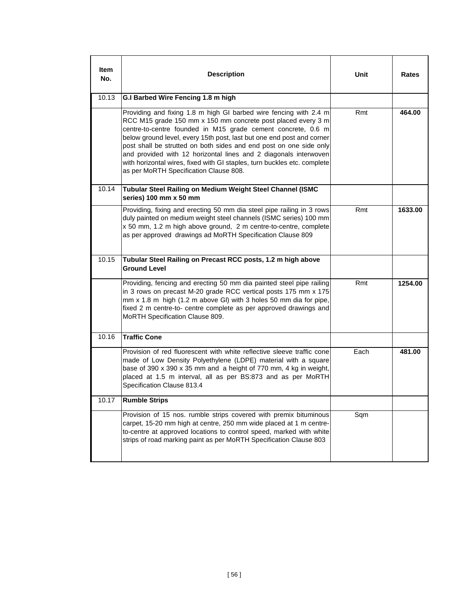| ltem<br>No. | <b>Description</b>                                                                                                                                                                                                                                                                                                                                                                                                                                                                                                                         | Unit | <b>Rates</b> |
|-------------|--------------------------------------------------------------------------------------------------------------------------------------------------------------------------------------------------------------------------------------------------------------------------------------------------------------------------------------------------------------------------------------------------------------------------------------------------------------------------------------------------------------------------------------------|------|--------------|
| 10.13       | G.I Barbed Wire Fencing 1.8 m high                                                                                                                                                                                                                                                                                                                                                                                                                                                                                                         |      |              |
|             | Providing and fixing 1.8 m high GI barbed wire fencing with 2.4 m<br>RCC M15 grade 150 mm x 150 mm concrete post placed every 3 m<br>centre-to-centre founded in M15 grade cement concrete, 0.6 m<br>below ground level, every 15th post, last but one end post and corner<br>post shall be strutted on both sides and end post on one side only<br>and provided with 12 horizontal lines and 2 diagonals interwoven<br>with horizontal wires, fixed with GI staples, turn buckles etc. complete<br>as per MoRTH Specification Clause 808. | Rmt  | 464.00       |
| 10.14       | Tubular Steel Railing on Medium Weight Steel Channel (ISMC<br>series) 100 mm x 50 mm                                                                                                                                                                                                                                                                                                                                                                                                                                                       |      |              |
|             | Providing, fixing and erecting 50 mm dia steel pipe railing in 3 rows<br>duly painted on medium weight steel channels (ISMC series) 100 mm<br>x 50 mm, 1.2 m high above ground, 2 m centre-to-centre, complete<br>as per approved drawings ad MoRTH Specification Clause 809                                                                                                                                                                                                                                                               | Rmt  | 1633.00      |
| 10.15       | Tubular Steel Railing on Precast RCC posts, 1.2 m high above<br><b>Ground Level</b>                                                                                                                                                                                                                                                                                                                                                                                                                                                        |      |              |
|             | Providing, fencing and erecting 50 mm dia painted steel pipe railing<br>in 3 rows on precast M-20 grade RCC vertical posts 175 mm x 175<br>mm x 1.8 m high (1.2 m above GI) with 3 holes 50 mm dia for pipe,<br>fixed 2 m centre-to- centre complete as per approved drawings and<br>MoRTH Specification Clause 809.                                                                                                                                                                                                                       | Rmt  | 1254.00      |
| 10.16       | <b>Traffic Cone</b>                                                                                                                                                                                                                                                                                                                                                                                                                                                                                                                        |      |              |
|             | Provision of red fluorescent with white reflective sleeve traffic cone<br>made of Low Density Polyethylene (LDPE) material with a square<br>base of 390 x 390 x 35 mm and a height of 770 mm, 4 kg in weight,<br>placed at 1.5 m interval, all as per BS:873 and as per MoRTH<br>Specification Clause 813.4                                                                                                                                                                                                                                | Each | 481.00       |
| 10.17       | <b>Rumble Strips</b>                                                                                                                                                                                                                                                                                                                                                                                                                                                                                                                       |      |              |
|             | Provision of 15 nos. rumble strips covered with premix bituminous<br>carpet, 15-20 mm high at centre, 250 mm wide placed at 1 m centre-<br>to-centre at approved locations to control speed, marked with white<br>strips of road marking paint as per MoRTH Specification Clause 803                                                                                                                                                                                                                                                       | Sqm  |              |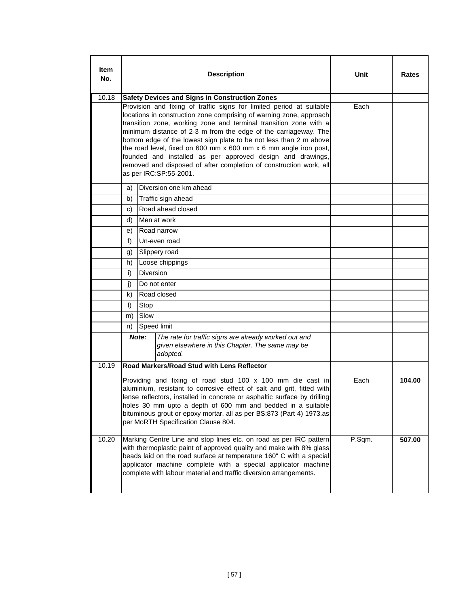| ltem<br>No. |          |                  | <b>Description</b>                                                                                                                                                                                                                                                                                                                                                                                                                                                                                                                                                                          | Unit   | Rates  |
|-------------|----------|------------------|---------------------------------------------------------------------------------------------------------------------------------------------------------------------------------------------------------------------------------------------------------------------------------------------------------------------------------------------------------------------------------------------------------------------------------------------------------------------------------------------------------------------------------------------------------------------------------------------|--------|--------|
| 10.18       |          |                  | <b>Safety Devices and Signs in Construction Zones</b>                                                                                                                                                                                                                                                                                                                                                                                                                                                                                                                                       |        |        |
|             |          |                  | Provision and fixing of traffic signs for limited period at suitable<br>locations in construction zone comprising of warning zone, approach<br>transition zone, working zone and terminal transition zone with a<br>minimum distance of 2-3 m from the edge of the carriageway. The<br>bottom edge of the lowest sign plate to be not less than 2 m above<br>the road level, fixed on 600 mm x 600 mm x 6 mm angle iron post,<br>founded and installed as per approved design and drawings,<br>removed and disposed of after completion of construction work, all<br>as per IRC:SP:55-2001. | Each   |        |
|             | a)       |                  | Diversion one km ahead                                                                                                                                                                                                                                                                                                                                                                                                                                                                                                                                                                      |        |        |
|             | b)       |                  | Traffic sign ahead                                                                                                                                                                                                                                                                                                                                                                                                                                                                                                                                                                          |        |        |
|             | C)       |                  | Road ahead closed                                                                                                                                                                                                                                                                                                                                                                                                                                                                                                                                                                           |        |        |
|             | d)       |                  | Men at work                                                                                                                                                                                                                                                                                                                                                                                                                                                                                                                                                                                 |        |        |
|             | e)       |                  | Road narrow                                                                                                                                                                                                                                                                                                                                                                                                                                                                                                                                                                                 |        |        |
|             | f)       |                  | Un-even road                                                                                                                                                                                                                                                                                                                                                                                                                                                                                                                                                                                |        |        |
|             | g)       |                  | Slippery road                                                                                                                                                                                                                                                                                                                                                                                                                                                                                                                                                                               |        |        |
|             | h)<br>i) | <b>Diversion</b> | Loose chippings                                                                                                                                                                                                                                                                                                                                                                                                                                                                                                                                                                             |        |        |
|             | j)       |                  | Do not enter                                                                                                                                                                                                                                                                                                                                                                                                                                                                                                                                                                                |        |        |
|             | k)       |                  | Road closed                                                                                                                                                                                                                                                                                                                                                                                                                                                                                                                                                                                 |        |        |
|             | $\vert$  | Stop             |                                                                                                                                                                                                                                                                                                                                                                                                                                                                                                                                                                                             |        |        |
|             | m)       | Slow             |                                                                                                                                                                                                                                                                                                                                                                                                                                                                                                                                                                                             |        |        |
|             | n)       |                  | Speed limit                                                                                                                                                                                                                                                                                                                                                                                                                                                                                                                                                                                 |        |        |
|             |          | Note:            | The rate for traffic signs are already worked out and<br>given elsewhere in this Chapter. The same may be<br>adopted.                                                                                                                                                                                                                                                                                                                                                                                                                                                                       |        |        |
| 10.19       |          |                  | Road Markers/Road Stud with Lens Reflector                                                                                                                                                                                                                                                                                                                                                                                                                                                                                                                                                  |        |        |
|             |          |                  | Providing and fixing of road stud 100 x 100 mm die cast in<br>aluminium, resistant to corrosive effect of salt and grit, fitted with<br>lense reflectors, installed in concrete or asphaltic surface by drilling<br>holes 30 mm upto a depth of 600 mm and bedded in a suitable<br>bituminous grout or epoxy mortar, all as per BS:873 (Part 4) 1973.as<br>per MoRTH Specification Clause 804.                                                                                                                                                                                              | Each   | 104.00 |
| 10.20       |          |                  | Marking Centre Line and stop lines etc. on road as per IRC pattern<br>with thermoplastic paint of approved quality and make with 8% glass<br>beads laid on the road surface at temperature 160" C with a special<br>applicator machine complete with a special applicator machine<br>complete with labour material and traffic diversion arrangements.                                                                                                                                                                                                                                      | P.Sqm. | 507.00 |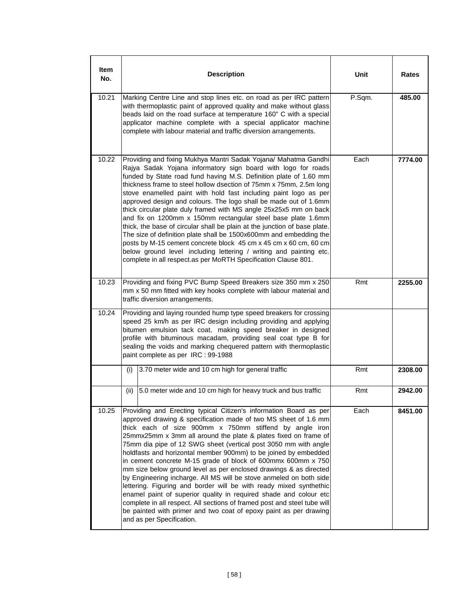| ltem<br>No. | <b>Description</b>                                                                                                                                                                                                                                                                                                                                                                                                                                                                                                                                                                                                                                                                                                                                                                                                                                                                                                                           | Unit   | Rates   |
|-------------|----------------------------------------------------------------------------------------------------------------------------------------------------------------------------------------------------------------------------------------------------------------------------------------------------------------------------------------------------------------------------------------------------------------------------------------------------------------------------------------------------------------------------------------------------------------------------------------------------------------------------------------------------------------------------------------------------------------------------------------------------------------------------------------------------------------------------------------------------------------------------------------------------------------------------------------------|--------|---------|
| 10.21       | Marking Centre Line and stop lines etc. on road as per IRC pattern<br>with thermoplastic paint of approved quality and make without glass<br>beads laid on the road surface at temperature 160" C with a special<br>applicator machine complete with a special applicator machine<br>complete with labour material and traffic diversion arrangements.                                                                                                                                                                                                                                                                                                                                                                                                                                                                                                                                                                                       | P.Sqm. | 485.00  |
| 10.22       | Providing and fixing Mukhya Mantri Sadak Yojana/ Mahatma Gandhi<br>Rajya Sadak Yojana informatory sign board with logo for roads<br>funded by State road fund having M.S. Definition plate of 1.60 mm<br>thickness frame to steel hollow dsection of 75mm x 75mm, 2.5m long<br>stove enamelled paint with hold fast including paint logo as per<br>approved design and colours. The logo shall be made out of 1.6mm<br>thick circular plate duly framed with MS angle 25x25x5 mm on back<br>and fix on 1200mm x 150mm rectangular steel base plate 1.6mm<br>thick, the base of circular shall be plain at the junction of base plate.<br>The size of definition plate shall be 1500x600mm and embedding the<br>posts by M-15 cement concrete block 45 cm x 45 cm x 60 cm, 60 cm<br>below ground level including lettering / writing and painting etc.<br>complete in all respect.as per MoRTH Specification Clause 801.                      | Each   | 7774.00 |
| 10.23       | Providing and fixing PVC Bump Speed Breakers size 350 mm x 250<br>mm x 50 mm fitted with key hooks complete with labour material and<br>traffic diversion arrangements.                                                                                                                                                                                                                                                                                                                                                                                                                                                                                                                                                                                                                                                                                                                                                                      | Rmt    | 2255.00 |
| 10.24       | Providing and laying rounded hump type speed breakers for crossing<br>speed 25 km/h as per IRC design including providing and applying<br>bitumen emulsion tack coat, making speed breaker in designed<br>profile with bituminous macadam, providing seal coat type B for<br>sealing the voids and marking chequered pattern with thermoplastic<br>paint complete as per IRC : 99-1988                                                                                                                                                                                                                                                                                                                                                                                                                                                                                                                                                       |        |         |
|             | (i)<br>3.70 meter wide and 10 cm high for general traffic                                                                                                                                                                                                                                                                                                                                                                                                                                                                                                                                                                                                                                                                                                                                                                                                                                                                                    | Rmt    | 2308.00 |
|             | 5.0 meter wide and 10 cm high for heavy truck and bus traffic<br>(ii)                                                                                                                                                                                                                                                                                                                                                                                                                                                                                                                                                                                                                                                                                                                                                                                                                                                                        | Rmt    | 2942.00 |
| 10.25       | Providing and Erecting typical Citizen's information Board as per<br>approved drawing & specification made of two MS sheet of 1.6 mm<br>thick each of size 900mm x 750mm stiffend by angle iron<br>25mmx25mm x 3mm all around the plate & plates fixed on frame of<br>75mm dia pipe of 12 SWG sheet (vertical post 3050 mm with angle<br>holdfasts and horizontal member 900mm) to be joined by embedded<br>in cement concrete M-15 grade of block of 600mmx 600mm x 750<br>mm size below ground level as per enclosed drawings & as directed<br>by Engineering incharge. All MS will be stove anmeled on both side<br>lettering. Figuring and border will be with ready mixed synthethic<br>enamel paint of superior quality in required shade and colour etc<br>complete in all respect. All sections of framed post and steel tube will<br>be painted with primer and two coat of epoxy paint as per drawing<br>and as per Specification. | Each   | 8451.00 |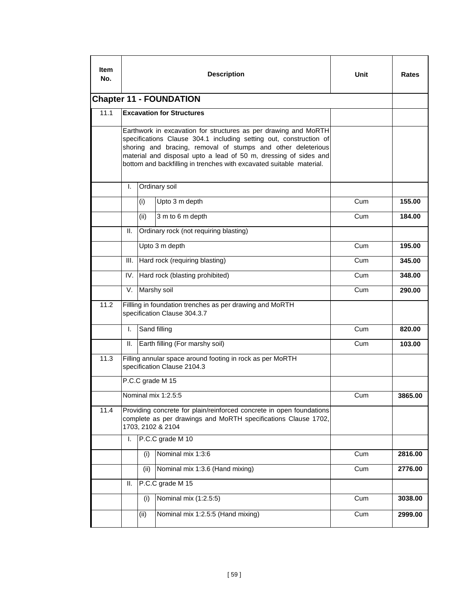| ltem<br>No. |                                                                                          |      | <b>Description</b>                                                                                                                                                                                                                                                                                                                                | Unit | Rates   |  |  |
|-------------|------------------------------------------------------------------------------------------|------|---------------------------------------------------------------------------------------------------------------------------------------------------------------------------------------------------------------------------------------------------------------------------------------------------------------------------------------------------|------|---------|--|--|
|             | <b>Chapter 11 - FOUNDATION</b><br>11.1<br><b>Excavation for Structures</b>               |      |                                                                                                                                                                                                                                                                                                                                                   |      |         |  |  |
|             |                                                                                          |      |                                                                                                                                                                                                                                                                                                                                                   |      |         |  |  |
|             |                                                                                          |      | Earthwork in excavation for structures as per drawing and MoRTH<br>specifications Clause 304.1 including setting out, construction of<br>shoring and bracing, removal of stumps and other deleterious<br>material and disposal upto a lead of 50 m, dressing of sides and<br>bottom and backfilling in trenches with excavated suitable material. |      |         |  |  |
|             | I.                                                                                       |      | Ordinary soil                                                                                                                                                                                                                                                                                                                                     |      |         |  |  |
|             |                                                                                          | (i)  | Upto 3 m depth                                                                                                                                                                                                                                                                                                                                    | Cum  | 155.00  |  |  |
|             |                                                                                          | (ii) | 3 m to 6 m depth                                                                                                                                                                                                                                                                                                                                  | Cum  | 184.00  |  |  |
|             | Ш.                                                                                       |      | Ordinary rock (not requiring blasting)                                                                                                                                                                                                                                                                                                            |      |         |  |  |
|             |                                                                                          |      | Upto 3 m depth                                                                                                                                                                                                                                                                                                                                    | Cum  | 195.00  |  |  |
|             | III.                                                                                     |      | Hard rock (requiring blasting)                                                                                                                                                                                                                                                                                                                    | Cum  | 345.00  |  |  |
|             | IV.                                                                                      |      | Hard rock (blasting prohibited)                                                                                                                                                                                                                                                                                                                   | Cum  | 348.00  |  |  |
|             | V.                                                                                       |      | Marshy soil                                                                                                                                                                                                                                                                                                                                       | Cum  | 290.00  |  |  |
| 11.2        | Fillling in foundation trenches as per drawing and MoRTH<br>specification Clause 304.3.7 |      |                                                                                                                                                                                                                                                                                                                                                   |      |         |  |  |
|             | I.                                                                                       |      | Sand filling                                                                                                                                                                                                                                                                                                                                      | Cum  | 820.00  |  |  |
|             | Ш.                                                                                       |      | Earth filling (For marshy soil)                                                                                                                                                                                                                                                                                                                   | Cum  | 103.00  |  |  |
| 11.3        |                                                                                          |      | Filling annular space around footing in rock as per MoRTH<br>specification Clause 2104.3                                                                                                                                                                                                                                                          |      |         |  |  |
|             |                                                                                          |      | P.C.C grade M 15                                                                                                                                                                                                                                                                                                                                  |      |         |  |  |
|             |                                                                                          |      | Nominal mix 1:2.5:5                                                                                                                                                                                                                                                                                                                               | Cum  | 3865.00 |  |  |
| 11.4        |                                                                                          |      | Providing concrete for plain/reinforced concrete in open foundations<br>complete as per drawings and MoRTH specifications Clause 1702,<br>1703, 2102 & 2104                                                                                                                                                                                       |      |         |  |  |
|             | I.                                                                                       |      | P.C.C grade M 10                                                                                                                                                                                                                                                                                                                                  |      |         |  |  |
|             |                                                                                          | (i)  | Nominal mix 1:3:6                                                                                                                                                                                                                                                                                                                                 | Cum  | 2816.00 |  |  |
|             |                                                                                          | (ii) | Nominal mix 1:3.6 (Hand mixing)                                                                                                                                                                                                                                                                                                                   | Cum  | 2776.00 |  |  |
|             | Ш.                                                                                       |      | P.C.C grade M 15                                                                                                                                                                                                                                                                                                                                  |      |         |  |  |
|             |                                                                                          | (i)  | Nominal mix (1:2.5:5)                                                                                                                                                                                                                                                                                                                             | Cum  | 3038.00 |  |  |
|             |                                                                                          | (ii) | Nominal mix 1:2.5:5 (Hand mixing)                                                                                                                                                                                                                                                                                                                 | Cum  | 2999.00 |  |  |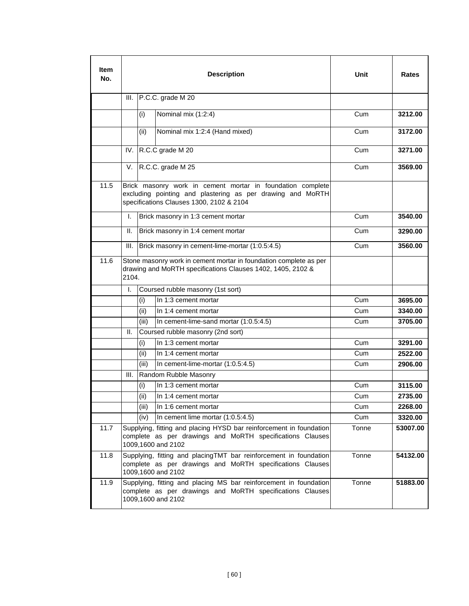| ltem<br>No. |       |       | <b>Description</b>                                                                                                                                                   | Unit  | Rates    |
|-------------|-------|-------|----------------------------------------------------------------------------------------------------------------------------------------------------------------------|-------|----------|
|             | III.  |       | $P.C.C. grade M 20$                                                                                                                                                  |       |          |
|             |       | (i)   | Nominal mix (1:2:4)                                                                                                                                                  | Cum   | 3212.00  |
|             |       | (ii)  | Nominal mix 1:2:4 (Hand mixed)                                                                                                                                       | Cum   | 3172.00  |
|             | IV.   |       | R.C.C grade M 20                                                                                                                                                     | Cum   | 3271.00  |
|             | V.    |       | R.C.C. grade M 25                                                                                                                                                    | Cum   | 3569.00  |
| 11.5        |       |       | Brick masonry work in cement mortar in foundation complete<br>excluding pointing and plastering as per drawing and MoRTH<br>specifications Clauses 1300, 2102 & 2104 |       |          |
|             | I.    |       | Brick masonry in 1:3 cement mortar                                                                                                                                   | Cum   | 3540.00  |
|             | Ш.    |       | Brick masonry in 1:4 cement mortar                                                                                                                                   | Cum   | 3290.00  |
|             | Ш.    |       | Brick masonry in cement-lime-mortar (1:0.5:4.5)                                                                                                                      | Cum   | 3560.00  |
| 11.6        | 2104. |       | Stone masonry work in cement mortar in foundation complete as per<br>drawing and MoRTH specifications Clauses 1402, 1405, 2102 &                                     |       |          |
|             | I.    |       | Coursed rubble masonry (1st sort)                                                                                                                                    |       |          |
|             |       | (i)   | In 1:3 cement mortar                                                                                                                                                 | Cum   | 3695.00  |
|             |       | (ii)  | In 1:4 cement mortar                                                                                                                                                 | Cum   | 3340.00  |
|             |       | (iii) | In cement-lime-sand mortar (1:0.5:4.5)                                                                                                                               | Cum   | 3705.00  |
|             | Ш.    |       | Coursed rubble masonry (2nd sort)                                                                                                                                    |       |          |
|             |       | (i)   | In 1:3 cement mortar                                                                                                                                                 | Cum   | 3291.00  |
|             |       | (ii)  | In 1:4 cement mortar                                                                                                                                                 | Cum   | 2522.00  |
|             |       | (iii) | In cement-lime-mortar (1:0.5:4.5)                                                                                                                                    | Cum   | 2906.00  |
|             | III.  |       | Random Rubble Masonry                                                                                                                                                |       |          |
|             |       | (i)   | In 1:3 cement mortar                                                                                                                                                 | Cum   | 3115.00  |
|             |       | (ii)  | In 1:4 cement mortar                                                                                                                                                 | Cum   | 2735.00  |
|             |       | (iii) | In 1:6 cement mortar                                                                                                                                                 | Cum   | 2268.00  |
|             |       | (iv)  | In cement lime mortar (1:0.5:4.5)                                                                                                                                    | Cum   | 3320.00  |
| 11.7        |       |       | Supplying, fitting and placing HYSD bar reinforcement in foundation<br>complete as per drawings and MoRTH specifications Clauses<br>1009,1600 and 2102               | Tonne | 53007.00 |
| 11.8        |       |       | Supplying, fitting and placingTMT bar reinforcement in foundation<br>complete as per drawings and MoRTH specifications Clauses<br>1009,1600 and 2102                 | Tonne | 54132.00 |
| 11.9        |       |       | Supplying, fitting and placing MS bar reinforcement in foundation<br>complete as per drawings and MoRTH specifications Clauses<br>1009,1600 and 2102                 | Tonne | 51883.00 |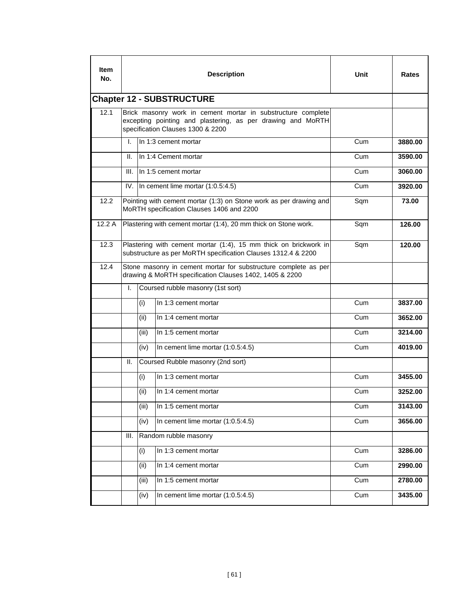| ltem<br>No. |                                                                                                                            |       | <b>Description</b>                                                                                                                                               | Unit | Rates   |  |  |  |
|-------------|----------------------------------------------------------------------------------------------------------------------------|-------|------------------------------------------------------------------------------------------------------------------------------------------------------------------|------|---------|--|--|--|
|             | <b>Chapter 12 - SUBSTRUCTURE</b>                                                                                           |       |                                                                                                                                                                  |      |         |  |  |  |
| 12.1        |                                                                                                                            |       | Brick masonry work in cement mortar in substructure complete<br>excepting pointing and plastering, as per drawing and MoRTH<br>specification Clauses 1300 & 2200 |      |         |  |  |  |
|             | L.                                                                                                                         |       | In 1:3 cement mortar                                                                                                                                             | Cum  | 3880.00 |  |  |  |
|             | II.                                                                                                                        |       | In 1:4 Cement mortar                                                                                                                                             | Cum  | 3590.00 |  |  |  |
|             | III.                                                                                                                       |       | In 1:5 cement mortar                                                                                                                                             | Cum  | 3060.00 |  |  |  |
|             | IV.                                                                                                                        |       | In cement lime mortar (1:0.5:4.5)                                                                                                                                | Cum  | 3920.00 |  |  |  |
| 12.2        |                                                                                                                            |       | Pointing with cement mortar (1:3) on Stone work as per drawing and<br>MoRTH specification Clauses 1406 and 2200                                                  | Sqm  | 73.00   |  |  |  |
| 12.2A       |                                                                                                                            |       | Plastering with cement mortar (1:4), 20 mm thick on Stone work.                                                                                                  | Sqm  | 126.00  |  |  |  |
| 12.3        |                                                                                                                            |       | Plastering with cement mortar (1:4), 15 mm thick on brickwork in<br>substructure as per MoRTH specification Clauses 1312.4 & 2200                                | Sqm  | 120.00  |  |  |  |
| 12.4        | Stone masonry in cement mortar for substructure complete as per<br>drawing & MoRTH specification Clauses 1402, 1405 & 2200 |       |                                                                                                                                                                  |      |         |  |  |  |
|             | I.                                                                                                                         |       | Coursed rubble masonry (1st sort)                                                                                                                                |      |         |  |  |  |
|             |                                                                                                                            | (i)   | In 1:3 cement mortar                                                                                                                                             | Cum  | 3837.00 |  |  |  |
|             |                                                                                                                            | (ii)  | In 1:4 cement mortar                                                                                                                                             | Cum  | 3652.00 |  |  |  |
|             |                                                                                                                            | (iii) | In 1:5 cement mortar                                                                                                                                             | Cum  | 3214.00 |  |  |  |
|             |                                                                                                                            | (iv)  | In cement lime mortar (1:0.5:4.5)                                                                                                                                | Cum  | 4019.00 |  |  |  |
|             | Ш.                                                                                                                         |       | Coursed Rubble masonry (2nd sort)                                                                                                                                |      |         |  |  |  |
|             |                                                                                                                            | (i)   | In 1:3 cement mortar                                                                                                                                             | Cum  | 3455.00 |  |  |  |
|             |                                                                                                                            | (ii)  | In 1:4 cement mortar                                                                                                                                             | Cum  | 3252.00 |  |  |  |
|             |                                                                                                                            | (iii) | In 1:5 cement mortar                                                                                                                                             | Cum  | 3143.00 |  |  |  |
|             |                                                                                                                            | (iv)  | In cement lime mortar (1:0.5:4.5)                                                                                                                                | Cum  | 3656.00 |  |  |  |
|             | III.                                                                                                                       |       | Random rubble masonry                                                                                                                                            |      |         |  |  |  |
|             |                                                                                                                            | (i)   | In 1:3 cement mortar                                                                                                                                             | Cum  | 3286.00 |  |  |  |
|             |                                                                                                                            | (ii)  | In 1:4 cement mortar                                                                                                                                             | Cum  | 2990.00 |  |  |  |
|             |                                                                                                                            | (iii) | In 1:5 cement mortar                                                                                                                                             | Cum  | 2780.00 |  |  |  |
|             |                                                                                                                            | (iv)  | In cement lime mortar (1:0.5:4.5)                                                                                                                                | Cum  | 3435.00 |  |  |  |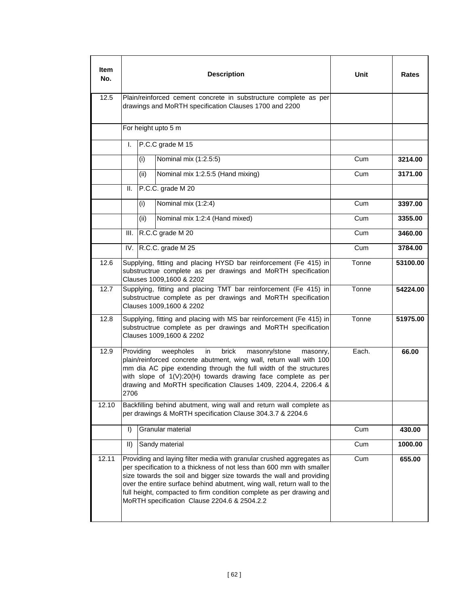| <b>Item</b><br>No. |                                                                                                                                                                                                                                                                                                                                                                             |      | <b>Description</b>                                                                                                                                                                                                                                                                                                                                                                                                       | Unit  | Rates    |
|--------------------|-----------------------------------------------------------------------------------------------------------------------------------------------------------------------------------------------------------------------------------------------------------------------------------------------------------------------------------------------------------------------------|------|--------------------------------------------------------------------------------------------------------------------------------------------------------------------------------------------------------------------------------------------------------------------------------------------------------------------------------------------------------------------------------------------------------------------------|-------|----------|
| 12.5               |                                                                                                                                                                                                                                                                                                                                                                             |      | Plain/reinforced cement concrete in substructure complete as per<br>drawings and MoRTH specification Clauses 1700 and 2200                                                                                                                                                                                                                                                                                               |       |          |
|                    |                                                                                                                                                                                                                                                                                                                                                                             |      | For height upto 5 m                                                                                                                                                                                                                                                                                                                                                                                                      |       |          |
|                    | I.                                                                                                                                                                                                                                                                                                                                                                          |      | P.C.C grade M 15                                                                                                                                                                                                                                                                                                                                                                                                         |       |          |
|                    |                                                                                                                                                                                                                                                                                                                                                                             | (i)  | Nominal mix (1:2.5:5)                                                                                                                                                                                                                                                                                                                                                                                                    | Cum   | 3214.00  |
|                    |                                                                                                                                                                                                                                                                                                                                                                             | (ii) | Nominal mix 1:2.5:5 (Hand mixing)                                                                                                                                                                                                                                                                                                                                                                                        | Cum   | 3171.00  |
|                    | Ш.                                                                                                                                                                                                                                                                                                                                                                          |      | P.C.C. grade M 20                                                                                                                                                                                                                                                                                                                                                                                                        |       |          |
|                    |                                                                                                                                                                                                                                                                                                                                                                             | (i)  | Nominal mix (1:2:4)                                                                                                                                                                                                                                                                                                                                                                                                      | Cum   | 3397.00  |
|                    |                                                                                                                                                                                                                                                                                                                                                                             | (ii) | Nominal mix 1:2:4 (Hand mixed)                                                                                                                                                                                                                                                                                                                                                                                           | Cum   | 3355.00  |
|                    | III.                                                                                                                                                                                                                                                                                                                                                                        |      | R.C.C grade M 20                                                                                                                                                                                                                                                                                                                                                                                                         | Cum   | 3460.00  |
|                    | IV.                                                                                                                                                                                                                                                                                                                                                                         |      | R.C.C. grade M 25                                                                                                                                                                                                                                                                                                                                                                                                        | Cum   | 3784.00  |
| 12.6               | Supplying, fitting and placing HYSD bar reinforcement (Fe 415) in<br>substructrue complete as per drawings and MoRTH specification<br>Clauses 1009,1600 & 2202                                                                                                                                                                                                              |      |                                                                                                                                                                                                                                                                                                                                                                                                                          | Tonne | 53100.00 |
| 12.7               |                                                                                                                                                                                                                                                                                                                                                                             |      | Supplying, fitting and placing TMT bar reinforcement (Fe 415) in<br>substructrue complete as per drawings and MoRTH specification<br>Clauses 1009,1600 & 2202                                                                                                                                                                                                                                                            | Tonne | 54224.00 |
| 12.8               |                                                                                                                                                                                                                                                                                                                                                                             |      | Supplying, fitting and placing with MS bar reinforcement (Fe 415) in<br>substructrue complete as per drawings and MoRTH specification<br>Clauses 1009,1600 & 2202                                                                                                                                                                                                                                                        | Tonne | 51975.00 |
| 12.9               | Providing<br>weepholes<br>in<br>brick<br>masonry/stone<br>Each.<br>masonry,<br>66.00<br>plain/reinforced concrete abutment, wing wall, return wall with 100<br>mm dia AC pipe extending through the full width of the structures<br>with slope of 1(V):20(H) towards drawing face complete as per<br>drawing and MoRTH specification Clauses 1409, 2204.4, 2206.4 &<br>2706 |      |                                                                                                                                                                                                                                                                                                                                                                                                                          |       |          |
| 12.10              |                                                                                                                                                                                                                                                                                                                                                                             |      | Backfilling behind abutment, wing wall and return wall complete as<br>per drawings & MoRTH specification Clause 304.3.7 & 2204.6                                                                                                                                                                                                                                                                                         |       |          |
|                    | $\vert$                                                                                                                                                                                                                                                                                                                                                                     |      | Granular material                                                                                                                                                                                                                                                                                                                                                                                                        | Cum   | 430.00   |
|                    | $\parallel$                                                                                                                                                                                                                                                                                                                                                                 |      | Sandy material                                                                                                                                                                                                                                                                                                                                                                                                           | Cum   | 1000.00  |
| 12.11              |                                                                                                                                                                                                                                                                                                                                                                             |      | Providing and laying filter media with granular crushed aggregates as<br>per specification to a thickness of not less than 600 mm with smaller<br>size towards the soil and bigger size towards the wall and providing<br>over the entire surface behind abutment, wing wall, return wall to the<br>full height, compacted to firm condition complete as per drawing and<br>MoRTH specification Clause 2204.6 & 2504.2.2 | Cum   | 655.00   |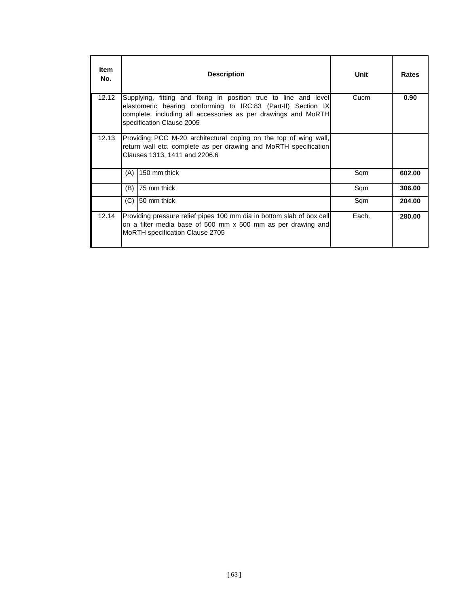| <b>Item</b><br>No. |     | <b>Description</b>                                                                                                                                                                                                                              | Unit  | <b>Rates</b> |  |  |  |
|--------------------|-----|-------------------------------------------------------------------------------------------------------------------------------------------------------------------------------------------------------------------------------------------------|-------|--------------|--|--|--|
| 12.12              |     | Cucm<br>0.90<br>Supplying, fitting and fixing in position true to line and level<br>elastomeric bearing conforming to IRC:83 (Part-II) Section IX<br>complete, including all accessories as per drawings and MoRTH<br>specification Clause 2005 |       |              |  |  |  |
| 12.13              |     | Providing PCC M-20 architectural coping on the top of wing wall,<br>return wall etc. complete as per drawing and MoRTH specification<br>Clauses 1313, 1411 and 2206.6                                                                           |       |              |  |  |  |
|                    | (A) | 150 mm thick                                                                                                                                                                                                                                    | Sqm   | 602.00       |  |  |  |
|                    | (B) | 75 mm thick                                                                                                                                                                                                                                     | Sqm   | 306.00       |  |  |  |
|                    | (C) | 50 mm thick                                                                                                                                                                                                                                     | Sqm   | 204.00       |  |  |  |
| 12.14              |     | Providing pressure relief pipes 100 mm dia in bottom slab of box cell<br>on a filter media base of 500 mm x 500 mm as per drawing and<br>MoRTH specification Clause 2705                                                                        | Each. | 280.00       |  |  |  |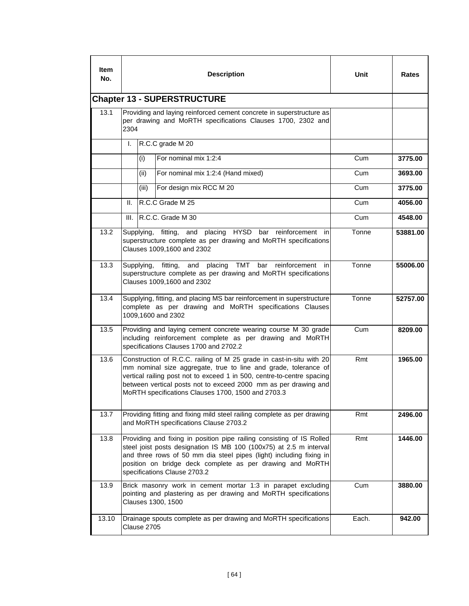| <b>Item</b><br>No. |                                                                                                                                                                                                                                                                                                                                                   |  | <b>Description</b>                                                                                                                                    | Unit  | <b>Rates</b> |  |  |
|--------------------|---------------------------------------------------------------------------------------------------------------------------------------------------------------------------------------------------------------------------------------------------------------------------------------------------------------------------------------------------|--|-------------------------------------------------------------------------------------------------------------------------------------------------------|-------|--------------|--|--|
|                    | <b>Chapter 13 - SUPERSTRUCTURE</b>                                                                                                                                                                                                                                                                                                                |  |                                                                                                                                                       |       |              |  |  |
| 13.1               | 2304                                                                                                                                                                                                                                                                                                                                              |  | Providing and laying reinforced cement concrete in superstructure as<br>per drawing and MoRTH specifications Clauses 1700, 2302 and                   |       |              |  |  |
|                    | I.                                                                                                                                                                                                                                                                                                                                                |  | R.C.C grade M 20                                                                                                                                      |       |              |  |  |
|                    | (i)                                                                                                                                                                                                                                                                                                                                               |  | For nominal mix 1:2:4                                                                                                                                 | Cum   | 3775.00      |  |  |
|                    | (ii)                                                                                                                                                                                                                                                                                                                                              |  | For nominal mix 1:2:4 (Hand mixed)                                                                                                                    | Cum   | 3693.00      |  |  |
|                    | (iii)                                                                                                                                                                                                                                                                                                                                             |  | For design mix RCC M 20                                                                                                                               | Cum   | 3775.00      |  |  |
|                    | Ш.                                                                                                                                                                                                                                                                                                                                                |  | R.C.C Grade M 25                                                                                                                                      | Cum   | 4056.00      |  |  |
|                    | III.                                                                                                                                                                                                                                                                                                                                              |  | R.C.C. Grade M 30                                                                                                                                     | Cum   | 4548.00      |  |  |
| 13.2               | Supplying,                                                                                                                                                                                                                                                                                                                                        |  | fitting, and placing HYSD bar reinforcement in<br>superstructure complete as per drawing and MoRTH specifications<br>Clauses 1009,1600 and 2302       | Tonne | 53881.00     |  |  |
| 13.3.              | and<br>placing TMT<br>Tonne<br>Supplying,<br>fitting,<br>bar<br>reinforcement<br>in<br>55006.00<br>superstructure complete as per drawing and MoRTH specifications<br>Clauses 1009,1600 and 2302                                                                                                                                                  |  |                                                                                                                                                       |       |              |  |  |
| 13.4               | Supplying, fitting, and placing MS bar reinforcement in superstructure<br>Tonne<br>complete as per drawing and MoRTH specifications Clauses<br>1009,1600 and 2302                                                                                                                                                                                 |  |                                                                                                                                                       |       |              |  |  |
| 13.5               | Providing and laying cement concrete wearing course M 30 grade<br>Cum<br>including reinforcement complete as per drawing and MoRTH<br>specifications Clauses 1700 and 2702.2                                                                                                                                                                      |  |                                                                                                                                                       |       |              |  |  |
| 13.6               | Construction of R.C.C. railing of M 25 grade in cast-in-situ with 20<br>Rmt<br>mm nominal size aggregate, true to line and grade, tolerance of<br>vertical railing post not to exceed 1 in 500, centre-to-centre spacing<br>between vertical posts not to exceed 2000 mm as per drawing and<br>MoRTH specifications Clauses 1700, 1500 and 2703.3 |  |                                                                                                                                                       |       |              |  |  |
| 13.7               | Providing fitting and fixing mild steel railing complete as per drawing<br>Rmt<br>and MoRTH specifications Clause 2703.2                                                                                                                                                                                                                          |  |                                                                                                                                                       |       |              |  |  |
| 13.8               | Providing and fixing in position pipe railing consisting of IS Rolled<br>Rmt<br>steel joist posts designation IS MB 100 (100x75) at 2.5 m interval<br>and three rows of 50 mm dia steel pipes (light) including fixing in<br>position on bridge deck complete as per drawing and MoRTH<br>specifications Clause 2703.2                            |  |                                                                                                                                                       |       |              |  |  |
| 13.9               |                                                                                                                                                                                                                                                                                                                                                   |  | Brick masonry work in cement mortar 1:3 in parapet excluding<br>pointing and plastering as per drawing and MoRTH specifications<br>Clauses 1300, 1500 | Cum   | 3880.00      |  |  |
| 13.10              | Clause 2705                                                                                                                                                                                                                                                                                                                                       |  | Drainage spouts complete as per drawing and MoRTH specifications                                                                                      | Each. | 942.00       |  |  |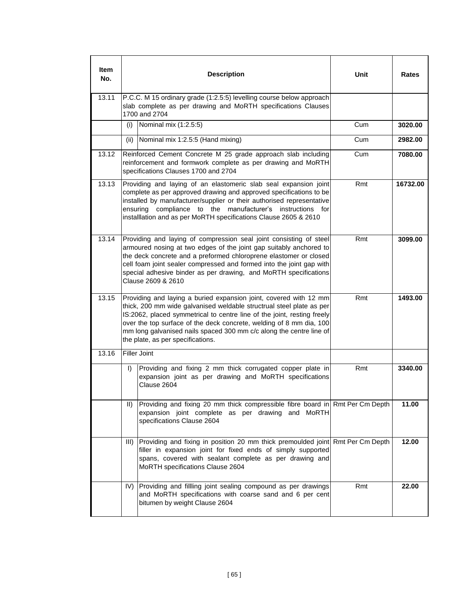| <b>Item</b><br>No. |                                                                                                                                                                                                                                                                                                                                                                                                         | <b>Description</b>                                                                                                                                                                                                                                                                                                                                                                     | Unit    | Rates   |  |  |  |
|--------------------|---------------------------------------------------------------------------------------------------------------------------------------------------------------------------------------------------------------------------------------------------------------------------------------------------------------------------------------------------------------------------------------------------------|----------------------------------------------------------------------------------------------------------------------------------------------------------------------------------------------------------------------------------------------------------------------------------------------------------------------------------------------------------------------------------------|---------|---------|--|--|--|
| 13.11              |                                                                                                                                                                                                                                                                                                                                                                                                         | P.C.C. M 15 ordinary grade (1:2.5:5) levelling course below approach<br>slab complete as per drawing and MoRTH specifications Clauses<br>1700 and 2704                                                                                                                                                                                                                                 |         |         |  |  |  |
|                    | (i)                                                                                                                                                                                                                                                                                                                                                                                                     | Nominal mix (1:2.5:5)                                                                                                                                                                                                                                                                                                                                                                  | Cum     | 3020.00 |  |  |  |
|                    | (ii)                                                                                                                                                                                                                                                                                                                                                                                                    | Nominal mix 1:2.5:5 (Hand mixing)                                                                                                                                                                                                                                                                                                                                                      | Cum     | 2982.00 |  |  |  |
| 13.12              |                                                                                                                                                                                                                                                                                                                                                                                                         | Reinforced Cement Concrete M 25 grade approach slab including<br>reinforcement and formwork complete as per drawing and MoRTH<br>specifications Clauses 1700 and 2704                                                                                                                                                                                                                  | Cum     | 7080.00 |  |  |  |
| 13.13              | Providing and laying of an elastomeric slab seal expansion joint<br>Rmt<br>16732.00<br>complete as per approved drawing and approved specifications to be<br>installed by manufacturer/supplier or their authorised representative<br>compliance to the manufacturer's instructions for<br>ensuring<br>installlation and as per MoRTH specifications Clause 2605 & 2610                                 |                                                                                                                                                                                                                                                                                                                                                                                        |         |         |  |  |  |
| 13.14              |                                                                                                                                                                                                                                                                                                                                                                                                         | Rmt<br>Providing and laying of compression seal joint consisting of steel<br>armoured nosing at two edges of the joint gap suitably anchored to<br>the deck concrete and a preformed chloroprene elastomer or closed<br>cell foam joint sealer compressed and formed into the joint gap with<br>special adhesive binder as per drawing, and MoRTH specifications<br>Clause 2609 & 2610 |         |         |  |  |  |
| 13.15              | Providing and laying a buried expansion joint, covered with 12 mm<br>thick, 200 mm wide galvanised weldable structrual steel plate as per<br>IS:2062, placed symmetrical to centre line of the joint, resting freely<br>over the top surface of the deck concrete, welding of 8 mm dia, 100<br>mm long galvanised nails spaced 300 mm c/c along the centre line of<br>the plate, as per specifications. | Rmt                                                                                                                                                                                                                                                                                                                                                                                    | 1493.00 |         |  |  |  |
| 13.16              |                                                                                                                                                                                                                                                                                                                                                                                                         | <b>Filler Joint</b>                                                                                                                                                                                                                                                                                                                                                                    |         |         |  |  |  |
|                    | $\mathbf{D}$                                                                                                                                                                                                                                                                                                                                                                                            | Providing and fixing 2 mm thick corrugated copper plate in<br>expansion joint as per drawing and MoRTH specifications<br>Clause 2604                                                                                                                                                                                                                                                   | Rmt     | 3340.00 |  |  |  |
|                    | $\parallel$                                                                                                                                                                                                                                                                                                                                                                                             | Providing and fixing 20 mm thick compressible fibre board in Rmt Per Cm Depth<br>expansion joint complete as per drawing and MoRTH<br>specifications Clause 2604                                                                                                                                                                                                                       |         | 11.00   |  |  |  |
|                    | III)                                                                                                                                                                                                                                                                                                                                                                                                    | Providing and fixing in position 20 mm thick premoulded joint Rmt Per Cm Depth<br>filler in expansion joint for fixed ends of simply supported<br>spans, covered with sealant complete as per drawing and<br>MoRTH specifications Clause 2604                                                                                                                                          |         | 12.00   |  |  |  |
|                    | IV)                                                                                                                                                                                                                                                                                                                                                                                                     | Providing and fillling joint sealing compound as per drawings<br>and MoRTH specifications with coarse sand and 6 per cent<br>bitumen by weight Clause 2604                                                                                                                                                                                                                             | Rmt     | 22.00   |  |  |  |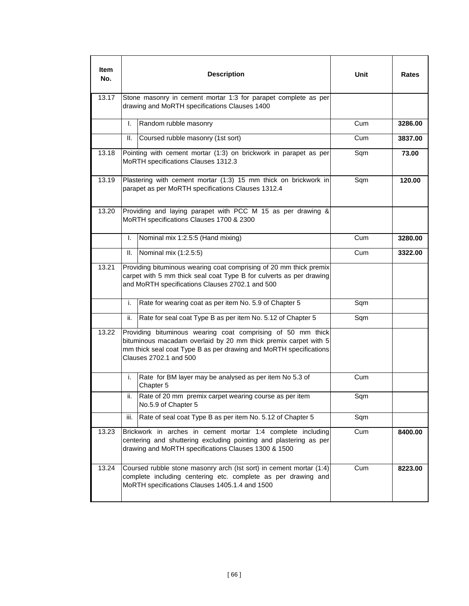| Item<br>No. |                                                                                                                                                                                                            | <b>Description</b>                                                                                                                                                                                                            | Unit | Rates   |  |
|-------------|------------------------------------------------------------------------------------------------------------------------------------------------------------------------------------------------------------|-------------------------------------------------------------------------------------------------------------------------------------------------------------------------------------------------------------------------------|------|---------|--|
| 13.17       |                                                                                                                                                                                                            | Stone masonry in cement mortar 1:3 for parapet complete as per<br>drawing and MoRTH specifications Clauses 1400                                                                                                               |      |         |  |
|             | I.                                                                                                                                                                                                         | Random rubble masonry                                                                                                                                                                                                         | Cum  | 3286.00 |  |
|             | Ш.                                                                                                                                                                                                         | Coursed rubble masonry (1st sort)                                                                                                                                                                                             | Cum  | 3837.00 |  |
| 13.18       |                                                                                                                                                                                                            | Pointing with cement mortar (1:3) on brickwork in parapet as per<br>MoRTH specifications Clauses 1312.3                                                                                                                       | Sqm  | 73.00   |  |
| 13.19       |                                                                                                                                                                                                            | Plastering with cement mortar (1:3) 15 mm thick on brickwork in<br>parapet as per MoRTH specifications Clauses 1312.4                                                                                                         | Sqm  | 120.00  |  |
| 13.20       |                                                                                                                                                                                                            | Providing and laying parapet with PCC M 15 as per drawing &<br>MoRTH specifications Clauses 1700 & 2300                                                                                                                       |      |         |  |
|             | I.                                                                                                                                                                                                         | Nominal mix 1:2.5:5 (Hand mixing)                                                                                                                                                                                             | Cum  | 3280.00 |  |
|             | Ш.                                                                                                                                                                                                         | Nominal mix (1:2.5:5)                                                                                                                                                                                                         | Cum  | 3322.00 |  |
| 13.21       | Providing bituminous wearing coat comprising of 20 mm thick premix<br>carpet with 5 mm thick seal coat Type B for culverts as per drawing<br>and MoRTH specifications Clauses 2702.1 and 500               |                                                                                                                                                                                                                               |      |         |  |
|             | i.                                                                                                                                                                                                         | Rate for wearing coat as per item No. 5.9 of Chapter 5                                                                                                                                                                        | Sqm  |         |  |
|             | ii.                                                                                                                                                                                                        | Rate for seal coat Type B as per item No. 5.12 of Chapter 5                                                                                                                                                                   | Sqm  |         |  |
| 13.22       |                                                                                                                                                                                                            | Providing bituminous wearing coat comprising of 50 mm thick<br>bituminous macadam overlaid by 20 mm thick premix carpet with 5<br>mm thick seal coat Type B as per drawing and MoRTH specifications<br>Clauses 2702.1 and 500 |      |         |  |
|             | i.                                                                                                                                                                                                         | Rate for BM layer may be analysed as per item No 5.3 of<br>Chapter 5                                                                                                                                                          | Cum  |         |  |
|             | ii.                                                                                                                                                                                                        | Rate of 20 mm premix carpet wearing course as per item<br>No.5.9 of Chapter 5                                                                                                                                                 | Sqm  |         |  |
|             | iii.                                                                                                                                                                                                       | Rate of seal coat Type B as per item No. 5.12 of Chapter 5                                                                                                                                                                    | Sqm  |         |  |
| 13.23       | Brickwork in arches in cement mortar 1:4 complete including<br>Cum<br>8400.00<br>centering and shuttering excluding pointing and plastering as per<br>drawing and MoRTH specifications Clauses 1300 & 1500 |                                                                                                                                                                                                                               |      |         |  |
| 13.24       | Coursed rubble stone masonry arch (Ist sort) in cement mortar (1:4)<br>Cum<br>8223.00<br>complete including centering etc. complete as per drawing and<br>MoRTH specifications Clauses 1405.1.4 and 1500   |                                                                                                                                                                                                                               |      |         |  |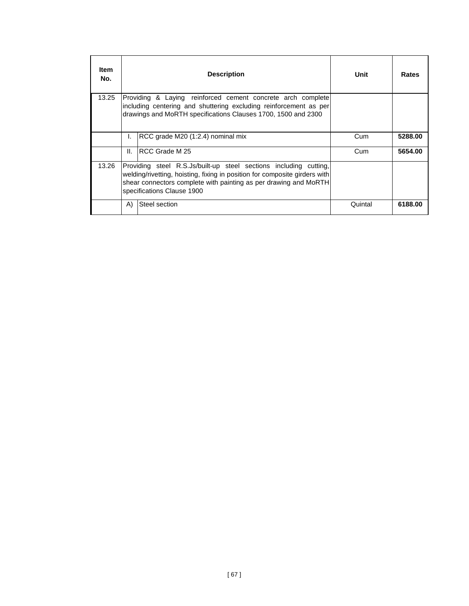| <b>Item</b><br>No. |              | <b>Description</b>                                                                                                                                                                                                                                | Unit    | Rates   |
|--------------------|--------------|---------------------------------------------------------------------------------------------------------------------------------------------------------------------------------------------------------------------------------------------------|---------|---------|
| 13.25              |              | Providing & Laying reinforced cement concrete arch complete<br>including centering and shuttering excluding reinforcement as per<br>drawings and MoRTH specifications Clauses 1700, 1500 and 2300                                                 |         |         |
|                    | L.           | RCC grade M20 (1:2.4) nominal mix                                                                                                                                                                                                                 | Cum     | 5288.00 |
|                    | Ш.           | IRCC Grade M 25                                                                                                                                                                                                                                   | Cum     | 5654.00 |
| 13.26              |              | Providing steel R.S.Js/built-up steel sections including cutting,<br>welding/rivetting, hoisting, fixing in position for composite girders with<br>shear connectors complete with painting as per drawing and MoRTH<br>specifications Clause 1900 |         |         |
|                    | $\mathsf{A}$ | Steel section                                                                                                                                                                                                                                     | Quintal | 6188.00 |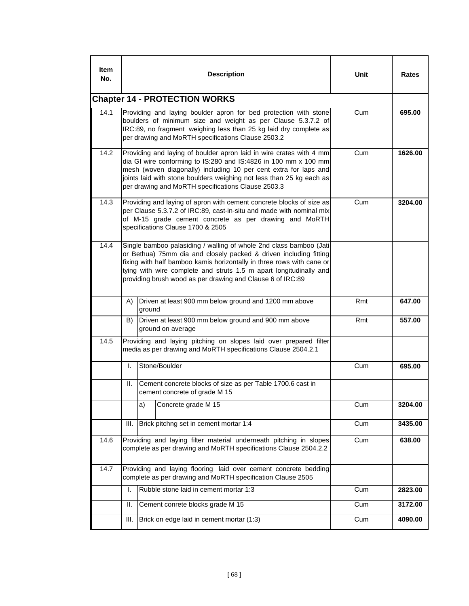| ltem<br>No. |                                                                                                                                                                                                                                                               | <b>Description</b>                                                                                                                                                                                                                                                                                                                                   | Unit | <b>Rates</b> |  |  |  |
|-------------|---------------------------------------------------------------------------------------------------------------------------------------------------------------------------------------------------------------------------------------------------------------|------------------------------------------------------------------------------------------------------------------------------------------------------------------------------------------------------------------------------------------------------------------------------------------------------------------------------------------------------|------|--------------|--|--|--|
|             |                                                                                                                                                                                                                                                               | <b>Chapter 14 - PROTECTION WORKS</b>                                                                                                                                                                                                                                                                                                                 |      |              |  |  |  |
| 14.1        |                                                                                                                                                                                                                                                               | Providing and laying boulder apron for bed protection with stone<br>boulders of minimum size and weight as per Clause 5.3.7.2 of<br>IRC:89, no fragment weighing less than 25 kg laid dry complete as<br>per drawing and MoRTH specifications Clause 2503.2                                                                                          | Cum  | 695.00       |  |  |  |
| 14.2        |                                                                                                                                                                                                                                                               | Providing and laying of boulder apron laid in wire crates with 4 mm<br>Cum<br>dia GI wire conforming to IS:280 and IS:4826 in 100 mm x 100 mm<br>mesh (woven diagonally) including 10 per cent extra for laps and<br>joints laid with stone boulders weighing not less than 25 kg each as<br>per drawing and MoRTH specifications Clause 2503.3      |      |              |  |  |  |
| 14.3        | Providing and laying of apron with cement concrete blocks of size as<br>Cum<br>3204.00<br>per Clause 5.3.7.2 of IRC:89, cast-in-situ and made with nominal mix<br>of M-15 grade cement concrete as per drawing and MoRTH<br>specifications Clause 1700 & 2505 |                                                                                                                                                                                                                                                                                                                                                      |      |              |  |  |  |
| 14.4        |                                                                                                                                                                                                                                                               | Single bamboo palasiding / walling of whole 2nd class bamboo (Jati<br>or Bethua) 75mm dia and closely packed & driven including fitting<br>fixing with half bamboo kamis horizontally in three rows with cane or<br>tying with wire complete and struts 1.5 m apart longitudinally and<br>providing brush wood as per drawing and Clause 6 of IRC:89 |      |              |  |  |  |
|             | A).<br>Driven at least 900 mm below ground and 1200 mm above<br>ground                                                                                                                                                                                        |                                                                                                                                                                                                                                                                                                                                                      | Rmt  | 647.00       |  |  |  |
|             | Driven at least 900 mm below ground and 900 mm above<br>B)<br>ground on average                                                                                                                                                                               |                                                                                                                                                                                                                                                                                                                                                      | Rmt  | 557.00       |  |  |  |
| 14.5        | Providing and laying pitching on slopes laid over prepared filter<br>media as per drawing and MoRTH specifications Clause 2504.2.1                                                                                                                            |                                                                                                                                                                                                                                                                                                                                                      |      |              |  |  |  |
|             | I.                                                                                                                                                                                                                                                            | Stone/Boulder                                                                                                                                                                                                                                                                                                                                        | Cum  | 695.00       |  |  |  |
|             | Ш.                                                                                                                                                                                                                                                            | Cement concrete blocks of size as per Table 1700.6 cast in<br>cement concrete of grade M 15                                                                                                                                                                                                                                                          |      |              |  |  |  |
|             |                                                                                                                                                                                                                                                               | Concrete grade M 15<br>a)                                                                                                                                                                                                                                                                                                                            | Cum  | 3204.00      |  |  |  |
|             | Ш.                                                                                                                                                                                                                                                            | Brick pitchng set in cement mortar 1:4                                                                                                                                                                                                                                                                                                               | Cum  | 3435.00      |  |  |  |
| 14.6        | Providing and laying filter material underneath pitching in slopes<br>Cum<br>complete as per drawing and MoRTH specifications Clause 2504.2.2                                                                                                                 |                                                                                                                                                                                                                                                                                                                                                      |      |              |  |  |  |
| 14.7        |                                                                                                                                                                                                                                                               | Providing and laying flooring laid over cement concrete bedding<br>complete as per drawing and MoRTH specification Clause 2505                                                                                                                                                                                                                       |      |              |  |  |  |
|             | I.                                                                                                                                                                                                                                                            | Rubble stone laid in cement mortar 1:3                                                                                                                                                                                                                                                                                                               | Cum  | 2823.00      |  |  |  |
|             | Ш.                                                                                                                                                                                                                                                            | Cement conrete blocks grade M 15                                                                                                                                                                                                                                                                                                                     | Cum  | 3172.00      |  |  |  |
|             | III.                                                                                                                                                                                                                                                          | Brick on edge laid in cement mortar (1:3)                                                                                                                                                                                                                                                                                                            | Cum  | 4090.00      |  |  |  |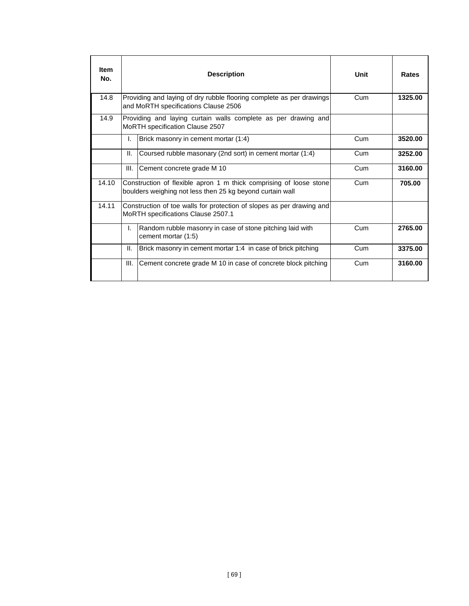| <b>Item</b><br>No. |      | <b>Description</b>                                                                                                              | Unit | Rates   |
|--------------------|------|---------------------------------------------------------------------------------------------------------------------------------|------|---------|
| 14.8               |      | Providing and laying of dry rubble flooring complete as per drawings<br>and MoRTH specifications Clause 2506                    | Cum  | 1325.00 |
| 14.9               |      | Providing and laying curtain walls complete as per drawing and<br>MoRTH specification Clause 2507                               |      |         |
|                    | I.   | Brick masonry in cement mortar (1:4)                                                                                            | Cum  | 3520.00 |
|                    | Ш.   | Coursed rubble masonary (2nd sort) in cement mortar (1:4)                                                                       | Cum  | 3252.00 |
|                    | III. | Cement concrete grade M 10                                                                                                      | Cum  | 3160.00 |
| 14.10              |      | Construction of flexible apron 1 m thick comprising of loose stone<br>boulders weighing not less then 25 kg beyond curtain wall | Cum  | 705.00  |
| 14.11              |      | Construction of toe walls for protection of slopes as per drawing and<br>MoRTH specifications Clause 2507.1                     |      |         |
|                    | L.   | Random rubble masonry in case of stone pitching laid with<br>cement mortar (1:5)                                                | Cum  | 2765.00 |
|                    | Ш.   | Brick masonry in cement mortar 1:4 in case of brick pitching                                                                    | Cum  | 3375.00 |
|                    | III. | Cement concrete grade M 10 in case of concrete block pitching                                                                   | Cum  | 3160.00 |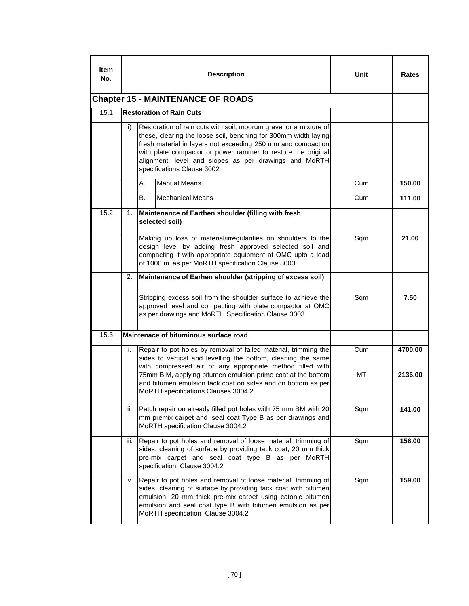| Item<br>No. | <b>Description</b>                       |                                                                                                                                                                                                                                                                                                                                                             |                                                                                                                                                                                                                                                                                                   | Unit | Rates   |  |
|-------------|------------------------------------------|-------------------------------------------------------------------------------------------------------------------------------------------------------------------------------------------------------------------------------------------------------------------------------------------------------------------------------------------------------------|---------------------------------------------------------------------------------------------------------------------------------------------------------------------------------------------------------------------------------------------------------------------------------------------------|------|---------|--|
|             | <b>Chapter 15 - MAINTENANCE OF ROADS</b> |                                                                                                                                                                                                                                                                                                                                                             |                                                                                                                                                                                                                                                                                                   |      |         |  |
| 15.1        |                                          |                                                                                                                                                                                                                                                                                                                                                             | <b>Restoration of Rain Cuts</b>                                                                                                                                                                                                                                                                   |      |         |  |
|             | i)                                       | Restoration of rain cuts with soil, moorum gravel or a mixture of<br>these, clearing the loose soil, benching for 300mm width laying<br>fresh material in layers not exceeding 250 mm and compaction<br>with plate compactor or power rammer to restore the original<br>alignment, level and slopes as per drawings and MoRTH<br>specifications Clause 3002 |                                                                                                                                                                                                                                                                                                   |      |         |  |
|             |                                          | А.                                                                                                                                                                                                                                                                                                                                                          | <b>Manual Means</b>                                                                                                                                                                                                                                                                               | Cum  | 150.00  |  |
|             |                                          | В.                                                                                                                                                                                                                                                                                                                                                          | <b>Mechanical Means</b>                                                                                                                                                                                                                                                                           | Cum  | 111.00  |  |
| 15.2        | 1.                                       |                                                                                                                                                                                                                                                                                                                                                             | Maintenance of Earthen shoulder (filling with fresh<br>selected soil)                                                                                                                                                                                                                             |      |         |  |
|             |                                          | Making up loss of material/irregularities on shoulders to the<br>design level by adding fresh approved selected soil and<br>compacting it with appropriate equipment at OMC upto a lead<br>of 1000 m as per MoRTH specification Clause 3003                                                                                                                 |                                                                                                                                                                                                                                                                                                   | Sqm  | 21.00   |  |
|             | 2.                                       |                                                                                                                                                                                                                                                                                                                                                             | Maintenance of Earhen shoulder (stripping of excess soil)                                                                                                                                                                                                                                         |      |         |  |
|             |                                          |                                                                                                                                                                                                                                                                                                                                                             | Stripping excess soil from the shoulder surface to achieve the<br>approved level and compacting with plate compactor at OMC<br>as per drawings and MoRTH Specification Clause 3003                                                                                                                | Sqm  | 7.50    |  |
| 15.3        |                                          |                                                                                                                                                                                                                                                                                                                                                             | Maintenace of bituminous surface road                                                                                                                                                                                                                                                             |      |         |  |
|             | i.                                       |                                                                                                                                                                                                                                                                                                                                                             | Repair to pot holes by removal of failed material, trimming the<br>sides to vertical and levelling the bottom, cleaning the same<br>with compressed air or any appropriate method filled with                                                                                                     | Cum  | 4700.00 |  |
|             |                                          |                                                                                                                                                                                                                                                                                                                                                             | 75mm B.M, applying bitumen emulsion prime coat at the bottom<br>and bitumen emulsion tack coat on sides and on bottom as per<br>MoRTH specifications Clauses 3004.2                                                                                                                               | МT   | 2136.00 |  |
|             | ii.                                      |                                                                                                                                                                                                                                                                                                                                                             | Patch repair on already filled pot holes with 75 mm BM with 20<br>mm premix carpet and seal coat Type B as per drawings and<br>MoRTH specification Clause 3004.2                                                                                                                                  | Sqm  | 141.00  |  |
|             | iii.                                     |                                                                                                                                                                                                                                                                                                                                                             | Repair to pot holes and removal of loose material, trimming of<br>sides, cleaning of surface by providing tack coat, 20 mm thick<br>pre-mix carpet and seal coat type B as per MoRTH<br>specification Clause 3004.2                                                                               | Sqm  | 156.00  |  |
|             | iv.                                      |                                                                                                                                                                                                                                                                                                                                                             | Repair to pot holes and removal of loose material, trimming of<br>sides, cleaning of surface by providing tack coat with bitumen<br>emulsion, 20 mm thick pre-mix carpet using catonic bitumen<br>emulsion and seal coat type B with bitumen emulsion as per<br>MoRTH specification Clause 3004.2 | Sqm  | 159.00  |  |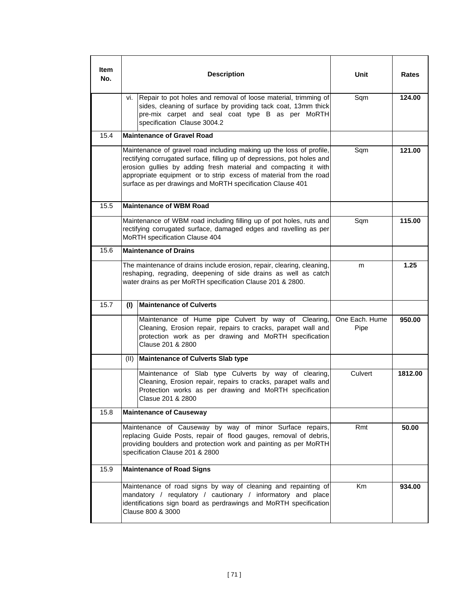| ltem<br>No. |      | <b>Description</b>                                                                                                                                                                                                                                                                                                                                    | Unit                   | Rates   |
|-------------|------|-------------------------------------------------------------------------------------------------------------------------------------------------------------------------------------------------------------------------------------------------------------------------------------------------------------------------------------------------------|------------------------|---------|
|             | vi.  | Repair to pot holes and removal of loose material, trimming of<br>sides, cleaning of surface by providing tack coat, 13mm thick<br>pre-mix carpet and seal coat type B as per MoRTH<br>specification Clause 3004.2                                                                                                                                    | Sqm                    | 124.00  |
| 15.4        |      | <b>Maintenance of Gravel Road</b>                                                                                                                                                                                                                                                                                                                     |                        |         |
|             |      | Maintenance of gravel road including making up the loss of profile,<br>rectifying corrugated surface, filling up of depressions, pot holes and<br>erosion gullies by adding fresh material and compacting it with<br>appropriate equipment or to strip excess of material from the road<br>surface as per drawings and MoRTH specification Clause 401 | Sqm                    | 121.00  |
| 15.5        |      | <b>Maintenance of WBM Road</b>                                                                                                                                                                                                                                                                                                                        |                        |         |
|             |      | Maintenance of WBM road including filling up of pot holes, ruts and<br>rectifying corrugated surface, damaged edges and ravelling as per<br>MoRTH specification Clause 404                                                                                                                                                                            | Sqm                    | 115.00  |
| 15.6        |      | <b>Maintenance of Drains</b>                                                                                                                                                                                                                                                                                                                          |                        |         |
|             |      | The maintenance of drains include erosion, repair, clearing, cleaning,<br>reshaping, regrading, deepening of side drains as well as catch<br>water drains as per MoRTH specification Clause 201 & 2800.                                                                                                                                               | m                      | 1.25    |
| 15.7        | (1)  | <b>Maintenance of Culverts</b>                                                                                                                                                                                                                                                                                                                        |                        |         |
|             |      | Maintenance of Hume pipe Culvert by way of Clearing,<br>Cleaning, Erosion repair, repairs to cracks, parapet wall and<br>protection work as per drawing and MoRTH specification<br>Clause 201 & 2800                                                                                                                                                  | One Each. Hume<br>Pipe | 950.00  |
|             | (II) | <b>Maintenance of Culverts Slab type</b>                                                                                                                                                                                                                                                                                                              |                        |         |
|             |      | Maintenance of Slab type Culverts by way of clearing,<br>Cleaning, Erosion repair, repairs to cracks, parapet walls and<br>Protection works as per drawing and MoRTH specification<br>Clasue 201 & 2800                                                                                                                                               | Culvert                | 1812.00 |
| 15.8        |      | <b>Maintenance of Causeway</b>                                                                                                                                                                                                                                                                                                                        |                        |         |
|             |      | Maintenance of Causeway by way of minor Surface repairs,<br>replacing Guide Posts, repair of flood gauges, removal of debris,<br>providing boulders and protection work and painting as per MoRTH<br>specification Clause 201 & 2800                                                                                                                  | Rmt                    | 50.00   |
| 15.9        |      | <b>Maintenance of Road Signs</b>                                                                                                                                                                                                                                                                                                                      |                        |         |
|             |      | Maintenance of road signs by way of cleaning and repainting of<br>mandatory / requlatory / cautionary / informatory and place<br>identifications sign board as perdrawings and MoRTH specification<br>Clause 800 & 3000                                                                                                                               | Km                     | 934.00  |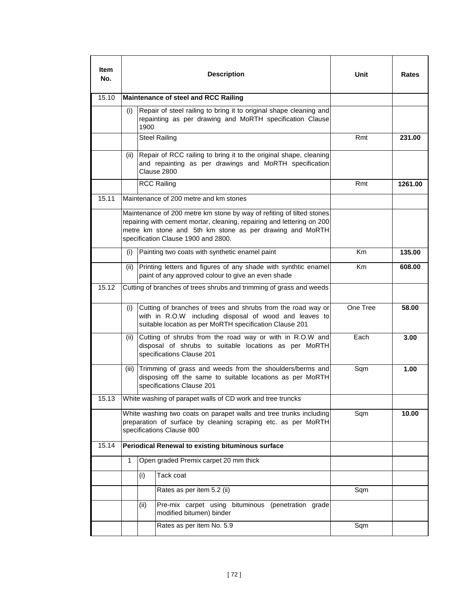| Item<br>No. |                                                                                                                                                                                                                                                    |                                       | <b>Description</b>                                                                                                                                                                | Unit     | Rates   |
|-------------|----------------------------------------------------------------------------------------------------------------------------------------------------------------------------------------------------------------------------------------------------|---------------------------------------|-----------------------------------------------------------------------------------------------------------------------------------------------------------------------------------|----------|---------|
| 15.10       |                                                                                                                                                                                                                                                    |                                       | Maintenance of steel and RCC Railing                                                                                                                                              |          |         |
|             | (i)                                                                                                                                                                                                                                                | 1900                                  | Repair of steel railing to bring it to original shape cleaning and<br>repainting as per drawing and MoRTH specification Clause                                                    |          |         |
|             |                                                                                                                                                                                                                                                    |                                       | <b>Steel Railing</b>                                                                                                                                                              | Rmt      | 231.00  |
|             | (ii)                                                                                                                                                                                                                                               |                                       | Repair of RCC railing to bring it to the original shape, cleaning<br>and repainting as per drawings and MoRTH specification<br>Clause 2800                                        |          |         |
|             |                                                                                                                                                                                                                                                    |                                       | <b>RCC Railing</b>                                                                                                                                                                | Rmt      | 1261.00 |
| 15.11       |                                                                                                                                                                                                                                                    |                                       | Maintenance of 200 metre and km stones                                                                                                                                            |          |         |
|             | Maintenance of 200 metre km stone by way of refiting of tilted stones<br>repairing with cement mortar, cleaning, repairing and lettering on 200<br>metre km stone and 5th km stone as per drawing and MoRTH<br>specification Clause 1900 and 2800. |                                       |                                                                                                                                                                                   |          |         |
|             | Painting two coats with synthetic enamel paint<br>(i)                                                                                                                                                                                              |                                       | Кm                                                                                                                                                                                | 135.00   |         |
|             | Printing letters and figures of any shade with synthtic enamel<br>(ii)<br>paint of any approved colour to give an even shade                                                                                                                       |                                       | Кm                                                                                                                                                                                | 608.00   |         |
| 15.12       |                                                                                                                                                                                                                                                    |                                       | Cutting of branches of trees shrubs and trimming of grass and weeds                                                                                                               |          |         |
|             | (i)                                                                                                                                                                                                                                                |                                       | Cutting of branches of trees and shrubs from the road way or<br>with in R.O.W including disposal of wood and leaves to<br>suitable location as per MoRTH specification Clause 201 | One Tree | 58.00   |
|             | (ii)                                                                                                                                                                                                                                               |                                       | Cutting of shrubs from the road way or with in R.O.W and<br>disposal of shrubs to suitable locations as per MoRTH<br>specifications Clause 201                                    | Each     | 3.00    |
|             | (iii)                                                                                                                                                                                                                                              |                                       | Trimming of grass and weeds from the shoulders/berms and<br>disposing off the same to suitable locations as per MoRTH<br>specifications Clause 201                                | Sqm      | 1.00    |
| 15.13       |                                                                                                                                                                                                                                                    |                                       | White washing of parapet walls of CD work and tree truncks                                                                                                                        |          |         |
|             |                                                                                                                                                                                                                                                    |                                       | White washing two coats on parapet walls and tree trunks including<br>preparation of surface by cleaning scraping etc. as per MoRTH<br>specifications Clause 800                  | Sqm      | 10.00   |
| 15.14       |                                                                                                                                                                                                                                                    |                                       | Periodical Renewal to existing bituminous surface                                                                                                                                 |          |         |
|             | 1                                                                                                                                                                                                                                                  | Open graded Premix carpet 20 mm thick |                                                                                                                                                                                   |          |         |
|             |                                                                                                                                                                                                                                                    | (i)                                   | Tack coat                                                                                                                                                                         |          |         |
|             |                                                                                                                                                                                                                                                    |                                       | Rates as per item 5.2 (ii)                                                                                                                                                        | Sqm      |         |
|             |                                                                                                                                                                                                                                                    | (ii)                                  | Pre-mix carpet using bituminous (penetration grade<br>modified bitumen) binder                                                                                                    |          |         |
|             |                                                                                                                                                                                                                                                    |                                       | Rates as per item No. 5.9                                                                                                                                                         | Sqm      |         |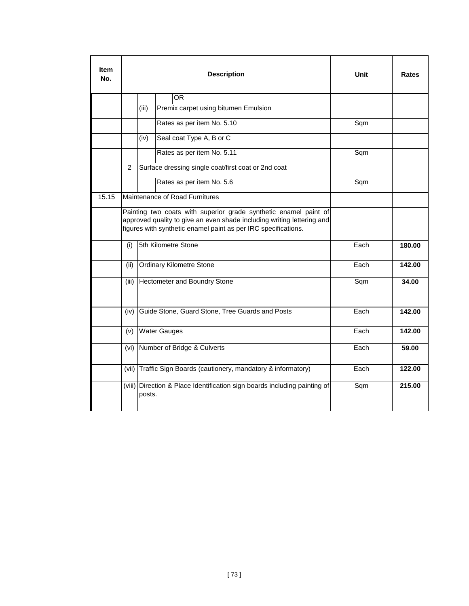| <b>Item</b><br>No. |                | <b>Description</b> |                                                                                                                                                                                                              | Unit | <b>Rates</b> |
|--------------------|----------------|--------------------|--------------------------------------------------------------------------------------------------------------------------------------------------------------------------------------------------------------|------|--------------|
|                    |                |                    | OR.                                                                                                                                                                                                          |      |              |
|                    |                | (iii)              | Premix carpet using bitumen Emulsion                                                                                                                                                                         |      |              |
|                    |                |                    | Rates as per item No. 5.10                                                                                                                                                                                   | Sqm  |              |
|                    |                | (iv)               | Seal coat Type A, B or C                                                                                                                                                                                     |      |              |
|                    |                |                    | Rates as per item No. 5.11                                                                                                                                                                                   | Sqm  |              |
|                    | $\overline{2}$ |                    | Surface dressing single coat/first coat or 2nd coat                                                                                                                                                          |      |              |
|                    |                |                    | Rates as per item No. 5.6                                                                                                                                                                                    | Sqm  |              |
| 15.15              |                |                    | Maintenance of Road Furnitures                                                                                                                                                                               |      |              |
|                    |                |                    | Painting two coats with superior grade synthetic enamel paint of<br>approved quality to give an even shade including writing lettering and<br>figures with synthetic enamel paint as per IRC specifications. |      |              |
|                    | (i)            |                    | 5th Kilometre Stone                                                                                                                                                                                          | Each | 180.00       |
|                    | (ii)           |                    | Ordinary Kilometre Stone                                                                                                                                                                                     | Each | 142.00       |
|                    | (iii)          |                    | Hectometer and Boundry Stone                                                                                                                                                                                 | Sqm  | 34.00        |
|                    | (iv)           |                    | Guide Stone, Guard Stone, Tree Guards and Posts                                                                                                                                                              | Each | 142.00       |
|                    | (v)            |                    | <b>Water Gauges</b>                                                                                                                                                                                          | Each | 142.00       |
|                    | (vi)           |                    | Number of Bridge & Culverts                                                                                                                                                                                  | Each | 59.00        |
|                    | (vii)          |                    | Traffic Sign Boards (cautionery, mandatory & informatory)                                                                                                                                                    | Each | 122.00       |
|                    |                | posts.             | (viii) Direction & Place Identification sign boards including painting of                                                                                                                                    | Sqm  | 215.00       |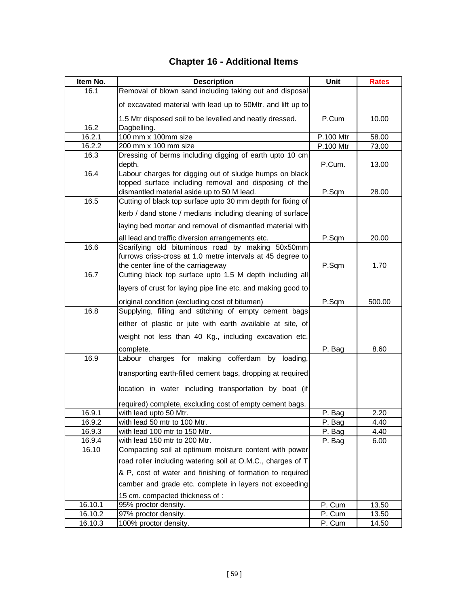| Item No. | <b>Description</b>                                                | Unit      | <b>Rates</b> |
|----------|-------------------------------------------------------------------|-----------|--------------|
| 16.1     | Removal of blown sand including taking out and disposal           |           |              |
|          | of excavated material with lead up to 50Mtr. and lift up to       |           |              |
|          | 1.5 Mtr disposed soil to be levelled and neatly dressed.          | P.Cum     | 10.00        |
| 16.2     | Dagbelling.                                                       |           |              |
| 16.2.1   | 100 mm x 100mm size                                               | P.100 Mtr | 58.00        |
| 16.2.2   | 200 mm x 100 mm size                                              | P.100 Mtr | 73.00        |
| 16.3     | Dressing of berms including digging of earth upto 10 cm<br>depth. | P.Cum.    | 13.00        |
| 16.4     | Labour charges for digging out of sludge humps on black           |           |              |
|          | topped surface including removal and disposing of the             |           |              |
|          | dismantled material aside up to 50 M lead.                        | P.Sqm     | 28.00        |
| 16.5     | Cutting of black top surface upto 30 mm depth for fixing of       |           |              |
|          | kerb / dand stone / medians including cleaning of surface         |           |              |
|          | laying bed mortar and removal of dismantled material with         |           |              |
|          | all lead and traffic diversion arrangements etc.                  | P.Sqm     | 20.00        |
| 16.6     | Scarifying old bituminous road by making 50x50mm                  |           |              |
|          | furrows criss-cross at 1.0 metre intervals at 45 degree to        |           |              |
|          | the center line of the carriageway                                | P.Sqm     | 1.70         |
| 16.7     | Cutting black top surface upto 1.5 M depth including all          |           |              |
|          | layers of crust for laying pipe line etc. and making good to      |           |              |
|          | original condition (excluding cost of bitumen)                    | P.Sqm     | 500.00       |
| 16.8     | Supplying, filling and stitching of empty cement bags             |           |              |
|          | either of plastic or jute with earth available at site, of        |           |              |
|          | weight not less than 40 Kg., including excavation etc.            |           |              |
|          | complete.                                                         | P. Bag    | 8.60         |
| 16.9     | Labour charges for making cofferdam by loading,                   |           |              |
|          | transporting earth-filled cement bags, dropping at required       |           |              |
|          | location in water including transportation by boat (if            |           |              |
|          | required) complete, excluding cost of empty cement bags.          |           |              |
| 16.9.1   | with lead upto 50 Mtr.                                            | P. Bag    | 2.20         |
| 16.9.2   | with lead 50 mtr to 100 Mtr.                                      | P. Bag    | 4.40         |
| 16.9.3   | with lead 100 mtr to 150 Mtr.                                     | P. Bag    | 4.40         |
| 16.9.4   | with lead 150 mtr to 200 Mtr.                                     | P. Bag    | 6.00         |
| 16.10    | Compacting soil at optimum moisture content with power            |           |              |
|          | road roller including watering soil at O.M.C., charges of T       |           |              |
|          | & P, cost of water and finishing of formation to required         |           |              |
|          | camber and grade etc. complete in layers not exceeding            |           |              |
|          | 15 cm. compacted thickness of :                                   |           |              |
| 16.10.1  | 95% proctor density.                                              | P. Cum    | 13.50        |
| 16.10.2  | 97% proctor density.                                              | P. Cum    | 13.50        |
| 16.10.3  | 100% proctor density.                                             | P. Cum    | 14.50        |

## **Chapter 16 - Additional Items**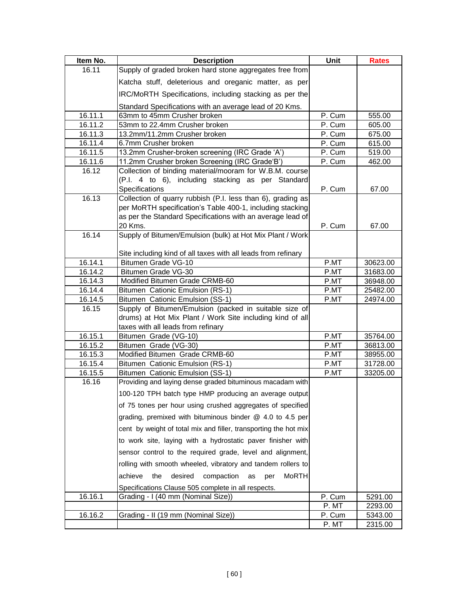| Item No. | <b>Description</b>                                                   | Unit   | <b>Rates</b> |
|----------|----------------------------------------------------------------------|--------|--------------|
| 16.11    | Supply of graded broken hard stone aggregates free from              |        |              |
|          | Katcha stuff, deleterious and oreganic matter, as per                |        |              |
|          | IRC/MoRTH Specifications, including stacking as per the              |        |              |
|          | Standard Specifications with an average lead of 20 Kms.              |        |              |
| 16.11.1  | 63mm to 45mm Crusher broken                                          | P. Cum | 555.00       |
| 16.11.2  | 53mm to 22.4mm Crusher broken                                        | P. Cum | 605.00       |
| 16.11.3  | 13.2mm/11.2mm Crusher broken                                         | P. Cum | 675.00       |
| 16.11.4  | 6.7mm Crusher broken                                                 | P. Cum | 615.00       |
| 16.11.5  | 13.2mm Crusher-broken screening (IRC Grade 'A')                      | P. Cum | 519.00       |
| 16.11.6  | 11.2mm Crusher broken Screening (IRC Grade'B')                       | P. Cum | 462.00       |
| 16.12    | Collection of binding material/mooram for W.B.M. course              |        |              |
|          | (P.I. 4 to 6), including stacking as per Standard                    |        |              |
|          | Specifications                                                       | P. Cum | 67.00        |
| 16.13    | Collection of quarry rubbish (P.I. less than 6), grading as          |        |              |
|          | per MoRTH specification's Table 400-1, including stacking            |        |              |
|          | as per the Standard Specifications with an average lead of           |        |              |
|          | 20 Kms.                                                              | P. Cum | 67.00        |
| 16.14    | Supply of Bitumen/Emulsion (bulk) at Hot Mix Plant / Work            |        |              |
|          |                                                                      |        |              |
|          | Site including kind of all taxes with all leads from refinary        |        |              |
| 16.14.1  | Bitumen Grade VG-10                                                  | P.MT   | 30623.00     |
| 16.14.2  | Bitumen Grade VG-30                                                  | P.MT   | 31683.00     |
| 16.14.3  | Modified Bitumen Grade CRMB-60                                       | P.MT   | 36948.00     |
| 16.14.4  | Bitumen Cationic Emulsion (RS-1)                                     | P.MT   | 25482.00     |
| 16.14.5  | Bitumen Cationic Emulsion (SS-1)                                     | P.MT   | 24974.00     |
| 16.15    | Supply of Bitumen/Emulsion (packed in suitable size of               |        |              |
|          | drums) at Hot Mix Plant / Work Site including kind of all            |        |              |
|          | taxes with all leads from refinary                                   |        |              |
| 16.15.1  | Bitumen Grade (VG-10)                                                | P.MT   | 35764.00     |
| 16.15.2  | Bitumen Grade (VG-30)                                                | P.MT   | 36813.00     |
| 16.15.3  | Modified Bitumen Grade CRMB-60                                       | P.MT   | 38955.00     |
| 16.15.4  | Bitumen Cationic Emulsion (RS-1)                                     | P.MT   | 31728.00     |
| 16.15.5  | Bitumen Cationic Emulsion (SS-1)                                     | P.MT   | 33205.00     |
| 16.16    | Providing and laying dense graded bituminous macadam with            |        |              |
|          | 100-120 TPH batch type HMP producing an average output               |        |              |
|          | of 75 tones per hour using crushed aggregates of specified           |        |              |
|          | grading, premixed with bituminous binder @ 4.0 to 4.5 per            |        |              |
|          | cent by weight of total mix and filler, transporting the hot mix     |        |              |
|          | to work site, laying with a hydrostatic paver finisher with          |        |              |
|          | sensor control to the required grade, level and alignment,           |        |              |
|          | rolling with smooth wheeled, vibratory and tandem rollers to         |        |              |
|          | <b>MoRTH</b><br>achieve<br>the<br>desired<br>compaction<br>as<br>per |        |              |
|          | Specifications Clause 505 complete in all respects.                  |        |              |
| 16.16.1  | Grading - I (40 mm (Nominal Size))                                   | P. Cum | 5291.00      |
|          |                                                                      | P. MT  | 2293.00      |
| 16.16.2  | Grading - II (19 mm (Nominal Size))                                  | P. Cum | 5343.00      |
|          |                                                                      | P. MT  | 2315.00      |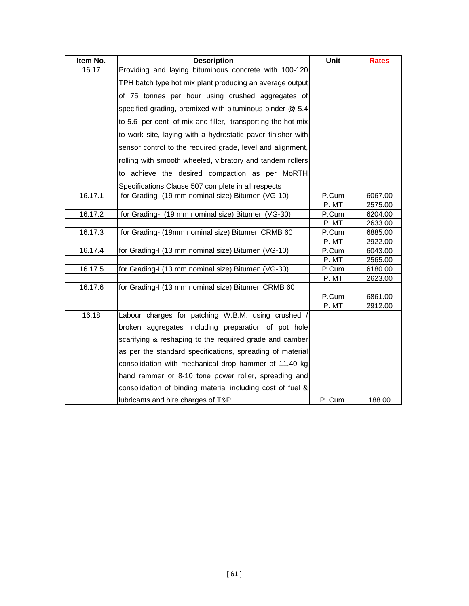| Item No. | <b>Description</b>                                          | <b>Unit</b> | <b>Rates</b> |
|----------|-------------------------------------------------------------|-------------|--------------|
| 16.17    | Providing and laying bituminous concrete with 100-120       |             |              |
|          | TPH batch type hot mix plant producing an average output    |             |              |
|          | of 75 tonnes per hour using crushed aggregates of           |             |              |
|          | specified grading, premixed with bituminous binder @ 5.4    |             |              |
|          | to 5.6 per cent of mix and filler, transporting the hot mix |             |              |
|          | to work site, laying with a hydrostatic paver finisher with |             |              |
|          | sensor control to the required grade, level and alignment,  |             |              |
|          | rolling with smooth wheeled, vibratory and tandem rollers   |             |              |
|          | to achieve the desired compaction as per MoRTH              |             |              |
|          | Specifications Clause 507 complete in all respects          |             |              |
| 16.17.1  | for Grading-I(19 mm nominal size) Bitumen (VG-10)           | P.Cum       | 6067.00      |
|          |                                                             | P. MT       | 2575.00      |
| 16.17.2  | for Grading-I (19 mm nominal size) Bitumen (VG-30)          | P.Cum       | 6204.00      |
|          |                                                             | P. MT       | 2633.00      |
| 16.17.3  | for Grading-I(19mm nominal size) Bitumen CRMB 60            | P.Cum       | 6885.00      |
|          |                                                             | P. MT       | 2922.00      |
| 16.17.4  | for Grading-II(13 mm nominal size) Bitumen (VG-10)          | P.Cum       | 6043.00      |
|          |                                                             | P. MT       | 2565.00      |
| 16.17.5  | for Grading-II(13 mm nominal size) Bitumen (VG-30)          | P.Cum       | 6180.00      |
|          |                                                             | P. MT       | 2623.00      |
| 16.17.6  | for Grading-II(13 mm nominal size) Bitumen CRMB 60          |             |              |
|          |                                                             | P.Cum       | 6861.00      |
|          |                                                             | P. MT       | 2912.00      |
| 16.18    | Labour charges for patching W.B.M. using crushed            |             |              |
|          | broken aggregates including preparation of pot hole         |             |              |
|          | scarifying & reshaping to the required grade and camber     |             |              |
|          | as per the standard specifications, spreading of material   |             |              |
|          | consolidation with mechanical drop hammer of 11.40 kg       |             |              |
|          | hand rammer or 8-10 tone power roller, spreading and        |             |              |
|          | consolidation of binding material including cost of fuel &  |             |              |
|          | lubricants and hire charges of T&P.                         | P. Cum.     | 188.00       |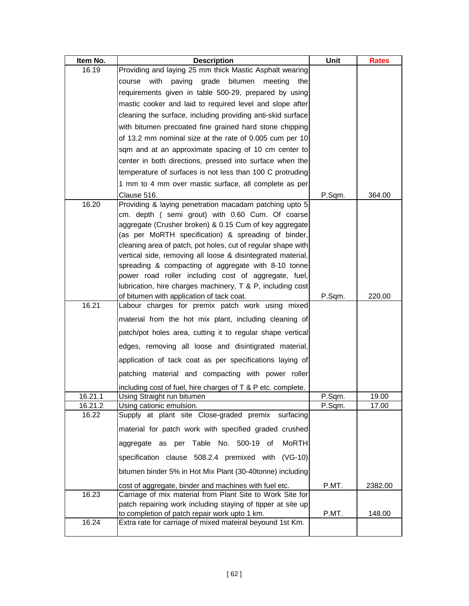| Item No.         | <b>Description</b>                                                                                                 | Unit   | <b>Rates</b> |
|------------------|--------------------------------------------------------------------------------------------------------------------|--------|--------------|
| 16.19            | Providing and laying 25 mm thick Mastic Asphalt wearing                                                            |        |              |
|                  | paving grade<br>bitumen<br>with<br>meeting<br>course<br>the                                                        |        |              |
|                  | requirements given in table 500-29, prepared by using                                                              |        |              |
|                  | mastic cooker and laid to required level and slope after                                                           |        |              |
|                  | cleaning the surface, including providing anti-skid surface                                                        |        |              |
|                  | with bitumen precoated fine grained hard stone chipping                                                            |        |              |
|                  | of 13.2 mm nominal size at the rate of 0.005 cum per 10                                                            |        |              |
|                  | sqm and at an approximate spacing of 10 cm center to                                                               |        |              |
|                  | center in both directions, pressed into surface when the                                                           |        |              |
|                  | temperature of surfaces is not less than 100 C protruding                                                          |        |              |
|                  | 1 mm to 4 mm over mastic surface, all complete as per                                                              |        |              |
|                  | Clause 516.                                                                                                        | P.Sqm. | 364.00       |
| 16.20            | Providing & laying penetration macadam patching upto 5                                                             |        |              |
|                  | cm. depth (semi grout) with 0.60 Cum. Of coarse                                                                    |        |              |
|                  | aggregate (Crusher broken) & 0.15 Cum of key aggregate<br>(as per MoRTH specification) & spreading of binder,      |        |              |
|                  | cleaning area of patch, pot holes, cut of regular shape with                                                       |        |              |
|                  | vertical side, removing all loose & disintegrated material,                                                        |        |              |
|                  | spreading & compacting of aggregate with 8-10 tonne                                                                |        |              |
|                  | power road roller including cost of aggregate, fuel,                                                               |        |              |
|                  | lubrication, hire charges machinery, T & P, including cost                                                         |        |              |
|                  | of bitumen with application of tack coat.                                                                          | P.Sqm. | 220.00       |
| 16.21            | Labour charges for premix patch work using mixed                                                                   |        |              |
|                  | material from the hot mix plant, including cleaning of                                                             |        |              |
|                  | patch/pot holes area, cutting it to regular shape vertical                                                         |        |              |
|                  | edges, removing all loose and disintigrated material,                                                              |        |              |
|                  | application of tack coat as per specifications laying of                                                           |        |              |
|                  | patching material and compacting with power roller                                                                 |        |              |
|                  | including cost of fuel, hire charges of T & P etc. complete.                                                       |        |              |
| 16.21.1          | Using Straight run bitumen                                                                                         | P.Sqm. | 19.00        |
| 16.21.2<br>16.22 | Using cationic emulsion.<br>Supply at plant site Close-graded premix surfacing                                     | P.Sqm. | 17.00        |
|                  | material for patch work with specified graded crushed                                                              |        |              |
|                  | aggregate as per Table No. 500-19 of<br>MoRTH                                                                      |        |              |
|                  | specification clause 508.2.4 premixed with (VG-10)                                                                 |        |              |
|                  | bitumen binder 5% in Hot Mix Plant (30-40tonne) including                                                          |        |              |
|                  |                                                                                                                    |        |              |
| 16.23            | cost of aggregate, binder and machines with fuel etc.<br>Carriage of mix material from Plant Site to Work Site for | P.MT.  | 2382.00      |
|                  | patch repairing work including staying of tipper at site up                                                        |        |              |
|                  | to completion of patch repair work upto 1 km.                                                                      | P.MT.  | 148.00       |
| 16.24            | Extra rate for carriage of mixed mateiral beyound 1st Km.                                                          |        |              |
|                  |                                                                                                                    |        |              |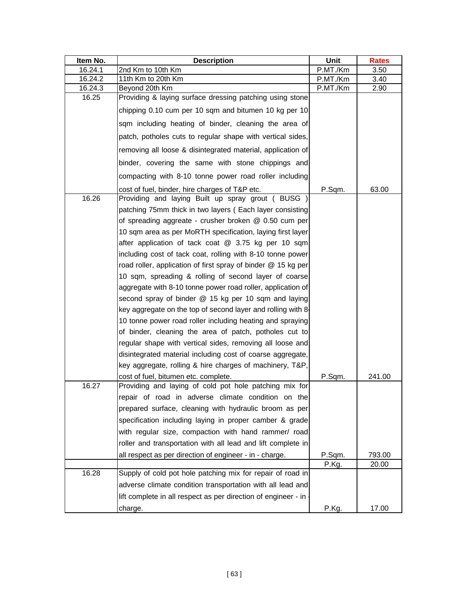| Item No. | <b>Description</b>                                             | <b>Unit</b> | <b>Rates</b> |
|----------|----------------------------------------------------------------|-------------|--------------|
| 16.24.1  | 2nd Km to 10th Km                                              | P.MT./Km    | 3.50         |
| 16.24.2  | 11th Km to 20th Km                                             | P.MT./Km    | 3.40         |
| 16.24.3  | Beyond 20th Km                                                 | P.MT./Km    | 2.90         |
| 16.25    | Providing & laying surface dressing patching using stone       |             |              |
|          | chipping 0.10 cum per 10 sqm and bitumen 10 kg per 10          |             |              |
|          | sqm including heating of binder, cleaning the area of          |             |              |
|          | patch, potholes cuts to regular shape with vertical sides,     |             |              |
|          | removing all loose & disintegrated material, application of    |             |              |
|          | binder, covering the same with stone chippings and             |             |              |
|          | compacting with 8-10 tonne power road roller including         |             |              |
|          | cost of fuel, binder, hire charges of T&P etc.                 | P.Sqm.      | 63.00        |
| 16.26    | Providing and laying Built up spray grout (BUSG)               |             |              |
|          | patching 75mm thick in two layers ( Each layer consisting      |             |              |
|          | of spreading aggreate - crusher broken @ 0.50 cum per          |             |              |
|          | 10 sqm area as per MoRTH specification, laying first layer     |             |              |
|          | after application of tack coat @ 3.75 kg per 10 sqm            |             |              |
|          | including cost of tack coat, rolling with 8-10 tonne power     |             |              |
|          | road roller, application of first spray of binder @ 15 kg per  |             |              |
|          | 10 sqm, spreading & rolling of second layer of coarse          |             |              |
|          | aggregate with 8-10 tonne power road roller, application of    |             |              |
|          | second spray of binder @ 15 kg per 10 sqm and laying           |             |              |
|          | key aggregate on the top of second layer and rolling with 8-   |             |              |
|          | 10 tonne power road roller including heating and spraying      |             |              |
|          | of binder, cleaning the area of patch, potholes cut to         |             |              |
|          |                                                                |             |              |
|          | regular shape with vertical sides, removing all loose and      |             |              |
|          | disintegrated material including cost of coarse aggregate,     |             |              |
|          | key aggregate, rolling & hire charges of machinery, T&P,       |             |              |
| 16.27    | cost of fuel, bitumen etc. complete.                           | P.Sqm.      | 241.00       |
|          | Providing and laying of cold pot hole patching mix for         |             |              |
|          | repair of road in adverse climate condition on the             |             |              |
|          | prepared surface, cleaning with hydraulic broom as per         |             |              |
|          | specification including laying in proper camber & grade        |             |              |
|          | with regular size, compaction with hand rammer/ road           |             |              |
|          | roller and transportation with all lead and lift complete in   |             |              |
|          | all respect as per direction of engineer - in - charge.        | P.Sqm.      | 793.00       |
|          |                                                                | P.Kg.       | 20.00        |
| 16.28    | Supply of cold pot hole patching mix for repair of road in     |             |              |
|          | adverse climate condition transportation with all lead and     |             |              |
|          | lift complete in all respect as per direction of engineer - in |             |              |
|          | charge.                                                        | P.Kg.       | 17.00        |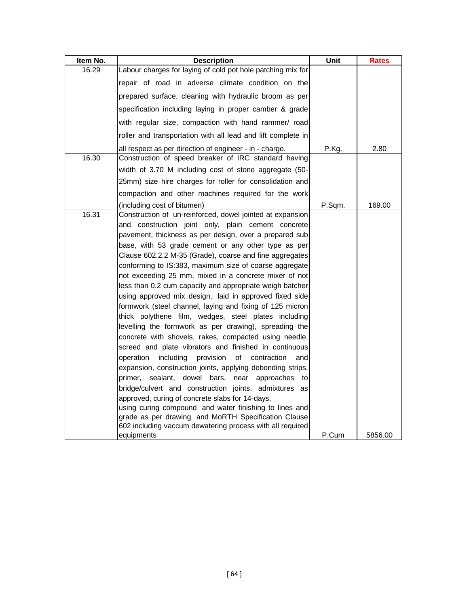| Item No. | <b>Description</b>                                                                                               | <b>Unit</b> | Rates   |
|----------|------------------------------------------------------------------------------------------------------------------|-------------|---------|
| 16.29    | Labour charges for laying of cold pot hole patching mix for                                                      |             |         |
|          | repair of road in adverse climate condition on the                                                               |             |         |
|          | prepared surface, cleaning with hydraulic broom as per                                                           |             |         |
|          | specification including laying in proper camber & grade                                                          |             |         |
|          | with regular size, compaction with hand rammer/ road                                                             |             |         |
|          | roller and transportation with all lead and lift complete in                                                     |             |         |
|          | all respect as per direction of engineer - in - charge.                                                          | P.Kg.       | 2.80    |
| 16.30    | Construction of speed breaker of IRC standard having                                                             |             |         |
|          | width of 3.70 M including cost of stone aggregate (50-                                                           |             |         |
|          | 25mm) size hire charges for roller for consolidation and                                                         |             |         |
|          | compaction and other machines required for the work                                                              |             |         |
|          | (including cost of bitumen)                                                                                      | P.Sqm.      | 169.00  |
| 16.31    | Construction of un-reinforced, dowel jointed at expansion                                                        |             |         |
|          | and construction joint only, plain cement concrete                                                               |             |         |
|          | pavement, thickness as per design, over a prepared sub                                                           |             |         |
|          | base, with 53 grade cement or any other type as per                                                              |             |         |
|          | Clause 602.2.2 M-35 (Grade), coarse and fine aggregates                                                          |             |         |
|          | conforming to IS:383, maximum size of coarse aggregate                                                           |             |         |
|          | not exceeding 25 mm, mixed in a concrete mixer of not                                                            |             |         |
|          | less than 0.2 cum capacity and appropriate weigh batcher                                                         |             |         |
|          | using approved mix design, laid in approved fixed side                                                           |             |         |
|          | formwork (steel channel, laying and fixing of 125 micron                                                         |             |         |
|          | thick polythene film, wedges, steel plates including                                                             |             |         |
|          | levelling the formwork as per drawing), spreading the                                                            |             |         |
|          | concrete with shovels, rakes, compacted using needle,                                                            |             |         |
|          | screed and plate vibrators and finished in continuous                                                            |             |         |
|          | operation<br>including<br>provision<br>of<br>contraction<br>and                                                  |             |         |
|          | expansion, construction joints, applying debonding strips,                                                       |             |         |
|          | sealant, dowel bars, near approaches<br>primer.<br>to                                                            |             |         |
|          | bridge/culvert and construction joints, admixtures as                                                            |             |         |
|          | approved, curing of concrete slabs for 14-days,                                                                  |             |         |
|          | using curing compound and water finishing to lines and                                                           |             |         |
|          | grade as per drawing and MoRTH Specification Clause<br>602 including vaccum dewatering process with all required |             |         |
|          | equipments                                                                                                       | P.Cum       | 5856.00 |
|          |                                                                                                                  |             |         |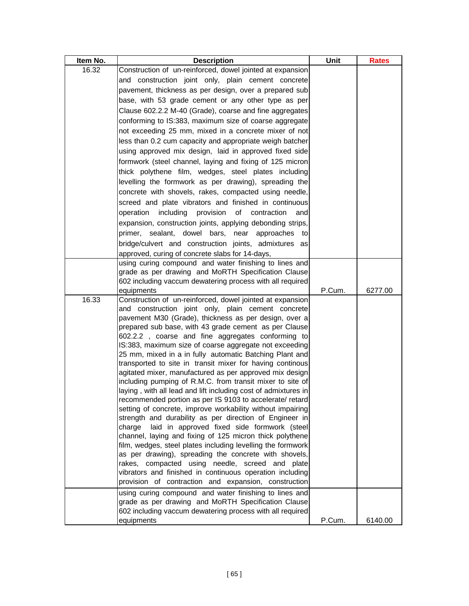| Item No. | <b>Description</b>                                                                                                    | Unit   | <b>Rates</b> |
|----------|-----------------------------------------------------------------------------------------------------------------------|--------|--------------|
| 16.32    | Construction of un-reinforced, dowel jointed at expansion                                                             |        |              |
|          | and construction joint only, plain cement concrete                                                                    |        |              |
|          | pavement, thickness as per design, over a prepared sub                                                                |        |              |
|          | base, with 53 grade cement or any other type as per                                                                   |        |              |
|          | Clause 602.2.2 M-40 (Grade), coarse and fine aggregates                                                               |        |              |
|          | conforming to IS:383, maximum size of coarse aggregate                                                                |        |              |
|          | not exceeding 25 mm, mixed in a concrete mixer of not                                                                 |        |              |
|          | less than 0.2 cum capacity and appropriate weigh batcher                                                              |        |              |
|          | using approved mix design, laid in approved fixed side                                                                |        |              |
|          | formwork (steel channel, laying and fixing of 125 micron                                                              |        |              |
|          | thick polythene film, wedges, steel plates including                                                                  |        |              |
|          | levelling the formwork as per drawing), spreading the                                                                 |        |              |
|          | concrete with shovels, rakes, compacted using needle,                                                                 |        |              |
|          | screed and plate vibrators and finished in continuous                                                                 |        |              |
|          | operation<br>including<br>provision<br>of<br>contraction<br>andl                                                      |        |              |
|          |                                                                                                                       |        |              |
|          | expansion, construction joints, applying debonding strips,                                                            |        |              |
|          | primer, sealant, dowel bars, near approaches to                                                                       |        |              |
|          | bridge/culvert and construction joints, admixtures as                                                                 |        |              |
|          | approved, curing of concrete slabs for 14-days,                                                                       |        |              |
|          | using curing compound and water finishing to lines and                                                                |        |              |
|          | grade as per drawing and MoRTH Specification Clause                                                                   |        |              |
|          | 602 including vaccum dewatering process with all required                                                             | P.Cum. |              |
| 16.33    | equipments<br>Construction of un-reinforced, dowel jointed at expansion                                               |        | 6277.00      |
|          | and construction joint only, plain cement concrete                                                                    |        |              |
|          | pavement M30 (Grade), thickness as per design, over a                                                                 |        |              |
|          | prepared sub base, with 43 grade cement as per Clause                                                                 |        |              |
|          | 602.2.2, coarse and fine aggregates conforming to                                                                     |        |              |
|          | IS:383, maximum size of coarse aggregate not exceeding                                                                |        |              |
|          | 25 mm, mixed in a in fully automatic Batching Plant and                                                               |        |              |
|          | transported to site in transit mixer for having continous                                                             |        |              |
|          | agitated mixer, manufactured as per approved mix design                                                               |        |              |
|          | including pumping of R.M.C. from transit mixer to site of                                                             |        |              |
|          | laying, with all lead and lift including cost of admixtures in                                                        |        |              |
|          | recommended portion as per IS 9103 to accelerate/ retard                                                              |        |              |
|          | setting of concrete, improve workability without impairing<br>strength and durability as per direction of Engineer in |        |              |
|          | laid in approved fixed side formwork (steel<br>charge                                                                 |        |              |
|          | channel, laying and fixing of 125 micron thick polythene                                                              |        |              |
|          | film, wedges, steel plates including levelling the formwork                                                           |        |              |
|          | as per drawing), spreading the concrete with shovels,                                                                 |        |              |
|          | rakes, compacted using needle, screed and plate                                                                       |        |              |
|          | vibrators and finished in continuous operation including                                                              |        |              |
|          | provision of contraction and expansion, construction                                                                  |        |              |
|          | using curing compound and water finishing to lines and                                                                |        |              |
|          | grade as per drawing and MoRTH Specification Clause                                                                   |        |              |
|          | 602 including vaccum dewatering process with all required                                                             |        |              |
|          | equipments                                                                                                            | P.Cum. | 6140.00      |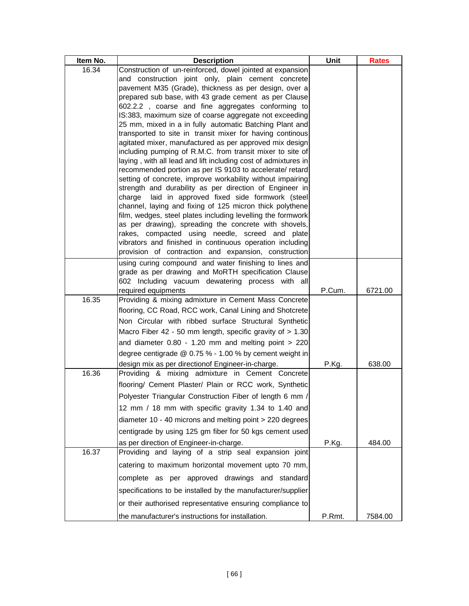| Item No. | <b>Description</b>                                                                                                         | Unit   | <b>Rates</b> |
|----------|----------------------------------------------------------------------------------------------------------------------------|--------|--------------|
| 16.34    | Construction of un-reinforced, dowel jointed at expansion                                                                  |        |              |
|          | and construction joint only, plain cement concrete                                                                         |        |              |
|          | pavement M35 (Grade), thickness as per design, over a<br>prepared sub base, with 43 grade cement as per Clause             |        |              |
|          | 602.2.2, coarse and fine aggregates conforming to                                                                          |        |              |
|          | IS:383, maximum size of coarse aggregate not exceeding                                                                     |        |              |
|          | 25 mm, mixed in a in fully automatic Batching Plant and                                                                    |        |              |
|          | transported to site in transit mixer for having continous                                                                  |        |              |
|          | agitated mixer, manufactured as per approved mix design                                                                    |        |              |
|          | including pumping of R.M.C. from transit mixer to site of                                                                  |        |              |
|          | laying, with all lead and lift including cost of admixtures in<br>recommended portion as per IS 9103 to accelerate/ retard |        |              |
|          | setting of concrete, improve workability without impairing                                                                 |        |              |
|          | strength and durability as per direction of Engineer in                                                                    |        |              |
|          | laid in approved fixed side formwork (steel<br>charge                                                                      |        |              |
|          | channel, laying and fixing of 125 micron thick polythene                                                                   |        |              |
|          | film, wedges, steel plates including levelling the formwork                                                                |        |              |
|          | as per drawing), spreading the concrete with shovels,<br>rakes, compacted using needle, screed and plate                   |        |              |
|          | vibrators and finished in continuous operation including                                                                   |        |              |
|          | provision of contraction and expansion, construction                                                                       |        |              |
|          | using curing compound and water finishing to lines and                                                                     |        |              |
|          | grade as per drawing and MoRTH specification Clause                                                                        |        |              |
|          | 602 Including vacuum dewatering process with all                                                                           |        |              |
|          | required equipments                                                                                                        | P.Cum. | 6721.00      |
| 16.35    | Providing & mixing admixture in Cement Mass Concrete                                                                       |        |              |
|          | flooring, CC Road, RCC work, Canal Lining and Shotcrete                                                                    |        |              |
|          | Non Circular with ribbed surface Structural Synthetic                                                                      |        |              |
|          | Macro Fiber 42 - 50 mm length, specific gravity of > 1.30                                                                  |        |              |
|          | and diameter 0.80 - 1.20 mm and melting point > 220                                                                        |        |              |
|          | degree centigrade @ 0.75 % - 1.00 % by cement weight in<br>design mix as per directionof Engineer-in-charge.               | P.Kg.  | 638.00       |
| 16.36    | Providing & mixing admixture in Cement Concrete                                                                            |        |              |
|          | flooring/ Cement Plaster/ Plain or RCC work, Synthetic                                                                     |        |              |
|          | Polyester Triangular Construction Fiber of length 6 mm /                                                                   |        |              |
|          | 12 mm / 18 mm with specific gravity 1.34 to 1.40 and                                                                       |        |              |
|          | diameter 10 - 40 microns and melting point > 220 degrees                                                                   |        |              |
|          | centigrade by using 125 gm fiber for 50 kgs cement used                                                                    |        |              |
|          | as per direction of Engineer-in-charge.                                                                                    | P.Kg.  | 484.00       |
| 16.37    | Providing and laying of a strip seal expansion joint                                                                       |        |              |
|          | catering to maximum horizontal movement upto 70 mm,                                                                        |        |              |
|          | complete as per approved drawings and standard                                                                             |        |              |
|          | specifications to be installed by the manufacturer/supplier                                                                |        |              |
|          | or their authorised representative ensuring compliance to                                                                  |        |              |
|          | the manufacturer's instructions for installation.                                                                          | P.Rmt. | 7584.00      |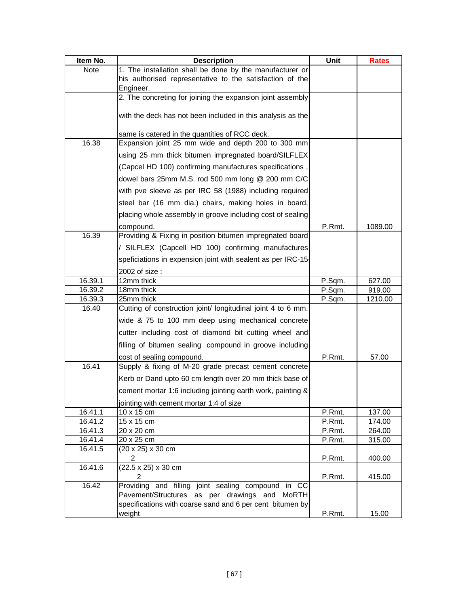| Item No. | <b>Description</b>                                           | Unit   | <b>Rates</b> |
|----------|--------------------------------------------------------------|--------|--------------|
| Note     | 1. The installation shall be done by the manufacturer or     |        |              |
|          | his authorised representative to the satisfaction of the     |        |              |
|          | Engineer.                                                    |        |              |
|          | 2. The concreting for joining the expansion joint assembly   |        |              |
|          | with the deck has not been included in this analysis as the  |        |              |
|          |                                                              |        |              |
|          | same is catered in the quantities of RCC deck.               |        |              |
| 16.38    | Expansion joint 25 mm wide and depth 200 to 300 mm           |        |              |
|          | using 25 mm thick bitumen impregnated board/SILFLEX          |        |              |
|          | (Capcel HD 100) confirming manufactures specifications,      |        |              |
|          | dowel bars 25mm M.S. rod 500 mm long @ 200 mm C/C            |        |              |
|          | with pve sleeve as per IRC 58 (1988) including required      |        |              |
|          | steel bar (16 mm dia.) chairs, making holes in board,        |        |              |
|          | placing whole assembly in groove including cost of sealing   |        |              |
|          | compound.                                                    | P.Rmt. | 1089.00      |
| 16.39    | Providing & Fixing in position bitumen impregnated board     |        |              |
|          | / SILFLEX (Capcell HD 100) confirming manufactures           |        |              |
|          | speficiations in expension joint with sealent as per IRC-15  |        |              |
|          | 2002 of size :                                               |        |              |
| 16.39.1  | 12mm thick                                                   | P.Sqm. | 627.00       |
| 16.39.2  | 18mm thick                                                   | P.Sqm. | 919.00       |
| 16.39.3  | 25mm thick                                                   | P.Sqm. | 1210.00      |
| 16.40    | Cutting of construction joint/ longitudinal joint 4 to 6 mm. |        |              |
|          | wide & 75 to 100 mm deep using mechanical concrete           |        |              |
|          | cutter including cost of diamond bit cutting wheel and       |        |              |
|          | filling of bitumen sealing compound in groove including      |        |              |
|          | cost of sealing compound.                                    | P.Rmt. | 57.00        |
| 16.41    | Supply & fixing of M-20 grade precast cement concrete        |        |              |
|          | Kerb or Dand upto 60 cm length over 20 mm thick base of      |        |              |
|          | cement mortar 1:6 including jointing earth work, painting &  |        |              |
|          | jointing with cement mortar 1:4 of size                      |        |              |
| 16.41.1  | 10 x 15 cm                                                   | P.Rmt. | 137.00       |
| 16.41.2  | 15 x 15 cm                                                   | P.Rmt. | 174.00       |
| 16.41.3  | 20 x 20 cm                                                   | P.Rmt. | 264.00       |
| 16.41.4  | 20 x 25 cm                                                   | P.Rmt. | 315.00       |
| 16.41.5  | (20 x 25) x 30 cm<br>$\overline{2}$                          | P.Rmt. | 400.00       |
| 16.41.6  | (22.5 x 25) x 30 cm                                          |        |              |
|          | $\overline{2}$                                               | P.Rmt. | 415.00       |
| 16.42    | Providing and filling joint sealing compound in CC           |        |              |
|          | Pavement/Structures as per drawings and MoRTH                |        |              |
|          | specifications with coarse sand and 6 per cent bitumen by    |        |              |
|          | weight                                                       | P.Rmt. | 15.00        |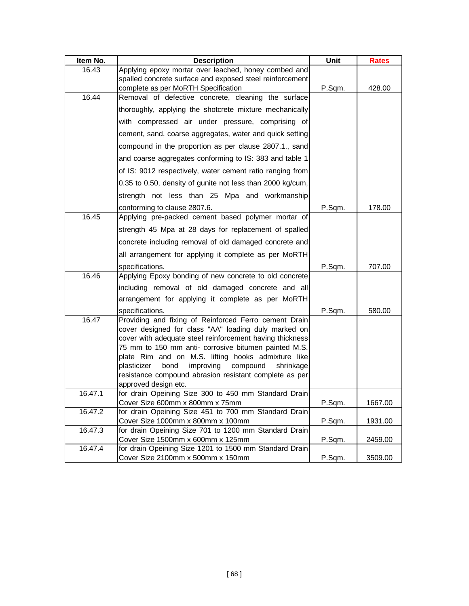| Item No. | <b>Description</b>                                                                                                  | Unit   | <b>Rates</b> |
|----------|---------------------------------------------------------------------------------------------------------------------|--------|--------------|
| 16.43    | Applying epoxy mortar over leached, honey combed and                                                                |        |              |
|          | spalled concrete surface and exposed steel reinforcement                                                            |        |              |
| 16.44    | complete as per MoRTH Specification                                                                                 | P.Sqm. | 428.00       |
|          | Removal of defective concrete, cleaning the surface                                                                 |        |              |
|          | thoroughly, applying the shotcrete mixture mechanically                                                             |        |              |
|          | with compressed air under pressure, comprising of                                                                   |        |              |
|          | cement, sand, coarse aggregates, water and quick setting                                                            |        |              |
|          | compound in the proportion as per clause 2807.1., sand                                                              |        |              |
|          | and coarse aggregates conforming to IS: 383 and table 1                                                             |        |              |
|          | of IS: 9012 respectively, water cement ratio ranging from                                                           |        |              |
|          | 0.35 to 0.50, density of gunite not less than 2000 kg/cum,                                                          |        |              |
|          | strength not less than 25 Mpa and workmanship                                                                       |        |              |
|          | conforming to clause 2807.6.                                                                                        | P.Sqm. | 178.00       |
| 16.45    | Applying pre-packed cement based polymer mortar of                                                                  |        |              |
|          | strength 45 Mpa at 28 days for replacement of spalled                                                               |        |              |
|          | concrete including removal of old damaged concrete and                                                              |        |              |
|          | all arrangement for applying it complete as per MoRTH                                                               |        |              |
|          | specifications.                                                                                                     | P.Sqm. | 707.00       |
| 16.46    | Applying Epoxy bonding of new concrete to old concrete                                                              |        |              |
|          | including removal of old damaged concrete and all                                                                   |        |              |
|          | arrangement for applying it complete as per MoRTH                                                                   |        |              |
|          | specifications.                                                                                                     | P.Sqm. | 580.00       |
| 16.47    | Providing and fixing of Reinforced Ferro cement Drain                                                               |        |              |
|          | cover designed for class "AA" loading duly marked on                                                                |        |              |
|          | cover with adequate steel reinforcement having thickness                                                            |        |              |
|          | 75 mm to 150 mm anti- corrosive bitumen painted M.S.                                                                |        |              |
|          | plate Rim and on M.S. lifting hooks admixture like                                                                  |        |              |
|          | plasticizer<br>improving<br>compound<br>bond<br>shrinkage<br>resistance compound abrasion resistant complete as per |        |              |
|          | approved design etc.                                                                                                |        |              |
| 16.47.1  | for drain Opeining Size 300 to 450 mm Standard Drain                                                                |        |              |
|          | Cover Size 600mm x 800mm x 75mm                                                                                     | P.Sqm. | 1667.00      |
| 16.47.2  | for drain Opeining Size 451 to 700 mm Standard Drain                                                                |        |              |
|          | Cover Size 1000mm x 800mm x 100mm                                                                                   | P.Sqm. | 1931.00      |
| 16.47.3  | for drain Opeining Size 701 to 1200 mm Standard Drain                                                               |        |              |
|          | Cover Size 1500mm x 600mm x 125mm                                                                                   | P.Sqm. | 2459.00      |
| 16.47.4  | for drain Opeining Size 1201 to 1500 mm Standard Drain                                                              |        |              |
|          | Cover Size 2100mm x 500mm x 150mm                                                                                   | P.Sqm. | 3509.00      |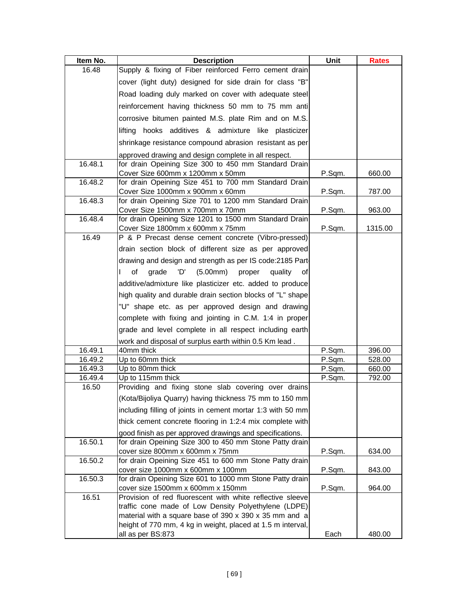| Item No.           | <b>Description</b>                                                                            | Unit             | <b>Rates</b>     |
|--------------------|-----------------------------------------------------------------------------------------------|------------------|------------------|
| 16.48              | Supply & fixing of Fiber reinforced Ferro cement drain                                        |                  |                  |
|                    | cover (light duty) designed for side drain for class "B"                                      |                  |                  |
|                    | Road loading duly marked on cover with adequate steel                                         |                  |                  |
|                    | reinforcement having thickness 50 mm to 75 mm anti                                            |                  |                  |
|                    | corrosive bitumen painted M.S. plate Rim and on M.S.                                          |                  |                  |
|                    | lifting hooks additives & admixture like plasticizer                                          |                  |                  |
|                    | shrinkage resistance compound abrasion resistant as per                                       |                  |                  |
|                    | approved drawing and design complete in all respect.                                          |                  |                  |
| 16.48.1            | for drain Opeining Size 300 to 450 mm Standard Drain                                          |                  |                  |
|                    | Cover Size 600mm x 1200mm x 50mm                                                              | P.Sqm.           | 660.00           |
| 16.48.2            | for drain Opeining Size 451 to 700 mm Standard Drain                                          |                  |                  |
| 16.48.3            | Cover Size 1000mm x 900mm x 60mm<br>for drain Opeining Size 701 to 1200 mm Standard Drain     | P.Sqm.           | 787.00           |
|                    | Cover Size 1500mm x 700mm x 70mm                                                              | P.Sqm.           | 963.00           |
| 16.48.4            | for drain Opeining Size 1201 to 1500 mm Standard Drain                                        |                  |                  |
|                    | Cover Size 1800mm x 600mm x 75mm                                                              | P.Sqm.           | 1315.00          |
| 16.49              | P & P Precast dense cement concrete (Vibro-pressed)                                           |                  |                  |
|                    | drain section block of different size as per approved                                         |                  |                  |
|                    | drawing and design and strength as per IS code: 2185 Part-                                    |                  |                  |
|                    | of<br>(5.00mm)<br>grade<br>'D'<br>proper<br>quality<br>οf                                     |                  |                  |
|                    | additive/admixture like plasticizer etc. added to produce                                     |                  |                  |
|                    | high quality and durable drain section blocks of "L" shape                                    |                  |                  |
|                    | "U" shape etc. as per approved design and drawing                                             |                  |                  |
|                    | complete with fixing and jointing in C.M. 1:4 in proper                                       |                  |                  |
|                    | grade and level complete in all respect including earth                                       |                  |                  |
|                    | work and disposal of surplus earth within 0.5 Km lead.                                        |                  |                  |
| 16.49.1            | 40mm thick                                                                                    | P.Sqm.           | 396.00           |
| 16.49.2            | Up to 60mm thick<br>Up to 80mm thick                                                          | P.Sqm.           | 528.00           |
| 16.49.3<br>16.49.4 | Up to 115mm thick                                                                             | P.Sqm.<br>P.Sqm. | 660.00<br>792.00 |
| 16.50              | Providing and fixing stone slab covering over drains                                          |                  |                  |
|                    | (Kota/Bijoliya Quarry) having thickness 75 mm to 150 mm                                       |                  |                  |
|                    | including filling of joints in cement mortar 1:3 with 50 mm                                   |                  |                  |
|                    | thick cement concrete flooring in 1:2:4 mix complete with                                     |                  |                  |
|                    | good finish as per approved drawings and specifications.                                      |                  |                  |
| 16.50.1            | for drain Opeining Size 300 to 450 mm Stone Patty drain                                       |                  |                  |
|                    | cover size 800mm x 600mm x 75mm                                                               | P.Sqm.           | 634.00           |
| 16.50.2            | for drain Opeining Size 451 to 600 mm Stone Patty drain                                       |                  |                  |
|                    | cover size 1000mm x 600mm x 100mm                                                             | P.Sqm.           | 843.00           |
| 16.50.3            | for drain Opeining Size 601 to 1000 mm Stone Patty drain<br>cover size 1500mm x 600mm x 150mm | P.Sqm.           | 964.00           |
| 16.51              | Provision of red fluorescent with white reflective sleeve                                     |                  |                  |
|                    | traffic cone made of Low Density Polyethylene (LDPE)                                          |                  |                  |
|                    | material with a square base of 390 x 390 x 35 mm and a                                        |                  |                  |
|                    | height of 770 mm, 4 kg in weight, placed at 1.5 m interval,                                   |                  |                  |
|                    | all as per BS:873                                                                             | Each             | 480.00           |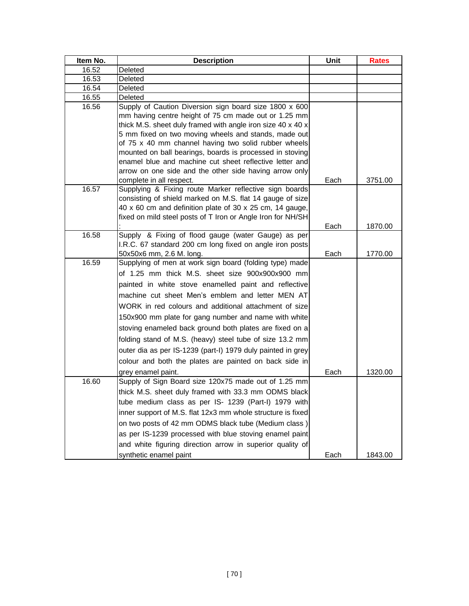| Item No. | <b>Description</b>                                                                                                                                                                                                                                                                                                                                                                                                                                                                                                                                                                                             | Unit | <b>Rates</b> |
|----------|----------------------------------------------------------------------------------------------------------------------------------------------------------------------------------------------------------------------------------------------------------------------------------------------------------------------------------------------------------------------------------------------------------------------------------------------------------------------------------------------------------------------------------------------------------------------------------------------------------------|------|--------------|
| 16.52    | Deleted                                                                                                                                                                                                                                                                                                                                                                                                                                                                                                                                                                                                        |      |              |
| 16.53    | Deleted                                                                                                                                                                                                                                                                                                                                                                                                                                                                                                                                                                                                        |      |              |
| 16.54    | Deleted                                                                                                                                                                                                                                                                                                                                                                                                                                                                                                                                                                                                        |      |              |
| 16.55    | Deleted                                                                                                                                                                                                                                                                                                                                                                                                                                                                                                                                                                                                        |      |              |
| 16.56    | Supply of Caution Diversion sign board size 1800 x 600<br>mm having centre height of 75 cm made out or 1.25 mm<br>thick M.S. sheet duly framed with angle iron size 40 x 40 x<br>5 mm fixed on two moving wheels and stands, made out<br>of 75 x 40 mm channel having two solid rubber wheels<br>mounted on ball bearings, boards is processed in stoving<br>enamel blue and machine cut sheet reflective letter and<br>arrow on one side and the other side having arrow only                                                                                                                                 |      |              |
|          | complete in all respect.                                                                                                                                                                                                                                                                                                                                                                                                                                                                                                                                                                                       | Each | 3751.00      |
| 16.57    | Supplying & Fixing route Marker reflective sign boards<br>consisting of shield marked on M.S. flat 14 gauge of size<br>40 x 60 cm and definition plate of 30 x 25 cm, 14 gauge,<br>fixed on mild steel posts of T Iron or Angle Iron for NH/SH                                                                                                                                                                                                                                                                                                                                                                 |      |              |
| 16.58    | Supply & Fixing of flood gauge (water Gauge) as per                                                                                                                                                                                                                                                                                                                                                                                                                                                                                                                                                            | Each | 1870.00      |
|          | I.R.C. 67 standard 200 cm long fixed on angle iron posts<br>50x50x6 mm, 2.6 M. long.                                                                                                                                                                                                                                                                                                                                                                                                                                                                                                                           | Each | 1770.00      |
| 16.59    | Supplying of men at work sign board (folding type) made<br>of 1.25 mm thick M.S. sheet size 900x900x900 mm<br>painted in white stove enamelled paint and reflective<br>machine cut sheet Men's emblem and letter MEN AT<br>WORK in red colours and additional attachment of size<br>150x900 mm plate for gang number and name with white<br>stoving enameled back ground both plates are fixed on a<br>folding stand of M.S. (heavy) steel tube of size 13.2 mm<br>outer dia as per IS-1239 (part-I) 1979 duly painted in grey<br>colour and both the plates are painted on back side in<br>grey enamel paint. | Each | 1320.00      |
| 16.60    | Supply of Sign Board size 120x75 made out of 1.25 mm                                                                                                                                                                                                                                                                                                                                                                                                                                                                                                                                                           |      |              |
|          | thick M.S. sheet duly framed with 33.3 mm ODMS black<br>tube medium class as per IS- 1239 (Part-I) 1979 with<br>inner support of M.S. flat 12x3 mm whole structure is fixed<br>on two posts of 42 mm ODMS black tube (Medium class)<br>as per IS-1239 processed with blue stoving enamel paint<br>and white figuring direction arrow in superior quality of<br>synthetic enamel paint                                                                                                                                                                                                                          | Each | 1843.00      |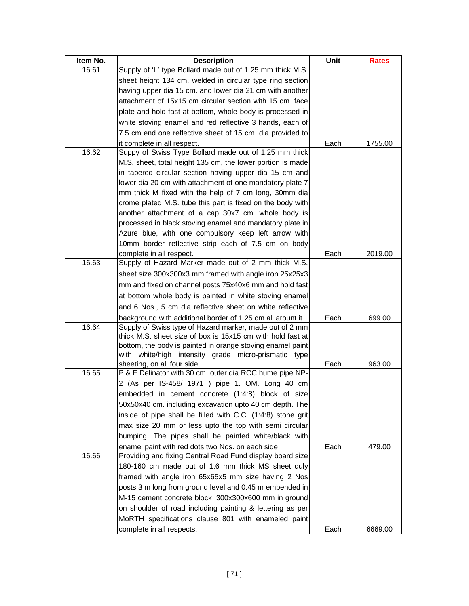| Item No. | <b>Description</b>                                                                                                     | Unit | <b>Rates</b> |
|----------|------------------------------------------------------------------------------------------------------------------------|------|--------------|
| 16.61    | Supply of 'L' type Bollard made out of 1.25 mm thick M.S.                                                              |      |              |
|          | sheet height 134 cm, welded in circular type ring section                                                              |      |              |
|          | having upper dia 15 cm. and lower dia 21 cm with another                                                               |      |              |
|          | attachment of 15x15 cm circular section with 15 cm. face                                                               |      |              |
|          | plate and hold fast at bottom, whole body is processed in                                                              |      |              |
|          | white stoving enamel and red reflective 3 hands, each of                                                               |      |              |
|          | 7.5 cm end one reflective sheet of 15 cm. dia provided to                                                              |      |              |
|          | it complete in all respect.                                                                                            | Each | 1755.00      |
| 16.62    | Suppy of Swiss Type Bollard made out of 1.25 mm thick                                                                  |      |              |
|          | M.S. sheet, total height 135 cm, the lower portion is made                                                             |      |              |
|          | in tapered circular section having upper dia 15 cm and                                                                 |      |              |
|          | lower dia 20 cm with attachment of one mandatory plate 7                                                               |      |              |
|          | mm thick M fixed with the help of 7 cm long, 30mm dia                                                                  |      |              |
|          | crome plated M.S. tube this part is fixed on the body with                                                             |      |              |
|          | another attachment of a cap 30x7 cm. whole body is                                                                     |      |              |
|          | processed in black stoving enamel and mandatory plate in                                                               |      |              |
|          | Azure blue, with one compulsory keep left arrow with                                                                   |      |              |
|          | 10mm border reflective strip each of 7.5 cm on body                                                                    | Each |              |
| 16.63    | complete in all respect.<br>Supply of Hazard Marker made out of 2 mm thick M.S.                                        |      | 2019.00      |
|          | sheet size 300x300x3 mm framed with angle iron 25x25x3                                                                 |      |              |
|          | mm and fixed on channel posts 75x40x6 mm and hold fast                                                                 |      |              |
|          | at bottom whole body is painted in white stoving enamel                                                                |      |              |
|          | and 6 Nos., 5 cm dia reflective sheet on white reflective                                                              |      |              |
|          |                                                                                                                        |      |              |
| 16.64    | background with additional border of 1.25 cm all arount it.<br>Supply of Swiss type of Hazard marker, made out of 2 mm | Each | 699.00       |
|          | thick M.S. sheet size of box is 15x15 cm with hold fast at                                                             |      |              |
|          | bottom, the body is painted in orange stoving enamel paint                                                             |      |              |
|          | with white/high intensity grade micro-prismatic type                                                                   |      |              |
|          | sheeting, on all four side.                                                                                            | Each | 963.00       |
| 16.65    | P & F Delinator with 30 cm. outer dia RCC hume pipe NP-                                                                |      |              |
|          | 2 (As per IS-458/ 1971 ) pipe 1. OM. Long 40 cm                                                                        |      |              |
|          | embedded in cement concrete (1:4:8) block of size                                                                      |      |              |
|          | 50x50x40 cm. including excavation upto 40 cm depth. The                                                                |      |              |
|          | inside of pipe shall be filled with C.C. (1:4:8) stone grit                                                            |      |              |
|          | max size 20 mm or less upto the top with semi circular                                                                 |      |              |
|          | humping. The pipes shall be painted white/black with                                                                   |      |              |
|          | enamel paint with red dots two Nos. on each side                                                                       | Each | 479.00       |
| 16.66    | Providing and fixing Central Road Fund display board size                                                              |      |              |
|          | 180-160 cm made out of 1.6 mm thick MS sheet duly                                                                      |      |              |
|          | framed with angle iron 65x65x5 mm size having 2 Nos                                                                    |      |              |
|          | posts 3 m long from ground level and 0.45 m embended in                                                                |      |              |
|          | M-15 cement concrete block 300x300x600 mm in ground                                                                    |      |              |
|          | on shoulder of road including painting & lettering as per                                                              |      |              |
|          | MoRTH specifications clause 801 with enameled paint                                                                    |      |              |
|          | complete in all respects.                                                                                              | Each | 6669.00      |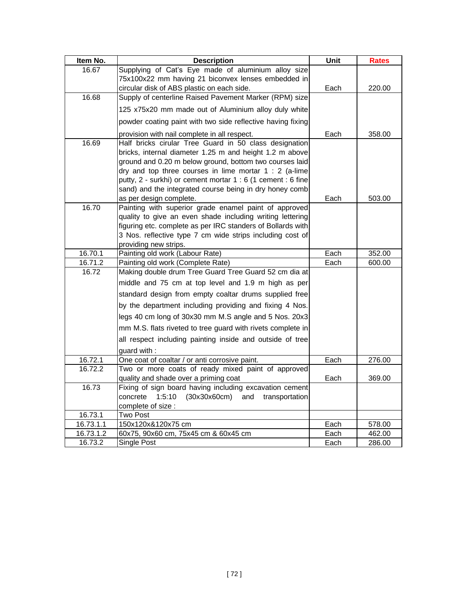| Item No.  | <b>Description</b>                                                                                                       | Unit | <b>Rates</b> |
|-----------|--------------------------------------------------------------------------------------------------------------------------|------|--------------|
| 16.67     | Supplying of Cat's Eye made of aluminium alloy size                                                                      |      |              |
|           | 75x100x22 mm having 21 biconvex lenses embedded in                                                                       |      |              |
|           | circular disk of ABS plastic on each side.                                                                               | Each | 220.00       |
| 16.68     | Supply of centerline Raised Pavement Marker (RPM) size                                                                   |      |              |
|           | 125 x75x20 mm made out of Aluminium alloy duly white                                                                     |      |              |
|           | powder coating paint with two side reflective having fixing                                                              |      |              |
|           | provision with nail complete in all respect.                                                                             | Each | 358.00       |
| 16.69     | Half bricks cirular Tree Guard in 50 class designation                                                                   |      |              |
|           | bricks, internal diameter 1.25 m and height 1.2 m above                                                                  |      |              |
|           | ground and 0.20 m below ground, bottom two courses laid                                                                  |      |              |
|           | dry and top three courses in lime mortar $1:2$ (a-lime                                                                   |      |              |
|           | putty, 2 - surkhi) or cement mortar 1 : 6 (1 cement : 6 fine                                                             |      |              |
|           | sand) and the integrated course being in dry honey comb                                                                  |      |              |
|           | as per design complete.                                                                                                  | Each | 503.00       |
| 16.70     | Painting with superior grade enamel paint of approved                                                                    |      |              |
|           | quality to give an even shade including writing lettering<br>figuring etc. complete as per IRC standers of Bollards with |      |              |
|           | 3 Nos. reflective type 7 cm wide strips including cost of                                                                |      |              |
|           | providing new strips.                                                                                                    |      |              |
| 16.70.1   | Painting old work (Labour Rate)                                                                                          | Each | 352.00       |
| 16.71.2   | Painting old work (Complete Rate)                                                                                        | Each | 600.00       |
| 16.72     | Making double drum Tree Guard Tree Guard 52 cm dia at                                                                    |      |              |
|           | middle and 75 cm at top level and 1.9 m high as per                                                                      |      |              |
|           | standard design from empty coaltar drums supplied free                                                                   |      |              |
|           | by the department including providing and fixing 4 Nos.                                                                  |      |              |
|           | legs 40 cm long of 30x30 mm M.S angle and 5 Nos. 20x3                                                                    |      |              |
|           | mm M.S. flats riveted to tree guard with rivets complete in                                                              |      |              |
|           | all respect including painting inside and outside of tree                                                                |      |              |
|           | guard with:                                                                                                              |      |              |
| 16.72.1   | One coat of coaltar / or anti corrosive paint.                                                                           | Each | 276.00       |
| 16.72.2   | Two or more coats of ready mixed paint of approved                                                                       |      |              |
|           | quality and shade over a priming coat                                                                                    | Each | 369.00       |
| 16.73     | Fixing of sign board having including excavation cement                                                                  |      |              |
|           | (30x30x60cm)<br>concrete<br>1:5:10<br>and<br>transportation                                                              |      |              |
|           | complete of size :                                                                                                       |      |              |
| 16.73.1   | <b>Two Post</b>                                                                                                          |      |              |
| 16.73.1.1 | 150x120x&120x75 cm                                                                                                       | Each | 578.00       |
| 16.73.1.2 | 60x75, 90x60 cm, 75x45 cm & 60x45 cm                                                                                     | Each | 462.00       |
| 16.73.2   | <b>Single Post</b>                                                                                                       | Each | 286.00       |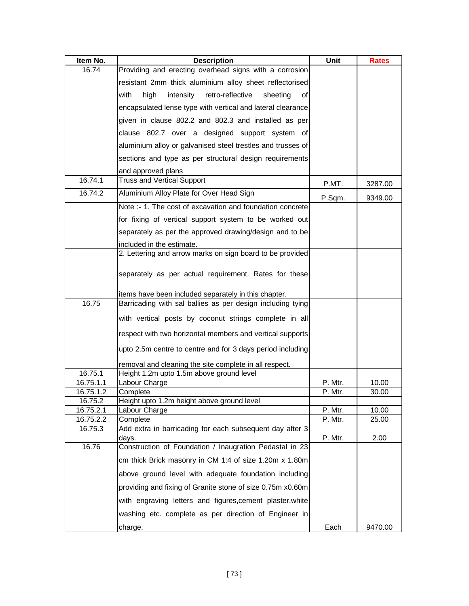| Item No.  | <b>Description</b>                                                | Unit    | <b>Rates</b> |
|-----------|-------------------------------------------------------------------|---------|--------------|
| 16.74     | Providing and erecting overhead signs with a corrosion            |         |              |
|           | resistant 2mm thick aluminium alloy sheet reflectorised           |         |              |
|           | with<br>high<br>intensity retro-reflective<br>sheeting<br>οf      |         |              |
|           | encapsulated lense type with vertical and lateral clearance       |         |              |
|           | given in clause 802.2 and 802.3 and installed as per              |         |              |
|           | clause 802.7 over a designed support system of                    |         |              |
|           | aluminium alloy or galvanised steel trestles and trusses of       |         |              |
|           | sections and type as per structural design requirements           |         |              |
|           | and approved plans                                                |         |              |
| 16.74.1   | <b>Truss and Vertical Support</b>                                 | P.MT.   | 3287.00      |
| 16.74.2   | Aluminium Alloy Plate for Over Head Sign                          | P.Sqm.  | 9349.00      |
|           | Note :- 1. The cost of excavation and foundation concrete         |         |              |
|           | for fixing of vertical support system to be worked out            |         |              |
|           | separately as per the approved drawing/design and to be           |         |              |
|           | included in the estimate.                                         |         |              |
|           | 2. Lettering and arrow marks on sign board to be provided         |         |              |
|           | separately as per actual requirement. Rates for these             |         |              |
|           | items have been included separately in this chapter.              |         |              |
| 16.75     | Barricading with sal ballies as per design including tying        |         |              |
|           | with vertical posts by coconut strings complete in all            |         |              |
|           | respect with two horizontal members and vertical supports         |         |              |
|           | upto 2.5m centre to centre and for 3 days period including        |         |              |
|           | removal and cleaning the site complete in all respect.            |         |              |
| 16.75.1   | Height 1.2m upto 1.5m above ground level                          |         |              |
| 16.75.1.1 | Labour Charge                                                     | P. Mtr. | 10.00        |
| 16.75.1.2 | Complete                                                          | P. Mtr. | 30.00        |
| 16.75.2   | Height upto 1.2m height above ground level                        |         |              |
| 16.75.2.1 | Labour Charge                                                     | P. Mtr. | 10.00        |
| 16.75.2.2 | Complete                                                          | P. Mtr. | 25.00        |
| 16.75.3   | Add extra in barricading for each subsequent day after 3<br>days. | P. Mtr. | 2.00         |
| 16.76     | Construction of Foundation / Inaugration Pedastal in 23           |         |              |
|           | cm thick Brick masonry in CM 1:4 of size 1.20m x 1.80m            |         |              |
|           | above ground level with adequate foundation including             |         |              |
|           | providing and fixing of Granite stone of size 0.75m x0.60m        |         |              |
|           | with engraving letters and figures, cement plaster, white         |         |              |
|           | washing etc. complete as per direction of Engineer in             |         |              |
|           | charge.                                                           | Each    | 9470.00      |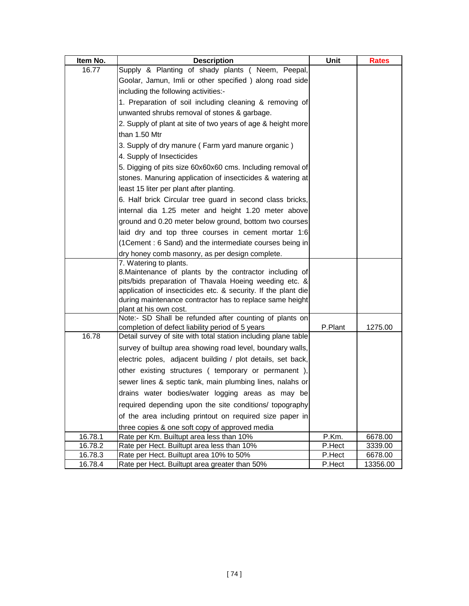| Item No. | <b>Description</b>                                                                                                        | Unit    | <b>Rates</b> |
|----------|---------------------------------------------------------------------------------------------------------------------------|---------|--------------|
| 16.77    | Supply & Planting of shady plants (Neem, Peepal,                                                                          |         |              |
|          | Goolar, Jamun, Imli or other specified) along road side                                                                   |         |              |
|          | including the following activities:-                                                                                      |         |              |
|          | 1. Preparation of soil including cleaning & removing of                                                                   |         |              |
|          | unwanted shrubs removal of stones & garbage.                                                                              |         |              |
|          | 2. Supply of plant at site of two years of age & height more                                                              |         |              |
|          | than 1.50 Mtr                                                                                                             |         |              |
|          | 3. Supply of dry manure (Farm yard manure organic)                                                                        |         |              |
|          | 4. Supply of Insecticides                                                                                                 |         |              |
|          | 5. Digging of pits size 60x60x60 cms. Including removal of                                                                |         |              |
|          | stones. Manuring application of insecticides & watering at                                                                |         |              |
|          | least 15 liter per plant after planting.                                                                                  |         |              |
|          | 6. Half brick Circular tree guard in second class bricks,                                                                 |         |              |
|          | internal dia 1.25 meter and height 1.20 meter above                                                                       |         |              |
|          | ground and 0.20 meter below ground, bottom two courses                                                                    |         |              |
|          | laid dry and top three courses in cement mortar 1:6                                                                       |         |              |
|          | (1Cement: 6 Sand) and the intermediate courses being in                                                                   |         |              |
|          | dry honey comb masonry, as per design complete.                                                                           |         |              |
|          | 7. Watering to plants.                                                                                                    |         |              |
|          | 8. Maintenance of plants by the contractor including of                                                                   |         |              |
|          | pits/bids preparation of Thavala Hoeing weeding etc. &                                                                    |         |              |
|          | application of insecticides etc. & security. If the plant die<br>during maintenance contractor has to replace same height |         |              |
|          | plant at his own cost.                                                                                                    |         |              |
|          | Note:- SD Shall be refunded after counting of plants on                                                                   |         |              |
|          | completion of defect liability period of 5 years                                                                          | P.Plant | 1275.00      |
| 16.78    | Detail survey of site with total station including plane table                                                            |         |              |
|          | survey of builtup area showing road level, boundary walls,                                                                |         |              |
|          | electric poles, adjacent building / plot details, set back,                                                               |         |              |
|          | other existing structures ( temporary or permanent ),                                                                     |         |              |
|          | sewer lines & septic tank, main plumbing lines, nalahs or                                                                 |         |              |
|          | drains water bodies/water logging areas as may be                                                                         |         |              |
|          | required depending upon the site conditions/ topography                                                                   |         |              |
|          | of the area including printout on required size paper in                                                                  |         |              |
|          | three copies & one soft copy of approved media                                                                            |         |              |
| 16.78.1  | Rate per Km. Builtupt area less than 10%                                                                                  | P.Km.   | 6678.00      |
| 16.78.2  | Rate per Hect. Builtupt area less than 10%                                                                                | P.Hect  | 3339.00      |
| 16.78.3  | Rate per Hect. Builtupt area 10% to 50%                                                                                   | P.Hect  | 6678.00      |
| 16.78.4  | Rate per Hect. Builtupt area greater than 50%                                                                             | P.Hect  | 13356.00     |